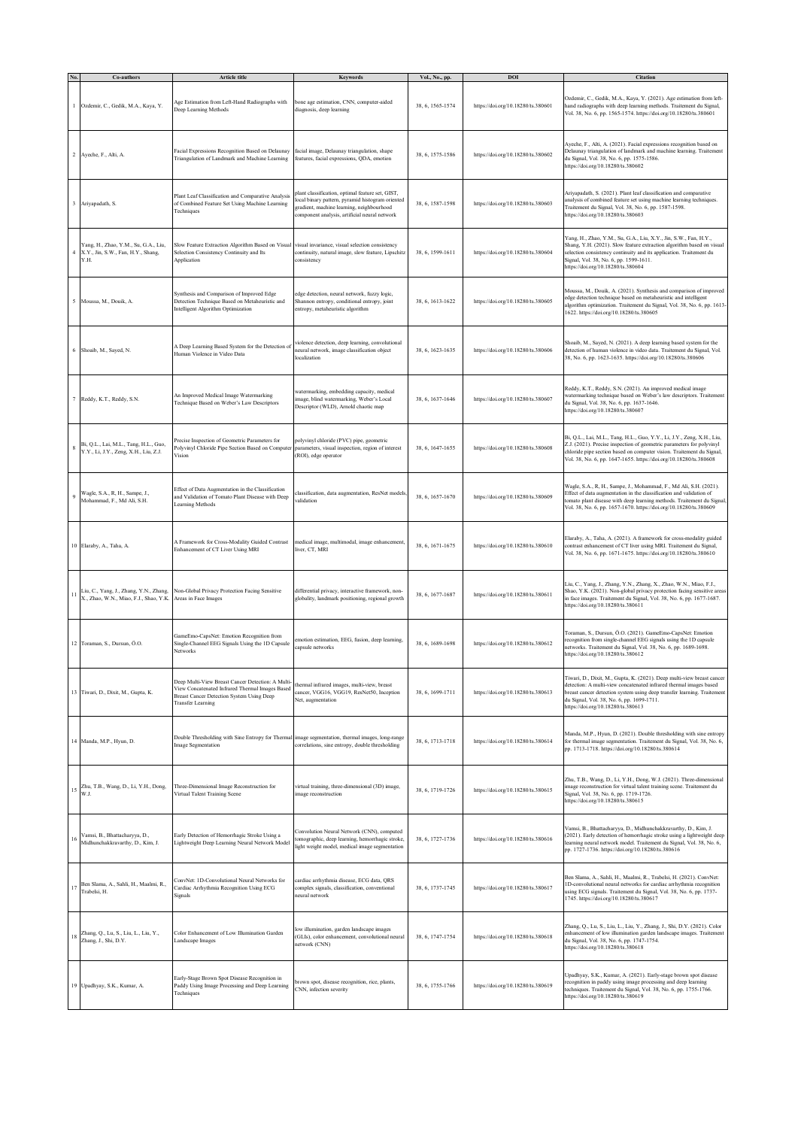|    | Co-authors                                                                         | <b>Article title</b>                                                                                                                                                          | <b>Keywords</b>                                                                                                                                                                                   | Vol., No., pp.   | <b>DOI</b>                         | Citation                                                                                                                                                                                                                                                                                                   |
|----|------------------------------------------------------------------------------------|-------------------------------------------------------------------------------------------------------------------------------------------------------------------------------|---------------------------------------------------------------------------------------------------------------------------------------------------------------------------------------------------|------------------|------------------------------------|------------------------------------------------------------------------------------------------------------------------------------------------------------------------------------------------------------------------------------------------------------------------------------------------------------|
|    | Ozdemir, C., Gedik, M.A., Kaya, Y.                                                 | Age Estimation from Left-Hand Radiographs with<br>Deep Learning Methods                                                                                                       | bone age estimation, CNN, computer-aided<br>diagnosis, deep learning                                                                                                                              | 38, 6, 1565-1574 | https://doi.org/10.18280/ts.380601 | Ozdemir, C., Gedik, M.A., Kaya, Y. (2021). Age estimation from left-<br>hand radiographs with deep learning methods. Traitement du Signal,<br>Vol. 38, No. 6, pp. 1565-1574. https://doi.org/10.18280/ts.380601                                                                                            |
|    | 2 Ayeche, F., Alti, A.                                                             | Facial Expressions Recognition Based on Delaunay<br>Triangulation of Landmark and Machine Learning                                                                            | facial image, Delaunay triangulation, shape<br>features, facial expressions, QDA, emotion                                                                                                         | 38, 6, 1575-1586 | https://doi.org/10.18280/ts.380602 | Ayeche, F., Alti, A. (2021). Facial expressions recognition based on<br>Delaunay triangulation of landmark and machine learning. Traitement<br>du Signal, Vol. 38, No. 6, pp. 1575-1586.<br>https://doi.org/10.18280/ts.380602                                                                             |
|    | Ariyapadath, S.                                                                    | Plant Leaf Classification and Comparative Analysis<br>of Combined Feature Set Using Machine Learning<br>Techniques                                                            | plant classification, optimal feature set, GIST,<br>ocal binary pattern, pyramid histogram oriented<br>gradient, machine learning, neighbourhood<br>component analysis, artificial neural network | 38, 6, 1587-1598 | https://doi.org/10.18280/ts.380603 | Ariyapadath, S. (2021). Plant leaf classification and comparative<br>analysis of combined feature set using machine learning techniques.<br>Traitement du Signal, Vol. 38, No. 6, pp. 1587-1598.<br>https://doi.org/10.18280/ts.380603                                                                     |
|    | Yang, H., Zhao, Y.M., Su, G.A., Liu,<br>X.Y., Jin, S.W., Fan, H.Y., Shang,<br>Y.H. | Slow Feature Extraction Algorithm Based on Visual<br>Selection Consistency Continuity and Its<br>Application                                                                  | visual invariance, visual selection consistency<br>continuity, natural image, slow feature, Lipschitz<br>consistency                                                                              | 38, 6, 1599-1611 | https://doi.org/10.18280/ts.380604 | Yang, H., Zhao, Y.M., Su, G.A., Liu, X.Y., Jin, S.W., Fan, H.Y.,<br>Shang, Y.H. (2021). Slow feature extraction algorithm based on visual<br>selection consistency continuity and its application. Traitement du<br>Signal, Vol. 38, No. 6, pp. 1599-1611.<br>https://doi.org/10.18280/ts.380604           |
| 5  | Moussa, M., Douik, A.                                                              | Synthesis and Comparison of Improved Edge<br>Detection Technique Based on Metaheuristic and<br>Intelligent Algorithm Optimization                                             | edge detection, neural network, fuzzy logic,<br>Shannon entropy, conditional entropy, joint<br>entropy, metaheuristic algorithm                                                                   | 38, 6, 1613-1622 | https://doi.org/10.18280/ts.380605 | Moussa, M., Douik, A. (2021). Synthesis and comparison of improved<br>edge detection technique based on metaheuristic and intelligent<br>algorithm optimization. Traitement du Signal, Vol. 38, No. 6, pp. 1613-<br>1622. https://doi.org/10.18280/ts.380605                                               |
|    | 6 Shoaib, M., Sayed, N.                                                            | A Deep Learning Based System for the Detection of<br>Human Violence in Video Data                                                                                             | violence detection, deep learning, convolutional<br>neural network, image classification object<br>localization                                                                                   | 38, 6, 1623-1635 | https://doi.org/10.18280/ts.380606 | Shoaib, M., Sayed, N. (2021). A deep learning based system for the<br>detection of human violence in video data. Traitement du Signal, Vol.<br>38, No. 6, pp. 1623-1635. https://doi.org/10.18280/ts.380606                                                                                                |
|    | Reddy, K.T., Reddy, S.N.                                                           | An Improved Medical Image Watermarking<br>Technique Based on Weber's Law Descriptors                                                                                          | watermarking, embedding capacity, medical<br>image, blind watermarking, Weber's Local<br>Descriptor (WLD), Arnold chaotic map                                                                     | 38, 6, 1637-1646 | https://doi.org/10.18280/ts.380607 | Reddy, K.T., Reddy, S.N. (2021). An improved medical image<br>watermarking technique based on Weber's law descriptors. Traitement<br>du Signal, Vol. 38, No. 6, pp. 1637-1646.<br>https://doi.org/10.18280/ts.380607                                                                                       |
| 8  | Bi, Q.L., Lai, M.L., Tang, H.L., Guo,<br>Y.Y., Li, J.Y., Zeng, X.H., Liu, Z.J.     | recise Inspection of Geometric Parameters for<br>Polyvinyl Chloride Pipe Section Based on Compute<br>Vision                                                                   | polyvinyl chloride (PVC) pipe, geometric<br>parameters, visual inspection, region of interest<br>(ROI), edge operator                                                                             | 38, 6, 1647-1655 | https://doi.org/10.18280/ts.380608 | Bi, Q.L., Lai, M.L., Tang, H.L., Guo, Y.Y., Li, J.Y., Zeng, X.H., Liu,<br>Z.J. (2021). Precise inspection of geometric parameters for polyvinyl<br>chloride pipe section based on computer vision. Traitement du Signal,<br>Vol. 38, No. 6, pp. 1647-1655. https://doi.org/10.18280/ts.380608              |
| 9  | Wagle, S.A., R, H., Sampe, J.,<br>Mohammad, F., Md Ali, S.H.                       | Effect of Data Augmentation in the Classification<br>and Validation of Tomato Plant Disease with Deep<br>Learning Methods                                                     | classification, data augmentation, ResNet models<br>validation                                                                                                                                    | 38, 6, 1657-1670 | https://doi.org/10.18280/ts.380609 | Wagle, S.A., R, H., Sampe, J., Mohammad, F., Md Ali, S.H. (2021).<br>Effect of data augmentation in the classification and validation of<br>tomato plant disease with deep learning methods. Traitement du Signal,<br>Vol. 38, No. 6, pp. 1657-1670. https://doi.org/10.18280/ts.380609                    |
|    | 10 Elaraby, A., Taha, A.                                                           | A Framework for Cross-Modality Guided Contrast<br>Enhancement of CT Liver Using MRI                                                                                           | medical image, multimodal, image enhancement,<br>liver, CT, MRI                                                                                                                                   | 38, 6, 1671-1675 | https://doi.org/10.18280/ts.380610 | Elaraby, A., Taha, A. (2021). A framework for cross-modality guided<br>contrast enhancement of CT liver using MRI. Traitement du Signal,<br>Vol. 38, No. 6, pp. 1671-1675. https://doi.org/10.18280/ts.380610                                                                                              |
| 11 | X., Zhao, W.N., Miao, F.J., Shao, Y.K.                                             | Liu, C., Yang, J., Zhang, Y.N., Zhang, Non-Global Privacy Protection Facing Sensitive<br>Areas in Face Images                                                                 | differential privacy, interactive framework, non-<br>globality, landmark positioning, regional growth                                                                                             | 38, 6, 1677-1687 | https://doi.org/10.18280/ts.380611 | Liu, C., Yang, J., Zhang, Y.N., Zhang, X., Zhao, W.N., Miao, F.J.,<br>Shao, Y.K. (2021). Non-global privacy protection facing sensitive areas<br>in face images. Traitement du Signal, Vol. 38, No. 6, pp. 1677-1687.<br>https://doi.org/10.18280/ts.380611                                                |
|    | 12 Toraman, S., Dursun, Ö.O.                                                       | GameEmo-CapsNet: Emotion Recognition from<br>Single-Channel EEG Signals Using the 1D Capsule<br>Networks                                                                      | emotion estimation, EEG, fusion, deep learning,<br>capsule networks                                                                                                                               | 38, 6, 1689-1698 | https://doi.org/10.18280/ts.380612 | Toraman, S., Dursun, Ö.O. (2021). GameEmo-CapsNet: Emotion<br>recognition from single-channel EEG signals using the 1D capsule<br>networks. Traitement du Signal, Vol. 38, No. 6, pp. 1689-1698.<br>https://doi.org/10.18280/ts.380612                                                                     |
|    | 13 Tiwari, D., Dixit, M., Gupta, K.                                                | Deep Multi-View Breast Cancer Detection: A Multi-<br>View Concatenated Infrared Thermal Images Based<br>Breast Cancer Detection System Using Deep<br><b>Transfer Learning</b> | thermal infrared images, multi-view, breast<br>cancer, VGG16, VGG19, ResNet50, Inception<br>Net, augmentation                                                                                     | 38, 6, 1699-1711 | https://doi.org/10.18280/ts.380613 | Tiwari, D., Dixit, M., Gupta, K. (2021). Deep multi-view breast cancer<br>detection: A multi-view concatenated infrared thermal images based<br>breast cancer detection system using deep transfer learning. Traitement<br>du Signal, Vol. 38, No. 6, pp. 1699-1711.<br>https://doi.org/10.18280/ts.380613 |
|    | 14 Manda, M.P., Hyun, D.                                                           | Double Thresholding with Sine Entropy for Thermal<br>Image Segmentation                                                                                                       | image segmentation, thermal images, long-range<br>correlations, sine entropy, double thresholding                                                                                                 | 38, 6, 1713-1718 | https://doi.org/10.18280/ts.380614 | Manda, M.P., Hyun, D. (2021). Double thresholding with sine entropy<br>for thermal image segmentation. Traitement du Signal, Vol. 38, No. 6,<br>pp. 1713-1718. https://doi.org/10.18280/ts.380614                                                                                                          |
| 15 | Zhu, T.B., Wang, D., Li, Y.H., Dong,<br>W.J.                                       | Three-Dimensional Image Reconstruction for<br>Virtual Talent Training Scene                                                                                                   | virtual training, three-dimensional (3D) image,<br>image reconstruction                                                                                                                           | 38, 6, 1719-1726 | https://doi.org/10.18280/ts.380615 | Zhu, T.B., Wang, D., Li, Y.H., Dong, W.J. (2021). Three-dimensional<br>image reconstruction for virtual talent training scene. Traitement du<br>Signal, Vol. 38, No. 6, pp. 1719-1726.<br>https://doi.org/10.18280/ts.380615                                                                               |
| 16 | Vamsi, B., Bhattacharyya, D.,<br>Midhunchakkravarthy, D., Kim, J.                  | Early Detection of Hemorrhagic Stroke Using a<br>Lightweight Deep Learning Neural Network Model                                                                               | Convolution Neural Network (CNN), computed<br>tomographic, deep learning, hemorrhagic stroke,<br>light weight model, medical image segmentation                                                   | 38, 6, 1727-1736 | https://doi.org/10.18280/ts.380616 | Vamsi, B., Bhattacharyya, D., Midhunchakkravarthy, D., Kim, J.<br>(2021). Early detection of hemorrhagic stroke using a lightweight deep<br>learning neural network model. Traitement du Signal, Vol. 38, No. 6,<br>pp. 1727-1736. https://doi.org/10.18280/ts.380616                                      |
| 17 | Ben Slama, A., Sahli, H., Maalmi, R.,<br>Trabelsi, H.                              | ConvNet: 1D-Convolutional Neural Networks for<br>Cardiac Arrhythmia Recognition Using ECG<br>Signals                                                                          | cardiac arrhythmia disease, ECG data, QRS<br>complex signals, classification, conventional<br>neural network                                                                                      | 38, 6, 1737-1745 | https://doi.org/10.18280/ts.380617 | Ben Slama, A., Sahli, H., Maalmi, R., Trabelsi, H. (2021). ConvNet:<br>1D-convolutional neural networks for cardiac arrhythmia recognition<br>using ECG signals. Traitement du Signal, Vol. 38, No. 6, pp. 1737-<br>1745. https://doi.org/10.18280/ts.380617                                               |
| 18 | Zhang, Q., Lu, S., Liu, L., Liu, Y.,<br>Zhang, J., Shi, D.Y.                       | Color Enhancement of Low Illumination Garden<br>Landscape Images                                                                                                              | low illumination, garden landscape images<br>(GLIs), color enhancement, convolutional neural<br>network (CNN)                                                                                     | 38, 6, 1747-1754 | https://doi.org/10.18280/ts.380618 | Zhang, Q., Lu, S., Liu, L., Liu, Y., Zhang, J., Shi, D.Y. (2021). Color<br>enhancement of low illumination garden landscape images. Traitement<br>du Signal, Vol. 38, No. 6, pp. 1747-1754.<br>https://doi.org/10.18280/ts.380618                                                                          |
|    | 19 Upadhyay, S.K., Kumar, A.                                                       | Early-Stage Brown Spot Disease Recognition in<br>Paddy Using Image Processing and Deep Learning<br>Techniques                                                                 | brown spot, disease recognition, rice, plants,<br>CNN, infection severity                                                                                                                         | 38, 6, 1755-1766 | https://doi.org/10.18280/ts.380619 | Upadhyay, S.K., Kumar, A. (2021). Early-stage brown spot disease<br>recognition in paddy using image processing and deep learning<br>techniques. Traitement du Signal, Vol. 38, No. 6, pp. 1755-1766.<br>https://doi.org/10.18280/ts.380619                                                                |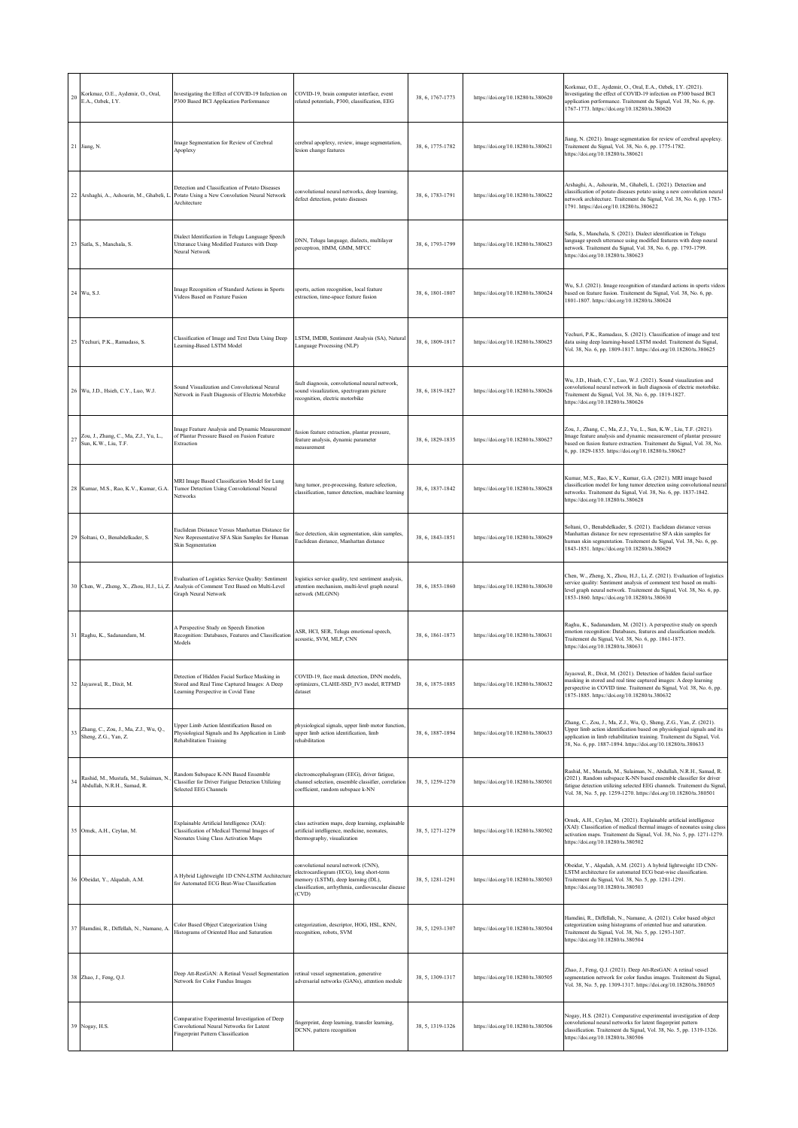| 20 | Korkmaz, O.E., Aydemir, O., Oral,<br>E.A., Ozbek, I.Y.              | Investigating the Effect of COVID-19 Infection on<br>P300 Based BCI Application Performance                                         | COVID-19, brain computer interface, event<br>related potentials, P300, classification, EEG                                                                                           | 38, 6, 1767-1773 | https://doi.org/10.18280/ts.380620 | Korkmaz, O.E., Aydemir, O., Oral, E.A., Ozbek, I.Y. (2021).<br>Investigating the effect of COVID-19 infection on P300 based BCI<br>application performance. Traitement du Signal, Vol. 38, No. 6, pp.<br>1767-1773. https://doi.org/10.18280/ts.380620                                   |
|----|---------------------------------------------------------------------|-------------------------------------------------------------------------------------------------------------------------------------|--------------------------------------------------------------------------------------------------------------------------------------------------------------------------------------|------------------|------------------------------------|------------------------------------------------------------------------------------------------------------------------------------------------------------------------------------------------------------------------------------------------------------------------------------------|
|    | 21 Jiang, N.                                                        | Image Segmentation for Review of Cerebral<br>Apoplexy                                                                               | cerebral apoplexy, review, image segmentation,<br>lesion change features                                                                                                             | 38, 6, 1775-1782 | https://doi.org/10.18280/ts.380621 | Jiang, N. (2021). Image segmentation for review of cerebral apoplexy.<br>Traitement du Signal, Vol. 38, No. 6, pp. 1775-1782.<br>https://doi.org/10.18280/ts.380621                                                                                                                      |
|    | 22 Arshaghi, A., Ashourin, M., Ghabeli, I.                          | Detection and Classification of Potato Diseases<br>Potato Using a New Convolution Neural Network<br>Architecture                    | convolutional neural networks, deep learning,<br>defect detection, potato diseases                                                                                                   | 38, 6, 1783-1791 | https://doi.org/10.18280/ts.380622 | Arshaghi, A., Ashourin, M., Ghabeli, L. (2021). Detection and<br>classification of potato diseases potato using a new convolution neural<br>network architecture. Traitement du Signal, Vol. 38, No. 6, pp. 1783-<br>1791. https://doi.org/10.18280/ts.380622                            |
|    | 23 Satla, S., Manchala, S.                                          | Dialect Identification in Telugu Language Speech<br>Utterance Using Modified Features with Deep<br>Neural Network                   | DNN, Telugu language, dialects, multilayer<br>perceptron, HMM, GMM, MFCC                                                                                                             | 38, 6, 1793-1799 | https://doi.org/10.18280/ts.380623 | Satla, S., Manchala, S. (2021). Dialect identification in Telugu<br>language speech utterance using modified features with deep neural<br>network. Traitement du Signal, Vol. 38, No. 6, pp. 1793-1799.<br>https://doi.org/10.18280/ts.380623                                            |
|    | 24 Wu, S.J.                                                         | Image Recognition of Standard Actions in Sports<br>Videos Based on Feature Fusion                                                   | sports, action recognition, local feature<br>extraction, time-space feature fusion                                                                                                   | 38, 6, 1801-1807 | https://doi.org/10.18280/ts.380624 | Wu, S.J. (2021). Image recognition of standard actions in sports videos<br>based on feature fusion. Traitement du Signal, Vol. 38, No. 6, pp.<br>1801-1807. https://doi.org/10.18280/ts.380624                                                                                           |
|    | 25 Yechuri, P.K., Ramadass, S.                                      | Classification of Image and Text Data Using Deep<br>Learning-Based LSTM Model                                                       | LSTM, IMDB, Sentiment Analysis (SA), Natural<br>Language Processing (NLP)                                                                                                            | 38, 6, 1809-1817 | https://doi.org/10.18280/ts.380625 | Yechuri, P.K., Ramadass, S. (2021). Classification of image and text<br>data using deep learning-based LSTM model. Traitement du Signal,<br>Vol. 38, No. 6, pp. 1809-1817. https://doi.org/10.18280/ts.380625                                                                            |
|    | 26 Wu, J.D., Hsieh, C.Y., Luo, W.J.                                 | Sound Visualization and Convolutional Neural<br>Network in Fault Diagnosis of Electric Motorbike                                    | fault diagnosis, convolutional neural network,<br>sound visualization, spectrogram picture<br>recognition, electric motorbike                                                        | 38, 6, 1819-1827 | https://doi.org/10.18280/ts.380626 | Wu, J.D., Hsieh, C.Y., Luo, W.J. (2021). Sound visualization and<br>convolutional neural network in fault diagnosis of electric motorbike.<br>Traitement du Signal, Vol. 38, No. 6, pp. 1819-1827.<br>https://doi.org/10.18280/ts.380626                                                 |
| 27 | Zou, J., Zhang, C., Ma, Z.J., Yu, L.,<br>Sun, K.W., Liu, T.F.       | Image Feature Analysis and Dynamic Measurement<br>of Plantar Pressure Based on Fusion Feature<br>Extraction                         | fusion feature extraction, plantar pressure,<br>feature analysis, dynamic parameter<br>measurement                                                                                   | 38, 6, 1829-1835 | https://doi.org/10.18280/ts.380627 | Zou, J., Zhang, C., Ma, Z.J., Yu, L., Sun, K.W., Liu, T.F. (2021).<br>Image feature analysis and dynamic measurement of plantar pressure<br>based on fusion feature extraction. Traitement du Signal, Vol. 38, No.<br>6, pp. 1829-1835. https://doi.org/10.18280/ts.380627               |
|    | 28 Kumar, M.S., Rao, K.V., Kumar, G.A.                              | MRI Image Based Classification Model for Lung<br>Tumor Detection Using Convolutional Neural<br>Networks                             | lung tumor, pre-processing, feature selection,<br>classification, tumor detection, machine learning                                                                                  | 38, 6, 1837-1842 | https://doi.org/10.18280/ts.380628 | Kumar, M.S., Rao, K.V., Kumar, G.A. (2021). MRI image based<br>classification model for lung tumor detection using convolutional neural<br>networks. Traitement du Signal, Vol. 38, No. 6, pp. 1837-1842.<br>https://doi.org/10.18280/ts.380628                                          |
| 29 | Soltani, O., Benabdelkader, S.                                      | Euclidean Distance Versus Manhattan Distance for<br>New Representative SFA Skin Samples for Human<br>Skin Segmentation              | face detection, skin segmentation, skin samples,<br>Euclidean distance, Manhattan distance                                                                                           | 38, 6, 1843-1851 | https://doi.org/10.18280/ts.380629 | Soltani, O., Benabdelkader, S. (2021). Euclidean distance versus<br>Manhattan distance for new representative SFA skin samples for<br>human skin segmentation. Traitement du Signal, Vol. 38, No. 6, pp.<br>1843-1851. https://doi.org/10.18280/ts.380629                                |
|    | 30 Chen, W., Zheng, X., Zhou, H.J., Li, Z.                          | Evaluation of Logistics Service Quality: Sentiment<br>Analysis of Comment Text Based on Multi-Level<br>Graph Neural Network         | logistics service quality, text sentiment analysis,<br>attention mechanism, multi-level graph neural<br>network (MLGNN)                                                              | 38, 6, 1853-1860 | https://doi.org/10.18280/ts.380630 | Chen, W., Zheng, X., Zhou, H.J., Li, Z. (2021). Evaluation of logistics<br>service quality: Sentiment analysis of comment text based on multi-<br>level graph neural network. Traitement du Signal, Vol. 38, No. 6, pp.<br>1853-1860. https://doi.org/10.18280/ts.380630                 |
|    | Raghu, K., Sadanandam, M.                                           | A Perspective Study on Speech Emotion<br>Recognition: Databases, Features and Classification<br>Models                              | ASR, HCI, SER, Telugu emotional speech,<br>acoustic, SVM, MLP, CNN                                                                                                                   | 38, 6, 1861-1873 | https://doi.org/10.18280/ts.380631 | Raghu, K., Sadanandam, M. (2021). A perspective study on speech<br>emotion recognition: Databases, features and classification models.<br>Traitement du Signal, Vol. 38, No. 6, pp. 1861-1873.<br>https://doi.org/10.18280/ts.380631                                                     |
| 32 | Jayaswal, R., Dixit, M.                                             | Detection of Hidden Facial Surface Masking in<br>Stored and Real Time Captured Images: A Deep<br>Learning Perspective in Covid Time | COVID-19, face mask detection, DNN models,<br>optimizers, CLAHE-SSD IV3 model, RTFMD<br>dataset                                                                                      | 38, 6, 1875-1885 | https://doi.org/10.18280/ts.380632 | ayaswal, R., Dıxıt, M. (2021). Detection of hidden facial surfacı<br>masking in stored and real time captured images: A deep learning<br>perspective in COVID time. Traitement du Signal, Vol. 38, No. 6, pp.<br>1875-1885. https://doi.org/10.18280/ts.380632                           |
| 33 | Zhang, C., Zou, J., Ma, Z.J., Wu, Q.,<br>Sheng, Z.G., Yan, Z.       | Upper Limb Action Identification Based on<br>Physiological Signals and Its Application in Limb<br><b>Rehabilitation Training</b>    | physiological signals, upper limb motor function,<br>upper limb action identification, limb<br>rehabilitation                                                                        | 38, 6, 1887-1894 | https://doi.org/10.18280/ts.380633 | Zhang, C., Zou, J., Ma, Z.J., Wu, Q., Sheng, Z.G., Yan, Z. (2021).<br>Upper limb action identification based on physiological signals and its<br>application in limb rehabilitation training. Traitement du Signal, Vol.<br>38, No. 6, pp. 1887-1894. https://doi.org/10.18280/ts.380633 |
| 34 | Rashid, M., Mustafa, M., Sulaiman, N<br>Abdullah, N.R.H., Samad, R. | Random Subspace K-NN Based Ensemble<br>Classifier for Driver Fatigue Detection Utilizing<br>Selected EEG Channels                   | electroencephalogram (EEG), driver fatigue,<br>channel selection, ensemble classifier, correlation<br>coefficient, random subspace k-NN                                              | 38, 5, 1259-1270 | https://doi.org/10.18280/ts.380501 | Rashid, M., Mustafa, M., Sulaiman, N., Abdullah, N.R.H., Samad, R.<br>(2021). Random subspace K-NN based ensemble classifier for driver<br>fatigue detection utilizing selected EEG channels. Traitement du Signal,<br>Vol. 38, No. 5, pp. 1259-1270. https://doi.org/10.18280/ts.380501 |
|    | 35 Ornek, A.H., Ceylan, M.                                          | Explainable Artificial Intelligence (XAI):<br>Classification of Medical Thermal Images of<br>Neonates Using Class Activation Maps   | class activation maps, deep learning, explainable<br>artificial intelligence, medicine, neonates,<br>thermography, visualization                                                     | 38, 5, 1271-1279 | https://doi.org/10.18280/ts.380502 | Ornek, A.H., Ceylan, M. (2021). Explainable artificial intelligence<br>(XAI): Classification of medical thermal images of neonates using class<br>activation maps. Traitement du Signal, Vol. 38, No. 5, pp. 1271-1279.<br>https://doi.org/10.18280/ts.380502                            |
|    | 36 Obeidat, Y., Alqudah, A.M.                                       | A Hybrid Lightweight 1D CNN-LSTM Architecture<br>for Automated ECG Beat-Wise Classification                                         | convolutional neural network (CNN),<br>electrocardiogram (ECG), long short-term<br>memory (LSTM), deep learning (DL),<br>classification, arrhythmia, cardiovascular disease<br>(CVD) | 38, 5, 1281-1291 | https://doi.org/10.18280/ts.380503 | Obeidat, Y., Alqudah, A.M. (2021). A hybrid lightweight 1D CNN-<br>LSTM architecture for automated ECG beat-wise classification.<br>Traitement du Signal, Vol. 38, No. 5, pp. 1281-1291.<br>https://doi.org/10.18280/ts.380503                                                           |
|    | 37 Hamdini, R., Diffellah, N., Namane, A                            | Color Based Object Categorization Using<br>Histograms of Oriented Hue and Saturation                                                | categorization, descriptor, HOG, HSL, KNN,<br>recognition, robots, SVM                                                                                                               | 38, 5, 1293-1307 | https://doi.org/10.18280/ts.380504 | Hamdini, R., Diffellah, N., Namane, A. (2021). Color based object<br>categorization using histograms of oriented hue and saturation.<br>Traitement du Signal, Vol. 38, No. 5, pp. 1293-1307.<br>https://doi.org/10.18280/ts.380504                                                       |
|    | 38 Zhao, J., Feng, Q.J.                                             | Deep Att-ResGAN: A Retinal Vessel Segmentation<br>Network for Color Fundus Images                                                   | retinal vessel segmentation, generative<br>adversarial networks (GANs), attention module                                                                                             | 38, 5, 1309-1317 | https://doi.org/10.18280/ts.380505 | Zhao, J., Feng, Q.J. (2021). Deep Att-ResGAN: A retinal vessel<br>segmentation network for color fundus images. Traitement du Signal,<br>Vol. 38, No. 5, pp. 1309-1317. https://doi.org/10.18280/ts.380505                                                                               |
|    | 39 Nogay, H.S.                                                      | Comparative Experimental Investigation of Deep<br>Convolutional Neural Networks for Latent<br>Fingerprint Pattern Classification    | fingerprint, deep learning, transfer learning,<br>DCNN, pattern recognition                                                                                                          | 38, 5, 1319-1326 | https://doi.org/10.18280/ts.380506 | Nogay, H.S. (2021). Comparative experimental investigation of deep<br>convolutional neural networks for latent fingerprint pattern<br>classification. Traitement du Signal, Vol. 38, No. 5, pp. 1319-1326.<br>https://doi.org/10.18280/ts.380506                                         |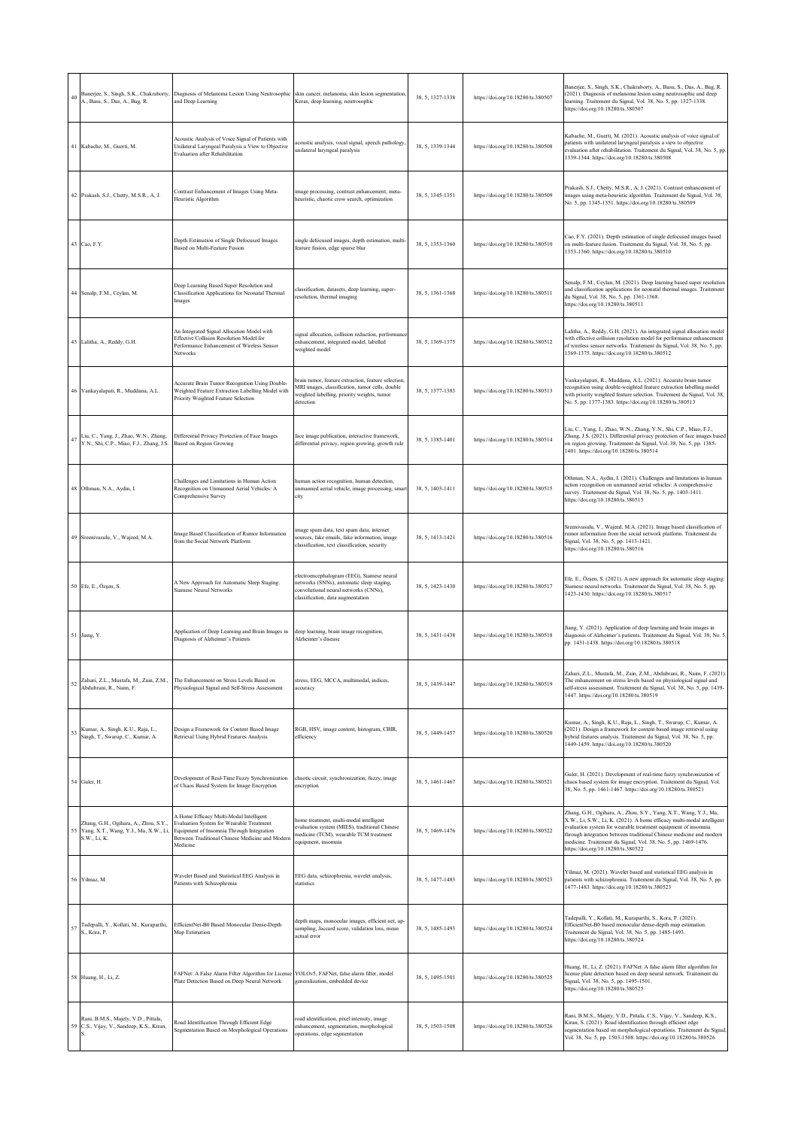| 40 | A., Basu, S., Das, A., Bag, R.                                                                 | Banerjee, S., Singh, S.K., Chakraborty, Diagnosis of Melanoma Lesion Using Neutrosophic<br>and Deep Learning                                                                                    | skin cancer, melanoma, skin lesion segmentation<br>Keras, deep learning, neutrosophic                                                                                 | 38, 5, 1327-1338 | https://doi.org/10.18280/ts.380507 | Banerjee, S., Singh, S.K., Chakraborty, A., Basu, S., Das, A., Bag, R.<br>(2021). Diagnosis of melanoma lesion using neutrosophic and deep<br>learning. Traitement du Signal, Vol. 38, No. 5, pp. 1327-1338.<br>https://doi.org/10.18280/ts.380507                                                                                                                                           |
|----|------------------------------------------------------------------------------------------------|-------------------------------------------------------------------------------------------------------------------------------------------------------------------------------------------------|-----------------------------------------------------------------------------------------------------------------------------------------------------------------------|------------------|------------------------------------|----------------------------------------------------------------------------------------------------------------------------------------------------------------------------------------------------------------------------------------------------------------------------------------------------------------------------------------------------------------------------------------------|
|    | 41 Kabache, M., Guerti, M.                                                                     | Acoustic Analysis of Voice Signal of Patients with<br>Unilateral Laryngeal Paralysis a View to Objective<br><b>Evaluation after Rehabilitation</b>                                              | acoustic analysis, vocal signal, speech pathology,<br>unilateral laryngeal paralysis                                                                                  | 38, 5, 1339-1344 | https://doi.org/10.18280/ts.380508 | Kabache, M., Guerti, M. (2021). Acoustic analysis of voice signal of<br>patients with unilateral laryngeal paralysis a view to objective<br>evaluation after rehabilitation. Traitement du Signal, Vol. 38, No. 5, pp<br>1339-1344. https://doi.org/10.18280/ts.380508                                                                                                                       |
|    | 42 Prakash, S.J., Chetty, M.S.R., A, J.                                                        | Contrast Enhancement of Images Using Meta-<br>Heuristic Algorithm                                                                                                                               | image processing, contrast enhancement, meta-<br>heuristic, chaotic crow search, optimization                                                                         | 38, 5, 1345-1351 | https://doi.org/10.18280/ts.380509 | Prakash, S.J., Chetty, M.S.R., A, J. (2021). Contrast enhancement of<br>images using meta-heuristic algorithm. Traitement du Signal, Vol. 38,<br>No. 5, pp. 1345-1351. https://doi.org/10.18280/ts.380509                                                                                                                                                                                    |
|    | 43 Cao, F.Y.                                                                                   | Depth Estimation of Single Defocused Images<br>Based on Multi-Feature Fusion                                                                                                                    | single defocused images, depth estimation, multi-<br>feature fusion, edge sparse blur                                                                                 | 38, 5, 1353-1360 | https://doi.org/10.18280/ts.380510 | Cao, F.Y. (2021). Depth estimation of single defocused images based<br>on multi-feature fusion. Traitement du Signal, Vol. 38, No. 5, pp.<br>1353-1360. https://doi.org/10.18280/ts.380510                                                                                                                                                                                                   |
|    | 44 Senalp, F.M., Ceylan, M.                                                                    | Deep Learning Based Super Resolution and<br>Classification Applications for Neonatal Thermal<br>Images                                                                                          | classification, datasets, deep learning, super-<br>resolution, thermal imaging                                                                                        | 38, 5, 1361-1368 | https://doi.org/10.18280/ts.380511 | Senalp, F.M., Ceylan, M. (2021). Deep learning based super resolution<br>and classification applications for neonatal thermal images. Traitement<br>du Signal, Vol. 38, No. 5, pp. 1361-1368.<br>https://doi.org/10.18280/ts.380511                                                                                                                                                          |
|    | 45 Lalitha, A., Reddy, G.H.                                                                    | An Integrated Signal Allocation Model with<br>Effective Collision Resolution Model for<br>Performance Enhancement of Wireless Sensor<br>Networks                                                | signal allocation, collision reduction, performance<br>enhancement, integrated model, labelled<br>weighted model                                                      | 38, 5, 1369-1375 | https://doi.org/10.18280/ts.380512 | Lalitha, A., Reddy, G.H. (2021). An integrated signal allocation model<br>with effective collision resolution model for performance enhancement<br>of wireless sensor networks. Traitement du Signal, Vol. 38, No. 5, pp.<br>1369-1375. https://doi.org/10.18280/ts.380512                                                                                                                   |
|    | 46 Vankayalapati, R., Muddana, A.L.                                                            | Accurate Brain Tumor Recognition Using Double-<br>Weighted Feature Extraction Labelling Model with<br>Priority Weighted Feature Selection                                                       | brain tumor, feature extraction, feature selection<br>MRI images, classification, tumor cells, double<br>weighted labelling, priority weights, tumor<br>detection     | 38, 5, 1377-1383 | https://doi.org/10.18280/ts.380513 | Vankayalapati, R., Muddana, A.L. (2021). Accurate brain tumor<br>recognition using double-weighted feature extraction labelling model<br>with priority weighted feature selection. Traitement du Signal, Vol. 38,<br>No. 5, pp. 1377-1383. https://doi.org/10.18280/ts.380513                                                                                                                |
| 47 | Liu, C., Yang, J., Zhao, W.N., Zhang,<br>Y.N., Shi, C.P., Miao, F.J., Zhang, J.S.              | Differential Privacy Protection of Face Images<br>Based on Region Growing                                                                                                                       | face image publication, interactive framework,<br>differential privacy, region growing, growth rule                                                                   | 38, 5, 1385-1401 | https://doi.org/10.18280/ts.380514 | Liu, C., Yang, J., Zhao, W.N., Zhang, Y.N., Shi, C.P., Miao, F.J.,<br>Zhang, J.S. (2021). Differential privacy protection of face images based<br>on region growing. Traitement du Signal, Vol. 38, No. 5, pp. 1385-<br>1401. https://doi.org/10.18280/ts.380514                                                                                                                             |
|    | 48 Othman, N.A., Aydin, I.                                                                     | Challenges and Limitations in Human Action<br>Recognition on Unmanned Aerial Vehicles: A<br>Comprehensive Survey                                                                                | human action recognition, human detection,<br>unmanned aerial vehicle, image processing, smar<br>city                                                                 | 38, 5, 1403-1411 | https://doi.org/10.18280/ts.380515 | Othman, N.A., Aydin, I. (2021). Challenges and limitations in human<br>action recognition on unmanned aerial vehicles: A comprehensive<br>survey. Traitement du Signal, Vol. 38, No. 5, pp. 1403-1411.<br>https://doi.org/10.18280/ts.380515                                                                                                                                                 |
|    | 49 Sreenivasulu, V., Wajeed, M.A.                                                              | Image Based Classification of Rumor Information<br>from the Social Network Platform                                                                                                             | image spam data, text spam data, internet<br>sources, fake emails, fake information, image<br>classification, text classification, security                           | 38, 5, 1413-1421 | https://doi.org/10.18280/ts.380516 | Sreenivasulu, V., Wajeed, M.A. (2021). Image based classification of<br>rumor information from the social network platform. Traitement du<br>Signal, Vol. 38, No. 5, pp. 1413-1421.<br>https://doi.org/10.18280/ts.380516                                                                                                                                                                    |
|    | 50 Efe, E., Özşen, S.                                                                          | A New Approach for Automatic Sleep Staging:<br><b>Siamese Neural Networks</b>                                                                                                                   | electroencephalogram (EEG), Siamese neural<br>networks (SNNs), automatic sleep staging,<br>convolutional neural networks (CNNs),<br>classification, data augmentation | 38, 5, 1423-1430 | https://doi.org/10.18280/ts.380517 | Efe, E., Özşen, S. (2021). A new approach for automatic sleep staging:<br>Siamese neural networks. Traitement du Signal, Vol. 38, No. 5, pp.<br>1423-1430. https://doi.org/10.18280/ts.380517                                                                                                                                                                                                |
|    | 51 Jiang, Y.                                                                                   | Application of Deep Learning and Brain Images in<br>Diagnosis of Alzheimer's Patients                                                                                                           | deep learning, brain image recognition,<br>Alzheimer's disease                                                                                                        | 38, 5, 1431-1438 | https://doi.org/10.18280/ts.380518 | Jiang, Y. (2021). Application of deep learning and brain images in<br>diagnosis of Alzheimer's patients. Traitement du Signal, Vol. 38, No. 5,<br>pp. 1431-1438. https://doi.org/10.18280/ts.380518                                                                                                                                                                                          |
| 52 | Zahari, Z.L., Mustafa, M., Zain, Z.M.,<br>Abdubrani, R., Naim, F.                              | The Enhancement on Stress Levels Based on<br>Physiological Signal and Self-Stress Assessment                                                                                                    | stress, EEG, MCCA, multimodal, indices,<br>accuracy                                                                                                                   | 38, 5, 1439-1447 | https://doi.org/10.18280/ts.380519 | iari, Z.L., Mustafa, M., Zain, Z.M., Abdubrani, R., Naim, P. (2021<br>The enhancement on stress levels based on physiological signal and<br>self-stress assessment. Traitement du Signal, Vol. 38, No. 5, pp. 1439-<br>1447. https://doi.org/10.18280/ts.380519                                                                                                                              |
| 53 | Kumar, A., Singh, K.U., Raja, L.,<br>Singh, T., Swarup, C., Kumar, A.                          | Design a Framework for Content Based Image<br>Retrieval Using Hybrid Features Analysis                                                                                                          | RGB, HSV, image content, histogram, CBIR,<br>efficiency                                                                                                               | 38, 5, 1449-1457 | https://doi.org/10.18280/ts.380520 | Kumar, A., Singh, K.U., Raja, L., Singh, T., Swarup, C., Kumar, A.<br>(2021). Design a framework for content based image retrieval using<br>hybrid features analysis. Traitement du Signal, Vol. 38, No. 5, pp.<br>1449-1459. https://doi.org/10.18280/ts.380520                                                                                                                             |
|    | 54 Guler, H.                                                                                   | Development of Real-Time Fuzzy Synchronization<br>of Chaos Based System for Image Encryption                                                                                                    | chaotic circuit, synchronization, fuzzy, image<br>encryption                                                                                                          | 38, 5, 1461-1467 | https://doi.org/10.18280/ts.380521 | Guler, H. (2021). Development of real-time fuzzy synchronization of<br>chaos based system for image encryption. Traitement du Signal, Vol.<br>38, No. 5, pp. 1461-1467. https://doi.org/10.18280/ts.380521                                                                                                                                                                                   |
| 55 | Zhang, G.H., Ogihara, A., Zhou, S.Y.,<br>Yang, X.T., Wang, Y.J., Ma, X.W., Li,<br>S.W., Li, K. | A Home Efficacy Multi-Modal Intelligent<br>Evaluation System for Wearable Treatment<br>Equipment of Insomnia Through Integration<br>Between Traditional Chinese Medicine and Modern<br>Medicine | home treatment, multi-modal intelligent<br>evaluation system (MIES), traditional Chinese<br>medicine (TCM), wearable TCM treatment<br>equipment, insomnia             | 38, 5, 1469-1476 | https://doi.org/10.18280/ts.380522 | Zhang, G.H., Ogihara, A., Zhou, S.Y., Yang, X.T., Wang, Y.J., Ma,<br>X.W., Li, S.W., Li, K. (2021). A home efficacy multi-modal intelligent<br>evaluation system for wearable treatment equipment of insomnia<br>through integration between traditional Chinese medicine and modern<br>medicine. Traitement du Signal, Vol. 38, No. 5, pp. 1469-1476.<br>https://doi.org/10.18280/ts.380522 |
|    | 56 Yilmaz, M.                                                                                  | Wavelet Based and Statistical EEG Analysis in<br>Patients with Schizophrenia                                                                                                                    | EEG data, schizophrenia, wavelet analysis,<br>statistics                                                                                                              | 38, 5, 1477-1483 | https://doi.org/10.18280/ts.380523 | Yilmaz, M. (2021). Wavelet based and statistical EEG analysis in<br>patients with schizophrenia. Traitement du Signal, Vol. 38, No. 5, pp.<br>1477-1483. https://doi.org/10.18280/ts.380523                                                                                                                                                                                                  |
| 57 | Tadepalli, Y., Kollati, M., Kuraparthi,<br>S., Kora, P.                                        | EfficientNet-B0 Based Monocular Dense-Depth<br>Map Estimation                                                                                                                                   | depth maps, monocular images, efficient net, up-<br>sampling, Jaccard score, validation loss, mean<br>actual error                                                    | 38, 5, 1485-1493 | https://doi.org/10.18280/ts.380524 | Tadepalli, Y., Kollati, M., Kuraparthi, S., Kora, P. (2021).<br>EfficientNet-B0 based monocular dense-depth map estimation.<br>Traitement du Signal, Vol. 38, No. 5, pp. 1485-1493.<br>https://doi.org/10.18280/ts.380524                                                                                                                                                                    |
|    | 58 Huang, H., Li, Z.                                                                           | FAFNet: A False Alarm Filter Algorithm for License<br>Plate Detection Based on Deep Neural Network                                                                                              | YOLOv5, FAFNet, false alarm filter, model<br>generalization, embedded device                                                                                          | 38, 5, 1495-1501 | https://doi.org/10.18280/ts.380525 | Huang, H., Li, Z. (2021). FAFNet: A false alarm filter algorithm for<br>license plate detection based on deep neural network. Traitement du<br>Signal, Vol. 38, No. 5, pp. 1495-1501.<br>https://doi.org/10.18280/ts.380525                                                                                                                                                                  |
|    | Rani, B.M.S., Majety, V.D., Pittala,<br>59 C.S., Vijay, V., Sandeep, K.S., Kiran,              | Road Identification Through Efficient Edge<br>Segmentation Based on Morphological Operations                                                                                                    | road identification, pixel intensity, image<br>enhancement, segmentation, morphological<br>operations, edge segmentation                                              | 38, 5, 1503-1508 | https://doi.org/10.18280/ts.380526 | Rani, B.M.S., Majety, V.D., Pittala, C.S., Vijay, V., Sandeep, K.S.,<br>Kiran, S. (2021). Road identification through efficient edge<br>segmentation based on morphological operations. Traitement du Signal,<br>Vol. 38, No. 5, pp. 1503-1508. https://doi.org/10.18280/ts.380526                                                                                                           |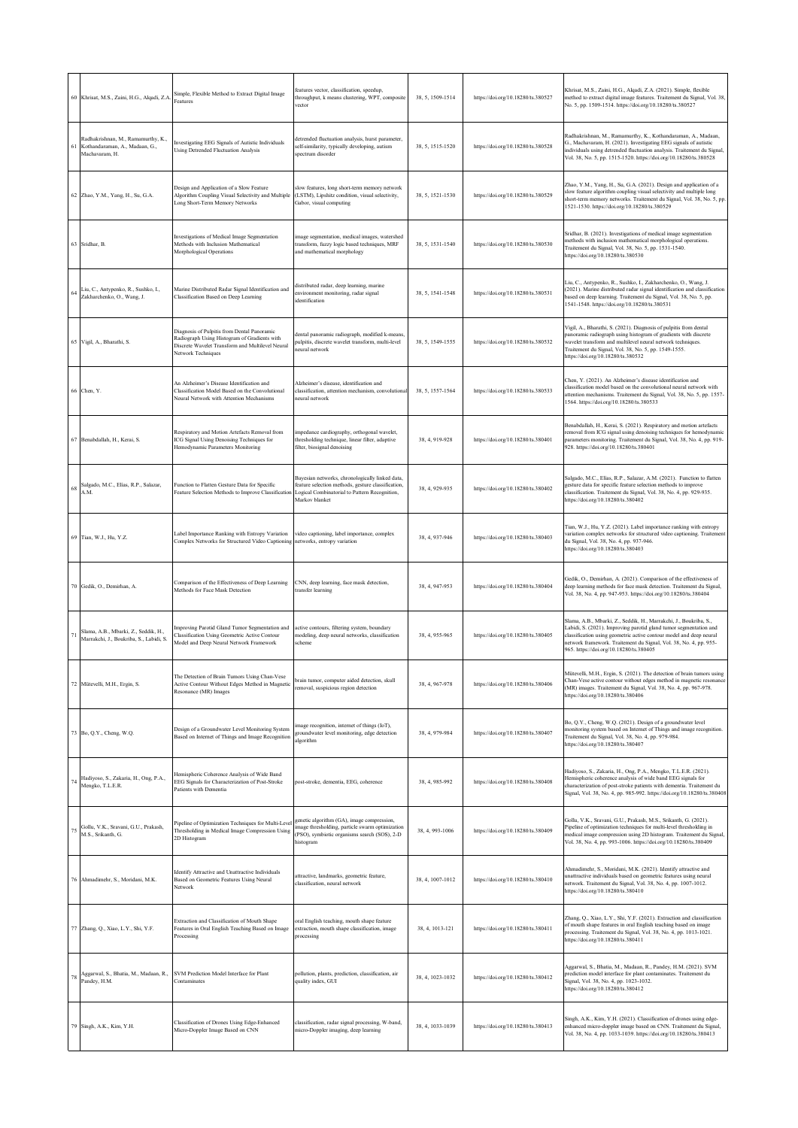|    | 60 Khrisat, M.S., Zaini, H.G., Alqadi, Z.A.                                               | Simple, Flexible Method to Extract Digital Image<br>Features                                                                                                          | features vector, classification, speedup,<br>throughput, k means clustering, WPT, composite<br>vector                                                                    | 38, 5, 1509-1514 | https://doi.org/10.18280/ts.380527 | Khrisat, M.S., Zaini, H.G., Alqadi, Z.A. (2021). Simple, flexible<br>method to extract digital image features. Traitement du Signal, Vol. 38,<br>No. 5, pp. 1509-1514. https://doi.org/10.18280/ts.380527                                                                                                                     |
|----|-------------------------------------------------------------------------------------------|-----------------------------------------------------------------------------------------------------------------------------------------------------------------------|--------------------------------------------------------------------------------------------------------------------------------------------------------------------------|------------------|------------------------------------|-------------------------------------------------------------------------------------------------------------------------------------------------------------------------------------------------------------------------------------------------------------------------------------------------------------------------------|
|    | Radhakrishnan, M., Ramamurthy, K.,<br>61 Kothandaraman, A., Madaan, G.,<br>Machavaram, H. | nvestigating EEG Signals of Autistic Individuals<br>Using Detrended Fluctuation Analysis                                                                              | detrended fluctuation analysis, hurst parameter,<br>self-similarity, typically developing, autism<br>spectrum disorder                                                   | 38, 5, 1515-1520 | https://doi.org/10.18280/ts.380528 | Radhakrishnan, M., Ramamurthy, K., Kothandaraman, A., Madaan,<br>G., Machavaram, H. (2021). Investigating EEG signals of autistic<br>individuals using detrended fluctuation analysis. Traitement du Signal,<br>Vol. 38, No. 5, pp. 1515-1520. https://doi.org/10.18280/ts.380528                                             |
|    | 62 Zhao, Y.M., Yang, H., Su, G.A.                                                         | Design and Application of a Slow Feature<br>Algorithm Coupling Visual Selectivity and Multiple<br>Long Short-Term Memory Networks                                     | slow features, long short-term memory network<br>(LSTM), Lipshitz condition, visual selectivity,<br>Gabor, visual computing                                              | 38, 5, 1521-1530 | https://doi.org/10.18280/ts.380529 | Zhao, Y.M., Yang, H., Su, G.A. (2021). Design and application of a<br>slow feature algorithm coupling visual selectivity and multiple long<br>short-term memory networks. Traitement du Signal, Vol. 38, No. 5, pp.<br>1521-1530. https://doi.org/10.18280/ts.380529                                                          |
|    | 63 Sridhar, B.                                                                            | Investigations of Medical Image Segmentation<br>Methods with Inclusion Mathematical<br>Morphological Operations                                                       | image segmentation, medical images, watershed<br>ransform, fuzzy logic based techniques, MRF<br>and mathematical morphology                                              | 38, 5, 1531-1540 | https://doi.org/10.18280/ts.380530 | Sridhar, B. (2021). Investigations of medical image segmentation<br>methods with inclusion mathematical morphological operations.<br>Traitement du Signal, Vol. 38, No. 5, pp. 1531-1540.<br>https://doi.org/10.18280/ts.380530                                                                                               |
|    | $64$ Liu, C., Antypenko, R., Sushko, I.,<br>Zakharchenko, O., Wang, J.                    | Marine Distributed Radar Signal Identification and<br>Classification Based on Deep Learning                                                                           | distributed radar, deep learning, marine<br>environment monitoring, radar signal<br>identification                                                                       | 38, 5, 1541-1548 | https://doi.org/10.18280/ts.380531 | Liu, C., Antypenko, R., Sushko, I., Zakharchenko, O., Wang, J.<br>(2021). Marine distributed radar signal identification and classification<br>based on deep learning. Traitement du Signal, Vol. 38, No. 5, pp.<br>1541-1548. https://doi.org/10.18280/ts.380531                                                             |
|    | 65 Vigil, A., Bharathi, S.                                                                | Diagnosis of Pulpitis from Dental Panoramic<br>Radiograph Using Histogram of Gradients with<br>Discrete Wavelet Transform and Multilevel Neural<br>Network Techniques | dental panoramic radiograph, modified k-means,<br>pulpitis, discrete wavelet transform, multi-level<br>neural network                                                    | 38, 5, 1549-1555 | https://doi.org/10.18280/ts.380532 | Vigil, A., Bharathi, S. (2021). Diagnosis of pulpitis from dental<br>panoramic radiograph using histogram of gradients with discrete<br>wavelet transform and multilevel neural network techniques.<br>Traitement du Signal, Vol. 38, No. 5, pp. 1549-1555.<br>https://doi.org/10.18280/ts.380532                             |
|    | 66 Chen, Y.                                                                               | An Alzheimer's Disease Identification and<br>Classification Model Based on the Convolutional<br>Neural Network with Attention Mechanisms                              | Alzheimer's disease, identification and<br>classification, attention mechanism, convolutional<br>neural network                                                          | 38, 5, 1557-1564 | https://doi.org/10.18280/ts.380533 | Chen, Y. (2021). An Alzheimer's disease identification and<br>classification model based on the convolutional neural network with<br>attention mechanisms. Traitement du Signal, Vol. 38, No. 5, pp. 1557-<br>1564. https://doi.org/10.18280/ts.380533                                                                        |
|    | 67 Benabdallah, H., Kerai, S.                                                             | Respiratory and Motion Artefacts Removal from<br>ICG Signal Using Denoising Techniques for<br>Hemodynamic Parameters Monitoring                                       | impedance cardiography, orthogonal wavelet,<br>thresholding technique, linear filter, adaptive<br>filter, biosignal denoising                                            | 38, 4, 919-928   | https://doi.org/10.18280/ts.380401 | Benabdallah, H., Kerai, S. (2021). Respiratory and motion artefacts<br>removal from ICG signal using denoising techniques for hemodynamic<br>parameters monitoring. Traitement du Signal, Vol. 38, No. 4, pp. 919-<br>928. https://doi.org/10.18280/ts.380401                                                                 |
|    | Salgado, M.C., Elías, R.P., Salazar,<br>A.M.                                              | Function to Flatten Gesture Data for Specific<br>Feature Selection Methods to Improve Classification                                                                  | Bayesian networks, chronologically linked data,<br>feature selection methods, gesture classification,<br>Logical Combinatorial to Pattern Recognition,<br>Markov blanket | 38, 4, 929-935   | https://doi.org/10.18280/ts.380402 | Salgado, M.C., Elías, R.P., Salazar, A.M. (2021). Function to flatten<br>gesture data for specific feature selection methods to improve<br>classification. Traitement du Signal, Vol. 38, No. 4, pp. 929-935.<br>https://doi.org/10.18280/ts.380402                                                                           |
|    | 69 Tian, W.J., Hu, Y.Z.                                                                   | Label Importance Ranking with Entropy Variation<br>Complex Networks for Structured Video Captioning                                                                   | video captioning, label importance, complex<br>networks, entropy variation                                                                                               | 38, 4, 937-946   | https://doi.org/10.18280/ts.380403 | Tian, W.J., Hu, Y.Z. (2021). Label importance ranking with entropy<br>variation complex networks for structured video captioning. Traitement<br>du Signal, Vol. 38, No. 4, pp. 937-946.<br>https://doi.org/10.18280/ts.380403                                                                                                 |
|    | 70 Gedik, O., Demirhan, A.                                                                | Comparison of the Effectiveness of Deep Learning<br>Methods for Face Mask Detection                                                                                   | CNN, deep learning, face mask detection,<br>transfer learning                                                                                                            | 38, 4, 947-953   | https://doi.org/10.18280/ts.380404 | Gedik, O., Demirhan, A. (2021). Comparison of the effectiveness of<br>deep learning methods for face mask detection. Traitement du Signal,<br>Vol. 38, No. 4, pp. 947-953. https://doi.org/10.18280/ts.380404                                                                                                                 |
| 71 | Slama, A.B., Mbarki, Z., Seddik, H.,<br>Marrakchi, J., Boukriba, S., Labidi, S.           | Improving Parotid Gland Tumor Segmentation and<br>Classification Using Geometric Active Contour<br>Model and Deep Neural Network Framework                            | active contours, filtering system, boundary<br>modeling, deep neural networks, classification<br>scheme                                                                  | 38, 4, 955-965   | https://doi.org/10.18280/ts.380405 | Slama, A.B., Mbarki, Z., Seddik, H., Marrakchi, J., Boukriba, S.,<br>Labidi, S. (2021). Improving parotid gland tumor segmentation and<br>classification using geometric active contour model and deep neural<br>network framework. Traitement du Signal, Vol. 38, No. 4, pp. 955-<br>965. https://doi.org/10.18280/ts.380405 |
|    | 72 Mütevelli, M.H., Ergin, S.                                                             | The Detection of Brain Tumors Using Chan-Vese<br>Active Contour Without Edges Method in Magnetic<br>Resonance (MR) Images                                             | brain tumor, computer aided detection, skull<br>removal, suspicious region detection                                                                                     | 38, 4, 967-978   | https://doi.org/10.18280/ts.380406 | M.H., Ergin, S. (2021). The dete<br>Chan-Vese active contour without edges method in magnetic resonance<br>(MR) images. Traitement du Signal, Vol. 38, No. 4, pp. 967-978.<br>https://doi.org/10.18280/ts.380406                                                                                                              |
|    | 73 Bo, Q.Y., Cheng, W.Q.                                                                  | Design of a Groundwater Level Monitoring System<br>Based on Internet of Things and Image Recognition                                                                  | mage recognition, internet of things (IoT),<br>groundwater level monitoring, edge detection<br>algorithm                                                                 | 38, 4, 979-984   | https://doi.org/10.18280/ts.380407 | Bo, Q.Y., Cheng, W.Q. (2021). Design of a groundwater level<br>monitoring system based on Internet of Things and image recognition.<br>Traitement du Signal, Vol. 38, No. 4, pp. 979-984.<br>https://doi.org/10.18280/ts.380407                                                                                               |
|    | Hadiyoso, S., Zakaria, H., Ong, P.A.,<br>74 Mengko, T.L.E.R.                              | Iemispheric Coherence Analysis of Wide Band<br>EEG Signals for Characterization of Post-Stroke<br>Patients with Dementia                                              | post-stroke, dementia, EEG, coherence                                                                                                                                    | 38, 4, 985-992   | https://doi.org/10.18280/ts.380408 | Hadiyoso, S., Zakaria, H., Ong, P.A., Mengko, T.L.E.R. (2021).<br>Hemispheric coherence analysis of wide band EEG signals for<br>characterization of post-stroke patients with dementia. Traitement du<br>Signal, Vol. 38, No. 4, pp. 985-992. https://doi.org/10.18280/ts.380408                                             |
|    | 75 Gollu, V.K., Sravani, G.U., Prakash,<br>M.S., Srikanth, G.                             | Pipeline of Optimization Techniques for Multi-Level<br>Thresholding in Medical Image Compression Using<br>2D Histogram                                                | genetic algorithm (GA), image compression,<br>image thresholding, particle swarm optimization<br>(PSO), symbiotic organisms search (SOS), 2-D<br>histogram               | 38, 4, 993-1006  | https://doi.org/10.18280/ts.380409 | Gollu, V.K., Sravani, G.U., Prakash, M.S., Srikanth, G. (2021).<br>Pipeline of optimization techniques for multi-level thresholding in<br>medical image compression using 2D histogram. Traitement du Signal,<br>Vol. 38, No. 4, pp. 993-1006. https://doi.org/10.18280/ts.380409                                             |
|    | 76 Ahmadimehr, S., Moridani, M.K.                                                         | Identify Attractive and Unattractive Individuals<br>Based on Geometric Features Using Neural<br>Network                                                               | attractive, landmarks, geometric feature,<br>classification, neural network                                                                                              | 38, 4, 1007-1012 | https://doi.org/10.18280/ts.380410 | Ahmadimehr, S., Moridani, M.K. (2021). Identify attractive and<br>unattractive individuals based on geometric features using neural<br>network. Traitement du Signal, Vol. 38, No. 4, pp. 1007-1012.<br>https://doi.org/10.18280/ts.380410                                                                                    |
|    | 77 Zhang, Q., Xiao, L.Y., Shi, Y.F.                                                       | Extraction and Classification of Mouth Shape<br>Features in Oral English Teaching Based on Image<br>Processing                                                        | oral English teaching, mouth shape feature<br>extraction, mouth shape classification, image<br>processing                                                                | 38, 4, 1013-121  | https://doi.org/10.18280/ts.380411 | Zhang, Q., Xiao, L.Y., Shi, Y.F. (2021). Extraction and classification<br>of mouth shape features in oral English teaching based on image<br>processing. Traitement du Signal, Vol. 38, No. 4, pp. 1013-1021.<br>https://doi.org/10.18280/ts.380411                                                                           |
|    | Pandey, H.M.                                                                              | 78 Aggarwal, S., Bhatia, M., Madaan, R., SVM Prediction Model Interface for Plant<br>Contaminates                                                                     | pollution, plants, prediction, classification, air<br>quality index, GUI                                                                                                 | 38, 4, 1023-1032 | https://doi.org/10.18280/ts.380412 | Aggarwal, S., Bhatia, M., Madaan, R., Pandey, H.M. (2021). SVM<br>prediction model interface for plant contaminates. Traitement du<br>Signal, Vol. 38, No. 4, pp. 1023-1032.<br>https://doi.org/10.18280/ts.380412                                                                                                            |
|    | 79 Singh, A.K., Kim, Y.H.                                                                 | Classification of Drones Using Edge-Enhanced<br>Micro-Doppler Image Based on CNN                                                                                      | classification, radar signal processing, W-band,<br>micro-Doppler imaging, deep learning                                                                                 | 38, 4, 1033-1039 | https://doi.org/10.18280/ts.380413 | Singh, A.K., Kim, Y.H. (2021). Classification of drones using edge-<br>enhanced micro-doppler image based on CNN. Traitement du Signal,<br>Vol. 38, No. 4, pp. 1033-1039. https://doi.org/10.18280/ts.380413                                                                                                                  |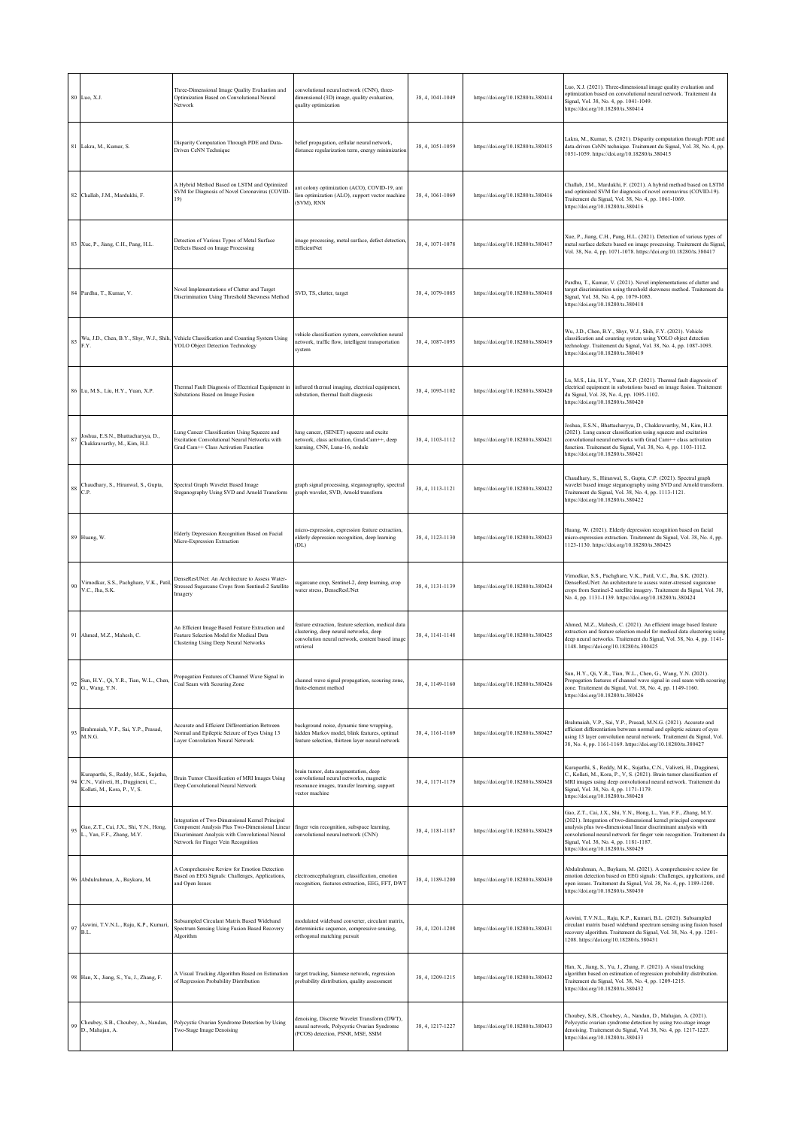|        | 80 Luo, X.J.                                                                                                | Three-Dimensional Image Quality Evaluation and<br>Optimization Based on Convolutional Neural<br>Network                                                                                     | convolutional neural network (CNN), three-<br>dimensional (3D) image, quality evaluation,<br>quality optimization                                             | 38, 4, 1041-1049 | https://doi.org/10.18280/ts.380414 | Luo, X.J. (2021). Three-dimensional image quality evaluation and<br>optimization based on convolutional neural network. Traitement du<br>Signal, Vol. 38, No. 4, pp. 1041-1049.<br>https://doi.org/10.18280/ts.380414                                                                                                                                                |
|--------|-------------------------------------------------------------------------------------------------------------|---------------------------------------------------------------------------------------------------------------------------------------------------------------------------------------------|---------------------------------------------------------------------------------------------------------------------------------------------------------------|------------------|------------------------------------|----------------------------------------------------------------------------------------------------------------------------------------------------------------------------------------------------------------------------------------------------------------------------------------------------------------------------------------------------------------------|
|        | 81 Lakra, M., Kumar, S.                                                                                     | Disparity Computation Through PDE and Data-<br>Driven CeNN Technique                                                                                                                        | belief propagation, cellular neural network,<br>distance regularization term, energy minimization                                                             | 38, 4, 1051-1059 | https://doi.org/10.18280/ts.380415 | Lakra, M., Kumar, S. (2021). Disparity computation through PDE and<br>data-driven CeNN technique. Traitement du Signal, Vol. 38, No. 4, pp.<br>1051-1059. https://doi.org/10.18280/ts.380415                                                                                                                                                                         |
|        | 82 Challab, J.M., Mardukhi, F.                                                                              | A Hybrid Method Based on LSTM and Optimized<br>SVM for Diagnosis of Novel Coronavirus (COVID-<br>19)                                                                                        | ant colony optimization (ACO), COVID-19, ant<br>lion optimization (ALO), support vector machine<br>(SVM), RNN                                                 | 38, 4, 1061-1069 | https://doi.org/10.18280/ts.380416 | Challab, J.M., Mardukhi, F. (2021). A hybrid method based on LSTM<br>and optimized SVM for diagnosis of novel coronavirus (COVID-19).<br>Traitement du Signal, Vol. 38, No. 4, pp. 1061-1069.<br>https://doi.org/10.18280/ts.380416                                                                                                                                  |
|        | 83 Xue, P., Jiang, C.H., Pang, H.L.                                                                         | Detection of Various Types of Metal Surface<br>Defects Based on Image Processing                                                                                                            | image processing, metal surface, defect detection<br>EfficientNet                                                                                             | 38, 4, 1071-1078 | https://doi.org/10.18280/ts.380417 | Xue, P., Jiang, C.H., Pang, H.L. (2021). Detection of various types of<br>metal surface defects based on image processing. Traitement du Signal,<br>Vol. 38, No. 4, pp. 1071-1078. https://doi.org/10.18280/ts.380417                                                                                                                                                |
|        | 84 Pardhu, T., Kumar, V.                                                                                    | Novel Implementations of Clutter and Target<br>Discrimination Using Threshold Skewness Method                                                                                               | SVD, TS, clutter, target                                                                                                                                      | 38, 4, 1079-1085 | https://doi.org/10.18280/ts.380418 | Pardhu, T., Kumar, V. (2021). Novel implementations of clutter and<br>target discrimination using threshold skewness method. Traitement du<br>Signal, Vol. 38, No. 4, pp. 1079-1085.<br>https://doi.org/10.18280/ts.380418                                                                                                                                           |
| 85     | F.Y.                                                                                                        | Wu, J.D., Chen, B.Y., Shyr, W.J., Shih, Vehicle Classification and Counting System Using<br><b>YOLO Object Detection Technology</b>                                                         | vehicle classification system, convolution neural<br>network, traffic flow, intelligent transportation<br>system                                              | 38, 4, 1087-1093 | https://doi.org/10.18280/ts.380419 | Wu, J.D., Chen, B.Y., Shyr, W.J., Shih, F.Y. (2021). Vehicle<br>classification and counting system using YOLO object detection<br>technology. Traitement du Signal, Vol. 38, No. 4, pp. 1087-1093.<br>https://doi.org/10.18280/ts.380419                                                                                                                             |
|        | 86 Lu, M.S., Liu, H.Y., Yuan, X.P.                                                                          | Thermal Fault Diagnosis of Electrical Equipment in infrared thermal imaging, electrical equipment,<br>Substations Based on Image Fusion                                                     | substation, thermal fault diagnosis                                                                                                                           | 38, 4, 1095-1102 | https://doi.org/10.18280/ts.380420 | Lu, M.S., Liu, H.Y., Yuan, X.P. (2021). Thermal fault diagnosis of<br>electrical equipment in substations based on image fusion. Traitement<br>du Signal, Vol. 38, No. 4, pp. 1095-1102.<br>https://doi.org/10.18280/ts.380420                                                                                                                                       |
| 87     | Joshua, E.S.N., Bhattacharyya, D.,<br>Chakkravarthy, M., Kim, H.J.                                          | Lung Cancer Classification Using Squeeze and<br>Excitation Convolutional Neural Networks with<br>Grad Cam++ Class Activation Function                                                       | lung cancer, (SENET) squeeze and excite<br>network, class activation, Grad-Cam++, deep<br>learning, CNN, Luna-16, nodule                                      | 38, 4, 1103-1112 | https://doi.org/10.18280/ts.380421 | Joshua, E.S.N., Bhattacharyya, D., Chakkravarthy, M., Kim, H.J.<br>(2021). Lung cancer classification using squeeze and excitation<br>convolutional neural networks with Grad Cam++ class activation<br>function. Traitement du Signal, Vol. 38, No. 4, pp. 1103-1112.<br>https://doi.org/10.18280/ts.380421                                                         |
| 88     | Chaudhary, S., Hiranwal, S., Gupta,<br>C.P.                                                                 | Spectral Graph Wavelet Based Image<br>Steganography Using SVD and Arnold Transform                                                                                                          | graph signal processing, steganography, spectral<br>graph wavelet, SVD, Arnold transform                                                                      | 38, 4, 1113-1121 | https://doi.org/10.18280/ts.380422 | Chaudhary, S., Hiranwal, S., Gupta, C.P. (2021). Spectral graph<br>wavelet based image steganography using SVD and Arnold transform.<br>Traitement du Signal, Vol. 38, No. 4, pp. 1113-1121.<br>https://doi.org/10.18280/ts.380422                                                                                                                                   |
|        | 89 Huang, W.                                                                                                | Elderly Depression Recognition Based on Facial<br>Micro-Expression Extraction                                                                                                               | micro-expression, expression feature extraction,<br>elderly depression recognition, deep learning<br>(DL)                                                     | 38, 4, 1123-1130 | https://doi.org/10.18280/ts.380423 | Huang, W. (2021). Elderly depression recognition based on facial<br>micro-expression extraction. Traitement du Signal, Vol. 38, No. 4, pp.<br>1123-1130. https://doi.org/10.18280/ts.380423                                                                                                                                                                          |
| 90     | Virnodkar, S.S., Pachghare, V.K., Patil<br>V.C., Jha, S.K.                                                  | DenseResUNet: An Architecture to Assess Water-<br>Stressed Sugarcane Crops from Sentinel-2 Satellite<br>magery                                                                              | ugarcane crop, Sentinel-2, deep learning, crop<br>water stress, DenseResUNet                                                                                  | 38, 4, 1131-1139 | https://doi.org/10.18280/ts.380424 | Virnodkar, S.S., Pachghare, V.K., Patil, V.C., Jha, S.K. (2021).<br>DenseResUNet: An architecture to assess water-stressed sugarcane<br>crops from Sentinel-2 satellite imagery. Traitement du Signal, Vol. 38,<br>No. 4, pp. 1131-1139. https://doi.org/10.18280/ts.380424                                                                                          |
| 91     | Ahmed, M.Z., Mahesh, C.                                                                                     | An Efficient Image Based Feature Extraction and<br>Feature Selection Model for Medical Data<br>Clustering Using Deep Neural Networks                                                        | feature extraction, feature selection, medical data<br>clustering, deep neural networks, deep<br>convolution neural network, content based image<br>retrieval | 38, 4, 1141-1148 | https://doi.org/10.18280/ts.380425 | Ahmed, M.Z., Mahesh, C. (2021). An efficient image based feature<br>extraction and feature selection model for medical data clustering using<br>deep neural networks. Traitement du Signal, Vol. 38, No. 4, pp. 1141-<br>1148. https://doi.org/10.18280/ts.380425                                                                                                    |
| 92     | Sun, H.Y., Qi, Y.R., Tian, W.L., Chen, Propagation reatures or Channel<br>G., Wang, Y.N.                    | Propagation Features of Channel Wave Signal in                                                                                                                                              | channel wave signal propagation, scouring zone,<br>finite-element method                                                                                      | 38, 4, 1149-1160 | https://doi.org/10.18280/ts.380426 | H.Y., Qi, Y.R., Tian, W.L., Chen, G., Wang, Y.N. (2021).<br>Propagation features of channel wave signal in coal seam with scouring<br>zone. Traitement du Signal, Vol. 38, No. 4, pp. 1149-1160.<br>https://doi.org/10.18280/ts.380426                                                                                                                               |
| 93     | Brahmaiah, V.P., Sai, Y.P., Prasad,<br>M.N.G.                                                               | Accurate and Efficient Differentiation Between<br>Normal and Epileptic Seizure of Eyes Using 13<br>Layer Convolution Neural Network                                                         | background noise, dynamic time wrapping,<br>hidden Markov model, blink features, optimal<br>feature selection, thirteen layer neural network                  | 38, 4, 1161-1169 | https://doi.org/10.18280/ts.380427 | Brahmaiah, V.P., Sai, Y.P., Prasad, M.N.G. (2021). Accurate and<br>efficient differentiation between normal and epileptic seizure of eyes<br>using 13 layer convolution neural network. Traitement du Signal, Vol.<br>38, No. 4, pp. 1161-1169. https://doi.org/10.18280/ts.380427                                                                                   |
| 94     | Kuraparthi, S., Reddy, M.K., Sujatha,<br>C.N., Valiveti, H., Duggineni, C.,<br>Kollati, M., Kora, P., V, S. | Brain Tumor Classification of MRI Images Using<br>Deep Convolutional Neural Network                                                                                                         | brain tumor, data augmentation, deep<br>convolutional neural networks, magnetic<br>resonance images, transfer learning, support<br>vector machine             | 38, 4, 1171-1179 | https://doi.org/10.18280/ts.380428 | Kuraparthi, S., Reddy, M.K., Sujatha, C.N., Valiveti, H., Duggineni,<br>C., Kollati, M., Kora, P., V, S. (2021). Brain tumor classification of<br>MRI images using deep convolutional neural network. Traitement du<br>Signal, Vol. 38, No. 4, pp. 1171-1179.<br>https://doi.org/10.18280/ts.380428                                                                  |
| 95     | Gao, Z.T., Cai, J.X., Shi, Y.N., Hong,<br>L., Yan, F.F., Zhang, M.Y.                                        | Integration of Two-Dimensional Kernel Principal<br>Component Analysis Plus Two-Dimensional Linear<br>Discriminant Analysis with Convolutional Neural<br>Network for Finger Vein Recognition | finger vein recognition, subspace learning,<br>convolutional neural network (CNN)                                                                             | 38, 4, 1181-1187 | https://doi.org/10.18280/ts.380429 | Gao, Z.T., Cai, J.X., Shi, Y.N., Hong, L., Yan, F.F., Zhang, M.Y.<br>(2021). Integration of two-dimensional kernel principal component<br>analysis plus two-dimensional linear discriminant analysis with<br>convolutional neural network for finger vein recognition. Traitement du<br>Signal, Vol. 38, No. 4, pp. 1181-1187.<br>https://doi.org/10.18280/ts.380429 |
|        | 96 Abdulrahman, A., Baykara, M.                                                                             | A Comprehensive Review for Emotion Detection<br>Based on EEG Signals: Challenges, Applications,<br>and Open Issues                                                                          | electroencephalogram, classification, emotion<br>recognition, features extraction, EEG, FFT, DWT                                                              | 38, 4, 1189-1200 | https://doi.org/10.18280/ts.380430 | Abdulrahman, A., Baykara, M. (2021). A comprehensive review for<br>emotion detection based on EEG signals: Challenges, applications, and<br>open issues. Traitement du Signal, Vol. 38, No. 4, pp. 1189-1200.<br>https://doi.org/10.18280/ts.380430                                                                                                                  |
| $97\,$ | Aswini, T.V.N.L., Raju, K.P., Kumari,<br>B.L.                                                               | Subsampled Circulant Matrix Based Wideband<br>Spectrum Sensing Using Fusion Based Recovery<br>Algorithm                                                                                     | modulated wideband converter, circulant matrix,<br>deterministic sequence, compressive sensing,<br>orthogonal matching pursuit                                | 38, 4, 1201-1208 | https://doi.org/10.18280/ts.380431 | Aswini, T.V.N.L., Raju, K.P., Kumari, B.L. (2021). Subsampled<br>circulant matrix based wideband spectrum sensing using fusion based<br>recovery algorithm. Traitement du Signal, Vol. 38, No. 4, pp. 1201-<br>1208. https://doi.org/10.18280/ts.380431                                                                                                              |
|        | 98 Han, X., Jiang, S., Yu, J., Zhang, F.                                                                    | A Visual Tracking Algorithm Based on Estimation<br>of Regression Probability Distribution                                                                                                   | target tracking, Siamese network, regression<br>probability distribution, quality assessment                                                                  | 38, 4, 1209-1215 | https://doi.org/10.18280/ts.380432 | Han, X., Jiang, S., Yu, J., Zhang, F. (2021). A visual tracking<br>algorithm based on estimation of regression probability distribution.<br>Traitement du Signal, Vol. 38, No. 4, pp. 1209-1215.<br>https://doi.org/10.18280/ts.380432                                                                                                                               |
| 99     | Choubey, S.B., Choubey, A., Nandan,<br>D., Mahajan, A.                                                      | Polycystic Ovarian Syndrome Detection by Using<br>Two-Stage Image Denoising                                                                                                                 | denoising, Discrete Wavelet Transform (DWT),<br>neural network, Polycystic Ovarian Syndrome<br>(PCOS) detection, PSNR, MSE, SSIM                              | 38, 4, 1217-1227 | https://doi.org/10.18280/ts.380433 | Choubey, S.B., Choubey, A., Nandan, D., Mahajan, A. (2021).<br>Polycystic ovarian syndrome detection by using two-stage image<br>denoising. Traitement du Signal, Vol. 38, No. 4, pp. 1217-1227.<br>https://doi.org/10.18280/ts.380433                                                                                                                               |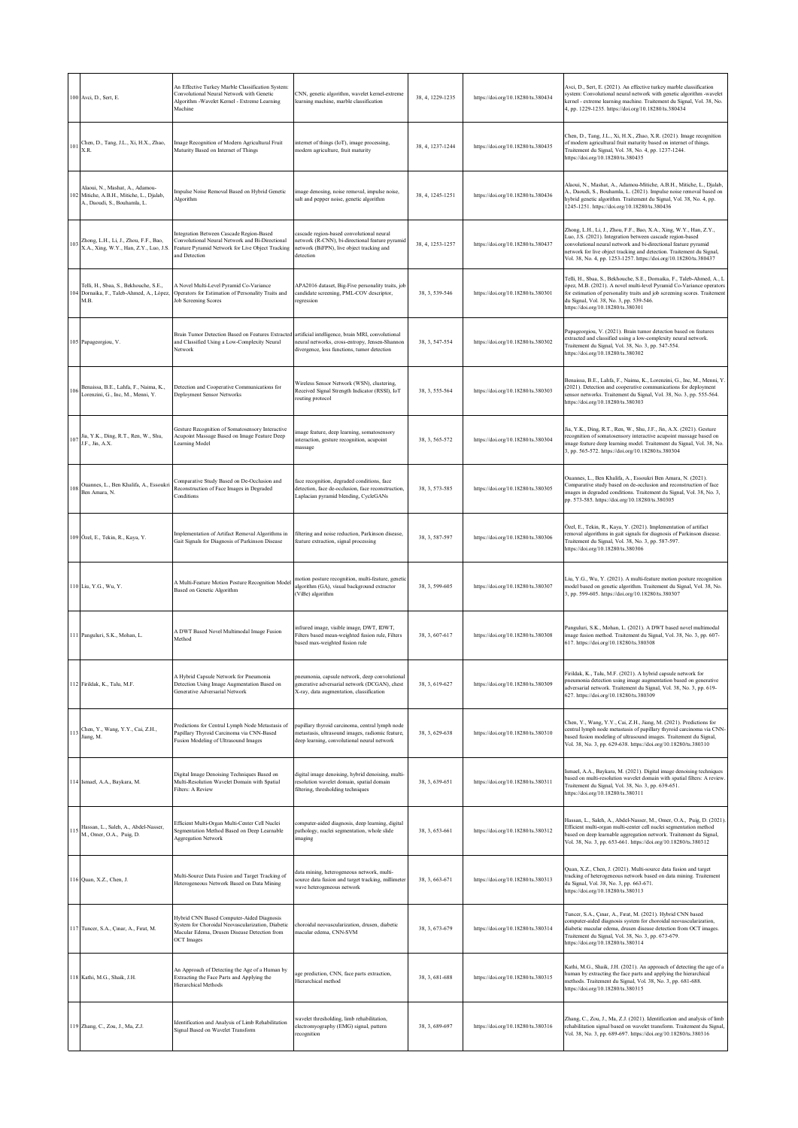|     | 100 Avci, D., Sert, E.                                                                                   | An Effective Turkey Marble Classification System:<br>Convolutional Neural Network with Genetic<br>Algorithm -Wavelet Kernel - Extreme Learning<br>Machine           | CNN, genetic algorithm, wavelet kernel-extreme<br>learning machine, marble classification                                                              | 38, 4, 1229-1235 | https://doi.org/10.18280/ts.380434 | Avci, D., Sert, E. (2021). An effective turkey marble classification<br>system: Convolutional neural network with genetic algorithm -wavelet<br>kernel - extreme learning machine. Traitement du Signal, Vol. 38, No.<br>4, pp. 1229-1235. https://doi.org/10.18280/ts.380434                                                                     |
|-----|----------------------------------------------------------------------------------------------------------|---------------------------------------------------------------------------------------------------------------------------------------------------------------------|--------------------------------------------------------------------------------------------------------------------------------------------------------|------------------|------------------------------------|---------------------------------------------------------------------------------------------------------------------------------------------------------------------------------------------------------------------------------------------------------------------------------------------------------------------------------------------------|
| 101 | Chen, D., Tang, J.L., Xi, H.X., Zhao,<br>XR.                                                             | Image Recognition of Modern Agricultural Fruit<br>Maturity Based on Internet of Things                                                                              | internet of things (IoT), image processing,<br>modern agriculture, fruit maturity                                                                      | 38, 4, 1237-1244 | https://doi.org/10.18280/ts.380435 | Chen, D., Tang, J.L., Xi, H.X., Zhao, X.R. (2021). Image recognition<br>of modern agricultural fruit maturity based on internet of things.<br>Traitement du Signal, Vol. 38, No. 4, pp. 1237-1244.<br>https://doi.org/10.18280/ts.380435                                                                                                          |
| 102 | Alaoui, N., Mashat, A., Adamou-<br>Mitiche, A.B.H., Mitiche, L., Djalab,<br>A., Daoudi, S., Bouhamla, L. | Impulse Noise Removal Based on Hybrid Genetic<br>Algorithm                                                                                                          | image denosing, noise removal, impulse noise,<br>salt and pepper noise, genetic algorithm                                                              | 38, 4, 1245-1251 | https://doi.org/10.18280/ts.380436 | Alaoui, N., Mashat, A., Adamou-Mitiche, A.B.H., Mitiche, L., Djalab,<br>A., Daoudi, S., Bouhamla, L. (2021). Impulse noise removal based on<br>hybrid genetic algorithm. Traitement du Signal, Vol. 38, No. 4, pp.<br>1245-1251. https://doi.org/10.18280/ts.380436                                                                               |
| 103 | Zhong, L.H., Li, J., Zhou, F.F., Bao,<br>X.A., Xing, W.Y., Han, Z.Y., Luo, J.S                           | Integration Between Cascade Region-Based<br>Convolutional Neural Network and Bi-Directional<br>Feature Pyramid Network for Live Object Tracking<br>and Detection    | cascade region-based convolutional neural<br>network (R-CNN), bi-directional feature pyramic<br>network (BiFPN), live object tracking and<br>detection | 38, 4, 1253-1257 | https://doi.org/10.18280/ts.380437 | Zhong, L.H., Li, J., Zhou, F.F., Bao, X.A., Xing, W.Y., Han, Z.Y.,<br>Luo, J.S. (2021). Integration between cascade region-based<br>convolutional neural network and bi-directional feature pyramid<br>network for live object tracking and detection. Traitement du Signal,<br>Vol. 38, No. 4, pp. 1253-1257. https://doi.org/10.18280/ts.380437 |
| 104 | Telli, H., Sbaa, S., Bekhouche, S.E.,<br>Dornaika, F., Taleb-Ahmed, A., López<br>M.B.                    | A Novel Multi-Level Pyramid Co-Variance<br>Operators for Estimation of Personality Traits and<br>Job Screening Scores                                               | APA2016 dataset, Big-Five personality traits, job<br>candidate screening, PML-COV descriptor,<br>regression                                            | 38, 3, 539-546   | https://doi.org/10.18280/ts.380301 | Telli, H., Sbaa, S., Bekhouche, S.E., Dornaika, F., Taleb-Ahmed, A., L<br>ópez, M.B. (2021). A novel multi-level Pyramid Co-Variance operators<br>for estimation of personality traits and job screening scores. Traitement<br>du Signal, Vol. 38, No. 3, pp. 539-546.<br>https://doi.org/10.18280/ts.380301                                      |
|     | 105 Papageorgiou, V.                                                                                     | Brain Tumor Detection Based on Features Extracted<br>and Classified Using a Low-Complexity Neural<br>Network                                                        | artificial intelligence, brain MRI, convolutional<br>neural networks, cross-entropy, Jensen-Shannon<br>divergence, loss functions, tumor detection     | 38, 3, 547-554   | https://doi.org/10.18280/ts.380302 | Papageorgiou, V. (2021). Brain tumor detection based on features<br>extracted and classified using a low-complexity neural network.<br>Traitement du Signal, Vol. 38, No. 3, pp. 547-554.<br>https://doi.org/10.18280/ts.380302                                                                                                                   |
| 106 | Benaissa, B.E., Lahfa, F., Naima, K.,<br>Lorenzini, G., Inc, M., Menni, Y.                               | Detection and Cooperative Communications for<br>Deployment Sensor Networks                                                                                          | Wireless Sensor Network (WSN), clustering,<br>Received Signal Strength Indicator (RSSI), IoT<br>routing protocol                                       | 38, 3, 555-564   | https://doi.org/10.18280/ts.380303 | Benaissa, B.E., Lahfa, F., Naima, K., Lorenzini, G., Inc, M., Menni, Y.<br>(2021). Detection and cooperative communications for deployment<br>sensor networks. Traitement du Signal, Vol. 38, No. 3, pp. 555-564.<br>https://doi.org/10.18280/ts.380303                                                                                           |
| 107 | Jia, Y.K., Ding, R.T., Ren, W., Shu,<br>J.F., Jin, A.X.                                                  | Gesture Recognition of Somatosensory Interactive<br>Acupoint Massage Based on Image Feature Deep<br>Learning Model                                                  | image feature, deep learning, somatosensory<br>interaction, gesture recognition, acupoint<br>massage                                                   | 38, 3, 565-572   | https://doi.org/10.18280/ts.380304 | Jia, Y.K., Ding, R.T., Ren, W., Shu, J.F., Jin, A.X. (2021). Gesture<br>recognition of somatosensory interactive acupoint massage based on<br>image feature deep learning model. Traitement du Signal, Vol. 38, No.<br>3, pp. 565-572. https://doi.org/10.18280/ts.380304                                                                         |
| 108 | Ouannes, L., Ben Khalifa, A., Essoukri<br>Ben Amara, N.                                                  | Comparative Study Based on De-Occlusion and<br>Reconstruction of Face Images in Degraded<br>Conditions                                                              | face recognition, degraded conditions, face<br>detection, face de-occlusion, face reconstruction,<br>Laplacian pyramid blending, CycleGANs             | 38, 3, 573-585   | https://doi.org/10.18280/ts.380305 | Ouannes, L., Ben Khalifa, A., Essoukri Ben Amara, N. (2021).<br>Comparative study based on de-occlusion and reconstruction of face<br>images in degraded conditions. Traitement du Signal, Vol. 38, No. 3,<br>pp. 573-585. https://doi.org/10.18280/ts.380305                                                                                     |
|     | 109 Özel, E., Tekin, R., Kaya, Y.                                                                        | Implementation of Artifact Removal Algorithms in<br>Gait Signals for Diagnosis of Parkinson Disease                                                                 | filtering and noise reduction, Parkinson disease,<br>feature extraction, signal processing                                                             | 38, 3, 587-597   | https://doi.org/10.18280/ts.380306 | Özel, E., Tekin, R., Kaya, Y. (2021). Implementation of artifact<br>removal algorithms in gait signals for diagnosis of Parkinson disease.<br>Traitement du Signal, Vol. 38, No. 3, pp. 587-597.<br>https://doi.org/10.18280/ts.380306                                                                                                            |
|     | 110 Liu, Y.G., Wu, Y.                                                                                    | A Multi-Feature Motion Posture Recognition Model<br>Based on Genetic Algorithm                                                                                      | motion posture recognition, multi-feature, genetic<br>algorithm (GA), visual background extractor<br>(ViBe) algorithm                                  | 38, 3, 599-605   | https://doi.org/10.18280/ts.380307 | Liu, Y.G., Wu, Y. (2021). A multi-feature motion posture recognition<br>model based on genetic algorithm. Traitement du Signal, Vol. 38, No.<br>3, pp. 599-605. https://doi.org/10.18280/ts.380307                                                                                                                                                |
|     | 111 Panguluri, S.K., Mohan, L.                                                                           | A DWT Based Novel Multimodal Image Fusion<br>Method                                                                                                                 | infrared image, visible image, DWT, IDWT,<br>Filters based mean-weighted fusion rule, Filters<br>based max-weighted fusion rule                        | 38, 3, 607-617   | https://doi.org/10.18280/ts.380308 | Panguluri, S.K., Mohan, L. (2021). A DWT based novel multimodal<br>image fusion method. Traitement du Signal, Vol. 38, No. 3, pp. 607-<br>617. https://doi.org/10.18280/ts.380308                                                                                                                                                                 |
|     | 112 Firildak, K., Talu, M.F.                                                                             | A Hybrid Capsule Network for Pneumonia<br>Detection Using Image Augmentation Based on<br>Generative Adversarial Network                                             | pneumonia, capsule network, deep convolutional<br>generative adversarial network (DCGAN), chest<br>X-ray, data augmentation, classification            | 38, 3, 619-627   | https://doi.org/10.18280/ts.380309 | ririldak, K., Talu, M.F. (2021). A hybrid capsule network for<br>pneumonia detection using image augmentation based on generative<br>adversarial network. Traitement du Signal, Vol. 38, No. 3, pp. 619-<br>627. https://doi.org/10.18280/ts.380309                                                                                               |
|     | 113 Chen, Y., Wang, Y.Y., Cai, Z.H., Jiang, M.                                                           | Predictions for Central Lymph Node Metastasis of<br>Papillary Thyroid Carcinoma via CNN-Based<br>Fusion Modeling of Ultrasound Images                               | papillary thyroid carcinoma, central lymph node<br>metastasis, ultrasound images, radiomic feature,<br>deep learning, convolutional neural network     | 38, 3, 629-638   | https://doi.org/10.18280/ts.380310 | Chen, Y., Wang, Y.Y., Cai, Z.H., Jiang, M. (2021). Predictions for<br>central lymph node metastasis of papillary thyroid carcinoma via CNN-<br>based fusion modeling of ultrasound images. Traitement du Signal,<br>Vol. 38, No. 3, pp. 629-638. https://doi.org/10.18280/ts.380310                                                               |
|     | 114 Ismael, A.A., Baykara, M.                                                                            | Digital Image Denoising Techniques Based on<br>Multi-Resolution Wavelet Domain with Spatial<br><b>Filters: A Review</b>                                             | digital image denoising, hybrid denoising, multi-<br>resolution wavelet domain, spatial domain<br>filtering, thresholding techniques                   | 38, 3, 639-651   | https://doi.org/10.18280/ts.380311 | Ismael, A.A., Baykara, M. (2021). Digital image denoising techniques<br>based on multi-resolution wavelet domain with spatial filters: A review.<br>Traitement du Signal, Vol. 38, No. 3, pp. 639-651.<br>https://doi.org/10.18280/ts.380311                                                                                                      |
| 115 | Hassan, L., Saleh, A., Abdel-Nasser,<br>M., Omer, O.A., Puig, D.                                         | Efficient Multi-Organ Multi-Center Cell Nuclei<br>Segmentation Method Based on Deep Learnable<br><b>Aggregation Network</b>                                         | computer-aided diagnosis, deep learning, digital<br>pathology, nuclei segmentation, whole slide<br>imaging                                             | 38.3.653-661     | https://doi.org/10.18280/ts.380312 | Hassan, L., Saleh, A., Abdel-Nasser, M., Omer, O.A., Puig, D. (2021).<br>Efficient multi-organ multi-center cell nuclei segmentation method<br>based on deep learnable aggregation network. Traitement du Signal,<br>Vol. 38, No. 3, pp. 653-661. https://doi.org/10.18280/ts.380312                                                              |
|     | 116 Quan, X.Z., Chen, J.                                                                                 | Multi-Source Data Fusion and Target Tracking of<br>Heterogeneous Network Based on Data Mining                                                                       | data mining, heterogeneous network, multi-<br>source data fusion and target tracking, millimeter<br>wave heterogeneous network                         | 38, 3, 663-671   | https://doi.org/10.18280/ts.380313 | Quan, X.Z., Chen, J. (2021). Multi-source data fusion and target<br>tracking of heterogeneous network based on data mining. Traitement<br>du Signal, Vol. 38, No. 3, pp. 663-671.<br>https://doi.org/10.18280/ts.380313                                                                                                                           |
|     | 117 Tuncer, S.A., Çınar, A., Fırat, M.                                                                   | Hybrid CNN Based Computer-Aided Diagnosis<br>System for Choroidal Neovascularization, Diabetic<br>Macular Edema, Drusen Disease Detection from<br><b>OCT</b> Images | choroidal neovascularization, drusen, diabetic<br>macular edema, CNN-SVM                                                                               | 38, 3, 673-679   | https://doi.org/10.18280/ts.380314 | Tuncer, S.A., Çınar, A., Fırat, M. (2021). Hybrid CNN based<br>computer-aided diagnosis system for choroidal neovascularization,<br>diabetic macular edema, drusen disease detection from OCT images.<br>Traitement du Signal, Vol. 38, No. 3, pp. 673-679.<br>https://doi.org/10.18280/ts.380314                                                 |
|     | 118 Kathi, M.G., Shaik, J.H.                                                                             | An Approach of Detecting the Age of a Human by<br>Extracting the Face Parts and Applying the<br>Hierarchical Methods                                                | age prediction, CNN, face parts extraction,<br>Hierarchical method                                                                                     | 38, 3, 681-688   | https://doi.org/10.18280/ts.380315 | Kathi, M.G., Shaik, J.H. (2021). An approach of detecting the age of a<br>human by extracting the face parts and applying the hierarchical<br>methods. Traitement du Signal, Vol. 38, No. 3, pp. 681-688.<br>https://doi.org/10.18280/ts.380315                                                                                                   |
|     | 119 Zhang, C., Zou, J., Ma, Z.J.                                                                         | Identification and Analysis of Limb Rehabilitation<br>Signal Based on Wavelet Transform                                                                             | wavelet thresholding, limb rehabilitation,<br>electromyography (EMG) signal, pattern<br>recognition                                                    | 38, 3, 689-697   | https://doi.org/10.18280/ts.380316 | Zhang, C., Zou, J., Ma, Z.J. (2021). Identification and analysis of limb<br>rehabilitation signal based on wavelet transform. Traitement du Signal,<br>Vol. 38, No. 3, pp. 689-697. https://doi.org/10.18280/ts.380316                                                                                                                            |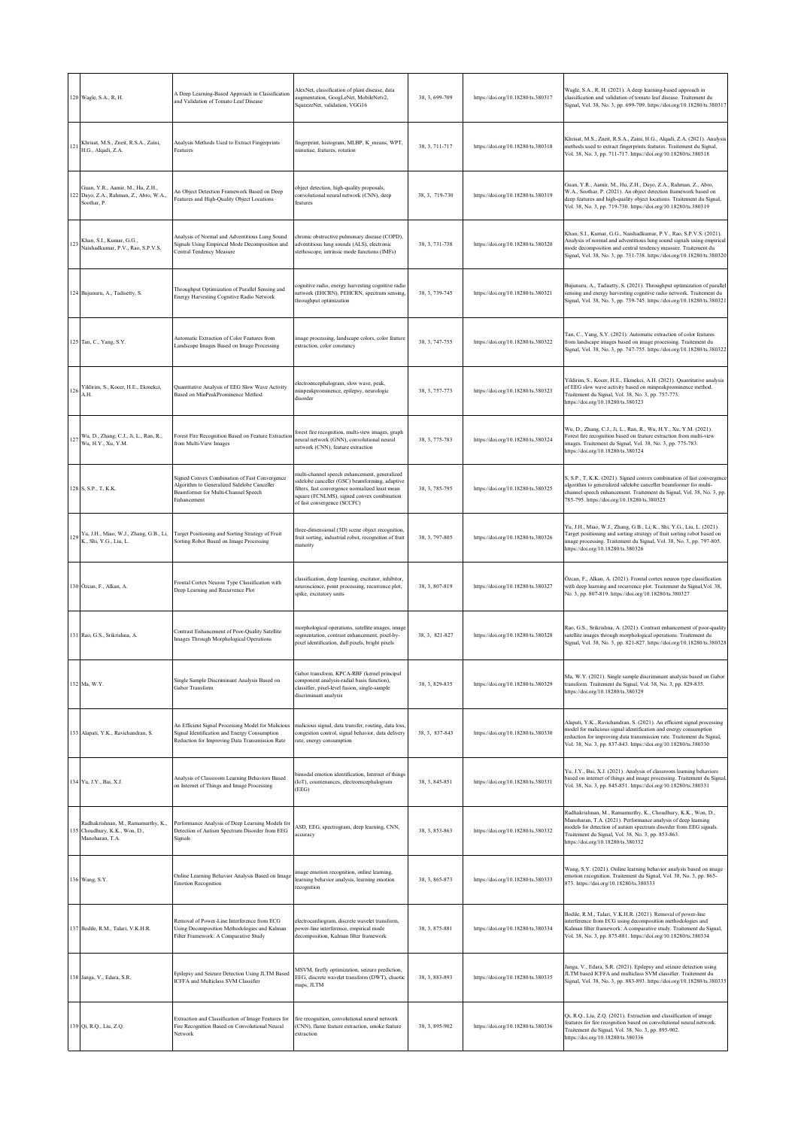|     | 120 Wagle, S.A., R, H.                                                                     | A Deep Learning-Based Approach in Classification<br>and Validation of Tomato Leaf Disease                                                            | AlexNet, classification of plant disease, data<br>augmentation, GoogLeNet, MobileNetv2,<br>SqueezeNet, validation, VGG16                                                                                                        | 38, 3, 699-709 | https://doi.org/10.18280/ts.380317 | Wagle, S.A., R, H. (2021). A deep learning-based approach in<br>classification and validation of tomato leaf disease. Traitement du<br>Signal, Vol. 38, No. 3, pp. 699-709. https://doi.org/10.18280/ts.380317                                                                                  |
|-----|--------------------------------------------------------------------------------------------|------------------------------------------------------------------------------------------------------------------------------------------------------|---------------------------------------------------------------------------------------------------------------------------------------------------------------------------------------------------------------------------------|----------------|------------------------------------|-------------------------------------------------------------------------------------------------------------------------------------------------------------------------------------------------------------------------------------------------------------------------------------------------|
| 121 | Khrisat, M.S., Zneit, R.S.A., Zaini,<br>H.G., Alqadi, Z.A.                                 | Analysis Methods Used to Extract Fingerprints<br>Features                                                                                            | fingerprint, histogram, MLBP, K_means, WPT,<br>minutiae, features, rotation                                                                                                                                                     | 38, 3, 711-717 | https://doi.org/10.18280/ts.380318 | Khrisat, M.S., Zneit, R.S.A., Zaini, H.G., Alqadi, Z.A. (2021). Analysis<br>methods used to extract fingerprints features. Traitement du Signal,<br>Vol. 38, No. 3, pp. 711-717. https://doi.org/10.18280/ts.380318                                                                             |
|     | Guan, Y.R., Aamir, M., Hu, Z.H.,<br>122 Dayo, Z.A., Rahman, Z., Abro, W.A.,<br>Soothar, P. | An Object Detection Framework Based on Deep<br>Features and High-Quality Object Locations                                                            | object detection, high-quality proposals,<br>convolutional neural network (CNN), deep<br>features                                                                                                                               | 38.3.719-730   | https://doi.org/10.18280/ts.380319 | Guan, Y.R., Aamir, M., Hu, Z.H., Dayo, Z.A., Rahman, Z., Abro,<br>W.A., Soothar, P. (2021). An object detection framework based on<br>deep features and high-quality object locations. Traitement du Signal,<br>Vol. 38, No. 3, pp. 719-730. https://doi.org/10.18280/ts.380319                 |
| 123 | Khan, S.I., Kumar, G.G.,<br>Naishadkumar, P.V., Rao, S.P.V.S.                              | Analysis of Normal and Adventitious Lung Sound<br>Signals Using Empirical Mode Decomposition and<br>Central Tendency Measure                         | chronic obstructive pulmonary disease (COPD),<br>adventitious lung sounds (ALS), electronic<br>stethoscope, intrinsic mode functions (IMFs)                                                                                     | 38, 3, 731-738 | https://doi.org/10.18280/ts.380320 | Khan, S.I., Kumar, G.G., Naishadkumar, P.V., Rao, S.P.V.S. (2021).<br>Analysis of normal and adventitious lung sound signals using empirical<br>mode decomposition and central tendency measure. Traitement du<br>Signal, Vol. 38, No. 3, pp. 731-738. https://doi.org/10.18280/ts.380320       |
|     | 124 Bujunuru, A., Tadisetty, S.                                                            | Throughput Optimization of Parallel Sensing and<br>Energy Harvesting Cognitive Radio Network                                                         | cognitive radio, energy harvesting cognitive radio<br>network (EHCRN), PEHCRN, spectrum sensing,<br>throughput optimization                                                                                                     | 38, 3, 739-745 | https://doi.org/10.18280/ts.380321 | Bujunuru, A., Tadisetty, S. (2021). Throughput optimization of parallel<br>sensing and energy harvesting cognitive radio network. Traitement du<br>Signal, Vol. 38, No. 3, pp. 739-745. https://doi.org/10.18280/ts.380321                                                                      |
|     | 125 Tan, C., Yang, S.Y.                                                                    | Automatic Extraction of Color Features from<br>Landscape Images Based on Image Processing                                                            | image processing, landscape colors, color feature<br>extraction, color constancy                                                                                                                                                | 38, 3, 747-755 | https://doi.org/10.18280/ts.380322 | Tan, C., Yang, S.Y. (2021). Automatic extraction of color features<br>from landscape images based on image processing. Traitement du<br>Signal, Vol. 38, No. 3, pp. 747-755. https://doi.org/10.18280/ts.380322                                                                                 |
| 126 | Yildirim, S., Kocer, H.E., Ekmekci,<br>A.H.                                                | Quantitative Analysis of EEG Slow Wave Activity<br>Based on MinPeakProminence Method                                                                 | electroencephalogram, slow wave, peak,<br>minpeakprominence, epilepsy, neurologic<br>disorder                                                                                                                                   | 38, 3, 757-773 | https://doi.org/10.18280/ts.380323 | Yildirim, S., Kocer, H.E., Ekmekci, A.H. (2021). Quantitative analysis<br>of EEG slow wave activity based on minpeakprominence method.<br>Traitement du Signal, Vol. 38, No. 3, pp. 757-773.<br>https://doi.org/10.18280/ts.380323                                                              |
|     | 127 Wu, D., Zhang, C.J., Ji, L., Ran, R.,<br>Wu, H.Y., Xu, Y.M.                            | Forest Fire Recognition Based on Feature Extraction<br>from Multi-View Images                                                                        | forest fire recognition, multi-view images, graph<br>neural network (GNN), convolutional neural<br>network (CNN), feature extraction                                                                                            | 38, 3, 775-783 | https://doi.org/10.18280/ts.380324 | Wu, D., Zhang, C.J., Ji, L., Ran, R., Wu, H.Y., Xu, Y.M. (2021).<br>Forest fire recognition based on feature extraction from multi-view<br>images. Traitement du Signal, Vol. 38, No. 3, pp. 775-783.<br>https://doi.org/10.18280/ts.380324                                                     |
|     | 128 S, S.P., T, K.K.                                                                       | Signed Convex Combination of Fast Convergence<br>Algorithm to Generalized Sidelobe Canceller<br>Beamformer for Multi-Channel Speech<br>Enhancement   | multi-channel speech enhancement, generalized<br>sidelobe canceller (GSC) beamforming, adaptive<br>filters, fast convergence normalized least mean<br>square (FCNLMS), signed convex combination<br>of fast convergence (SCCFC) | 38, 3, 785-795 | https://doi.org/10.18280/ts.380325 | S, S.P., T, K.K. (2021). Signed convex combination of fast convergence<br>algorithm to generalized sidelobe canceller beamformer for multi-<br>channel speech enhancement. Traitement du Signal, Vol. 38, No. 3, pp.<br>785-795. https://doi.org/10.18280/ts.380325                             |
|     | 129 Yu, J.H., Miao, W.J., Zhang, G.B., Li,<br>K., Shi, Y.G., Liu, L.                       | Target Positioning and Sorting Strategy of Fruit<br>Sorting Robot Based on Image Processing                                                          | three-dimensional (3D) scene object recognition,<br>fruit sorting, industrial robot, recognition of fruit<br>maturity                                                                                                           | 38, 3, 797-805 | https://doi.org/10.18280/ts.380326 | Yu, J.H., Miao, W.J., Zhang, G.B., Li, K., Shi, Y.G., Liu, L. (2021).<br>Target positioning and sorting strategy of fruit sorting robot based on<br>image processing. Traitement du Signal, Vol. 38, No. 3, pp. 797-805.<br>https://doi.org/10.18280/ts.380326                                  |
|     | 130 Özcan, F., Alkan, A.                                                                   | Frontal Cortex Neuron Type Classification with<br>Deep Learning and Recurrence Plot                                                                  | classification, deep learning, excitator, inhibitor,<br>neuroscience, point processing, recurrence plot,<br>spike, excitatory units                                                                                             | 38, 3, 807-819 | https://doi.org/10.18280/ts.380327 | Özcan, F., Alkan, A. (2021). Frontal cortex neuron type classification<br>with deep learning and recurrence plot. Traitement du Signal, Vol. 38,<br>No. 3, pp. 807-819. https://doi.org/10.18280/ts.380327                                                                                      |
|     | 131 Rao, G.S., Srikrishna, A.                                                              | Contrast Enhancement of Poor-Quality Satellite<br>Images Through Morphological Operations                                                            | morphological operations, satellite images, image<br>segmentation, contrast enhancement, pixel-by-<br>pixel identification, dull pixels, bright pixels                                                                          | 38, 3, 821-827 | https://doi.org/10.18280/ts.380328 | Rao, G.S., Srikrishna, A. (2021). Contrast enhancement of poor-quality<br>satellite images through morphological operations. Traitement du<br>Signal, Vol. 38, No. 3, pp. 821-827. https://doi.org/10.18280/ts.380328                                                                           |
|     | 132 Ma, W.Y.                                                                               | Single Sample Discriminant Analysis Based on<br>Gabor Transform                                                                                      | iabor transform, KPCA-RBF (kernel principal<br>component analysis-radial basis function),<br>classifier, pixel-level fusion, single-sample<br>discriminant analysis                                                             | 38, 3, 829-835 | https://doi.org/10.18280/ts.380329 | Ma, W.Y. (2021). Single sample discriminant analysis based on Gabor<br>transform. Traitement du Signal, Vol. 38, No. 3, pp. 829-835.<br>https://doi.org/10.18280/ts.380329                                                                                                                      |
|     | 133 Alapati, Y.K., Ravichandran, S.                                                        | An Efficient Signal Processing Model for Malicious<br>Signal Identification and Energy Consumption<br>Reduction for Improving Data Transmission Rate | malicious signal, data transfer, routing, data loss,<br>congestion control, signal behavior, data delivery<br>rate, energy consumption                                                                                          | 38, 3, 837-843 | https://doi.org/10.18280/ts.380330 | Alapati, Y.K., Ravichandran, S. (2021). An efficient signal processing<br>model for malicious signal identification and energy consumption<br>reduction for improving data transmission rate. Traitement du Signal,<br>Vol. 38, No. 3, pp. 837-843. https://doi.org/10.18280/ts.380330          |
|     | 134 Yu, J.Y., Bai, X.J.                                                                    | Analysis of Classroom Learning Behaviors Based<br>on Internet of Things and Image Processing                                                         | bimodal emotion identification, Internet of things<br>(IoT), countenances, electroencephalogram<br>(EEG)                                                                                                                        | 38, 3, 845-851 | https://doi.org/10.18280/ts.380331 | Yu, J.Y., Bai, X.J. (2021). Analysis of classroom learning behaviors<br>based on internet of things and image processing. Traitement du Signal,<br>Vol. 38, No. 3, pp. 845-851. https://doi.org/10.18280/ts.380331                                                                              |
|     | Radhakrishnan, M., Ramamurthy, K.,<br>135 Choudhury, K.K., Won, D.,<br>Manoharan, T.A.     | Performance Analysis of Deep Learning Models for<br>Detection of Autism Spectrum Disorder from EEG<br>Signals                                        | ASD, EEG, spectrogram, deep learning, CNN,<br>tccuracy                                                                                                                                                                          | 38, 3, 853-863 | https://doi.org/10.18280/ts.380332 | Radhakrishnan, M., Ramamurthy, K., Choudhury, K.K., Won, D.,<br>Manoharan, T.A. (2021). Performance analysis of deep learning<br>models for detection of autism spectrum disorder from EEG signals.<br>Traitement du Signal, Vol. 38, No. 3, pp. 853-863.<br>https://doi.org/10.18280/ts.380332 |
|     | 136 Wang, S.Y.                                                                             | Online Learning Behavior Analysis Based on Image<br><b>Emotion Recognition</b>                                                                       | image emotion recognition, online learning,<br>learning behavior analysis, learning emotion<br>recognition                                                                                                                      | 38, 3, 865-873 | https://doi.org/10.18280/ts.380333 | Wang, S.Y. (2021). Online learning behavior analysis based on image<br>emotion recognition. Traitement du Signal, Vol. 38, No. 3, pp. 865-<br>873. https://doi.org/10.18280/ts.380333                                                                                                           |
|     | 137 Bodile, R.M., Talari, V.K.H.R.                                                         | Removal of Power-Line Interference from ECG<br>Using Decomposition Methodologies and Kalman<br>Filter Framework: A Comparative Study                 | electrocardiogram, discrete wavelet transform,<br>power-line interference, empirical mode<br>decomposition, Kalman filter framework                                                                                             | 38, 3, 875-881 | https://doi.org/10.18280/ts.380334 | Bodile, R.M., Talari, V.K.H.R. (2021). Removal of power-line<br>interference from ECG using decomposition methodologies and<br>Kalman filter framework: A comparative study. Traitement du Signal,<br>Vol. 38, No. 3, pp. 875-881. https://doi.org/10.18280/ts.380334                           |
|     | 138 Janga, V., Edara, S.R.                                                                 | Epilepsy and Seizure Detection Using JLTM Based<br>ICFFA and Multiclass SVM Classifier                                                               | MSVM, firefly optimization, seizure prediction,<br>EEG, discrete wavelet transform (DWT), chaotic<br>maps, JLTM                                                                                                                 | 38, 3, 883-893 | https://doi.org/10.18280/ts.380335 | Janga, V., Edara, S.R. (2021). Epilepsy and seizure detection using<br>JLTM based ICFFA and multiclass SVM classifier. Traitement du<br>Signal, Vol. 38, No. 3, pp. 883-893. https://doi.org/10.18280/ts.380335                                                                                 |
|     | 139 Qi, R.Q., Liu, Z.Q.                                                                    | Extraction and Classification of Image Features for<br>Fire Recognition Based on Convolutional Neural<br>Network                                     | fire recognition, convolutional neural network<br>(CNN), flame feature extraction, smoke feature<br>extraction                                                                                                                  | 38, 3, 895-902 | https://doi.org/10.18280/ts.380336 | Qi, R.Q., Liu, Z.Q. (2021). Extraction and classification of image<br>features for fire recognition based on convolutional neural network.<br>Traitement du Signal, Vol. 38, No. 3, pp. 895-902.<br>https://doi.org/10.18280/ts.380336                                                          |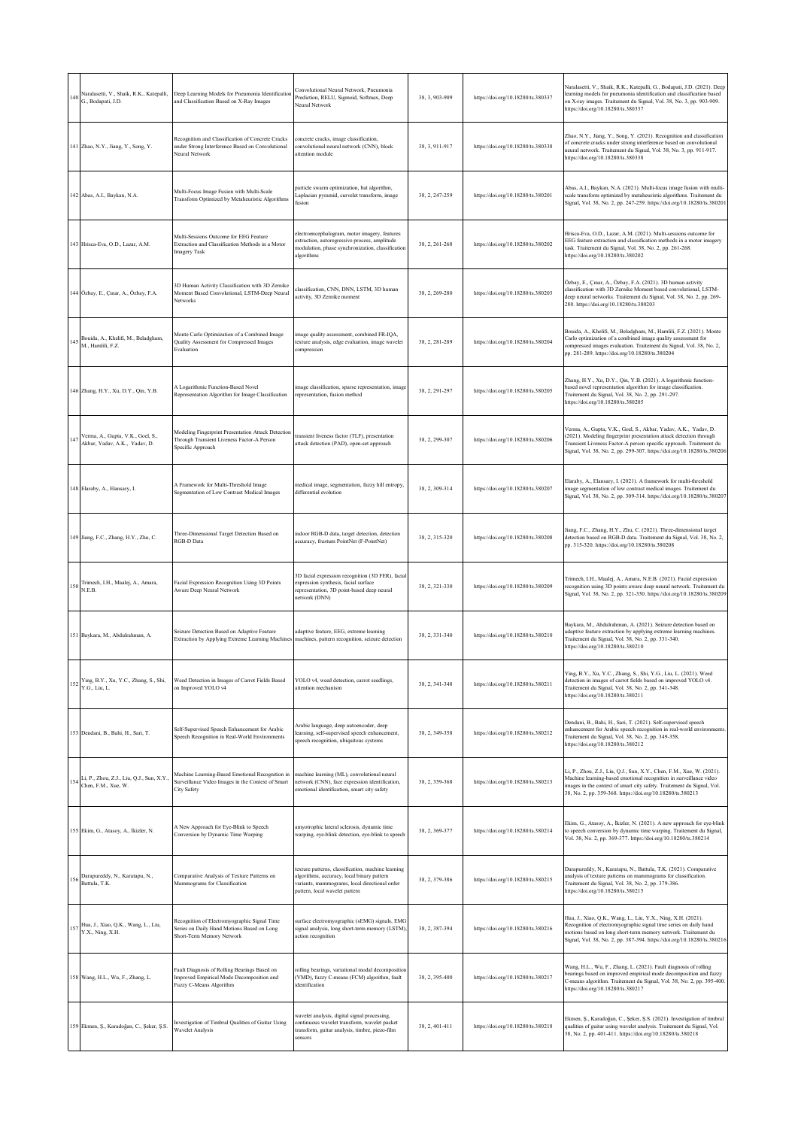|     | Naralasetti, V., Shaik, R.K., Katepalli,<br>$140$ G., Bodapati, J.D. | Deep Learning Models for Pneumonia Identification<br>and Classification Based on X-Ray Images                           | Convolutional Neural Network, Pneumonia<br>Prediction, RELU, Sigmoid, Softmax, Deep<br>Neural Network                                                                               | 38, 3, 903-909 | https://doi.org/10.18280/ts.380337 | Naralasetti, V., Shaik, R.K., Katepalli, G., Bodapati, J.D. (2021). Deep<br>learning models for pneumonia identification and classification based<br>on X-ray images. Traitement du Signal, Vol. 38, No. 3, pp. 903-909.<br>https://doi.org/10.18280/ts.380337                          |
|-----|----------------------------------------------------------------------|-------------------------------------------------------------------------------------------------------------------------|-------------------------------------------------------------------------------------------------------------------------------------------------------------------------------------|----------------|------------------------------------|-----------------------------------------------------------------------------------------------------------------------------------------------------------------------------------------------------------------------------------------------------------------------------------------|
|     | 141 Zhao, N.Y., Jiang, Y., Song, Y.                                  | Recognition and Classification of Concrete Cracks<br>inder Strong Interference Based on Convolutional<br>Neural Network | concrete cracks, image classification,<br>convolutional neural network (CNN), block<br>attention module                                                                             | 38, 3, 911-917 | https://doi.org/10.18280/ts.380338 | Zhao, N.Y., Jiang, Y., Song, Y. (2021). Recognition and classification<br>of concrete cracks under strong interference based on convolutional<br>neural network. Traitement du Signal, Vol. 38, No. 3, pp. 911-917.<br>https://doi.org/10.18280/ts.380338                               |
|     | 142 Abas, A.I., Baykan, N.A.                                         | Multi-Focus Image Fusion with Multi-Scale<br>Transform Optimized by Metaheuristic Algorithms                            | particle swarm optimization, bat algorithm,<br>Laplacian pyramid, curvelet transform, image<br>fusion                                                                               | 38, 2, 247-259 | https://doi.org/10.18280/ts.380201 | Abas, A.I., Baykan, N.A. (2021). Multi-focus image fusion with multi-<br>scale transform optimized by metaheuristic algorithms. Traitement du<br>Signal, Vol. 38, No. 2, pp. 247-259. https://doi.org/10.18280/ts.380201                                                                |
|     | 143 Hrisca-Eva, O.D., Lazar, A.M.                                    | Multi-Sessions Outcome for EEG Feature<br>Extraction and Classification Methods in a Motor<br><b>Imagery Task</b>       | electroencephalogram, motor imagery, features<br>extraction, autoregressive process, amplitude<br>modulation, phase synchronization, classification<br>algorithms                   | 38.2.261-268   | https://doi.org/10.18280/ts.380202 | Hrisca-Eva, O.D., Lazar, A.M. (2021). Multi-sessions outcome for<br>EEG feature extraction and classification methods in a motor imagery<br>task. Traitement du Signal, Vol. 38, No. 2, pp. 261-268.<br>https://doi.org/10.18280/ts.380202                                              |
|     | 144 Özbay, E., Çınar, A., Özbay, F.A.                                | 3D Human Activity Classification with 3D Zernike<br>Moment Based Convolutional, LSTM-Deep Neural<br>Networks            | classification, CNN, DNN, LSTM, 3D human<br>activity, 3D Zernike moment                                                                                                             | 38, 2, 269-280 | https://doi.org/10.18280/ts.380203 | Özbay, E., Çınar, A., Özbay, F.A. (2021). 3D human activity<br>classification with 3D Zernike Moment based convolutional, LSTM-<br>deep neural networks. Traitement du Signal, Vol. 38, No. 2, pp. 269-<br>280. https://doi.org/10.18280/ts.380203                                      |
| 145 | Bouida, A., Khelifi, M., Beladgham,<br>M., Hamlili, F.Z.             | Monte Carlo Optimization of a Combined Image<br>Quality Assessment for Compressed Images<br>Evaluation                  | image quality assessment, combined FR-IQA,<br>exture analysis, edge evaluation, image wavelet<br>compression                                                                        | 38, 2, 281-289 | https://doi.org/10.18280/ts.380204 | Bouida, A., Khelifi, M., Beladgham, M., Hamlili, F.Z. (2021). Monte<br>Carlo optimization of a combined image quality assessment for<br>compressed images evaluation. Traitement du Signal, Vol. 38, No. 2,<br>pp. 281-289. https://doi.org/10.18280/ts.380204                          |
|     | 146 Zhang, H.Y., Xu, D.Y., Qin, Y.B.                                 | A Logarithmic Function-Based Novel<br>Representation Algorithm for Image Classification                                 | image classification, sparse representation, image<br>representation, fusion method                                                                                                 | 38, 2, 291-297 | https://doi.org/10.18280/ts.380205 | Zhang, H.Y., Xu, D.Y., Qin, Y.B. (2021). A logarithmic function-<br>based novel representation algorithm for image classification.<br>Traitement du Signal, Vol. 38, No. 2, pp. 291-297.<br>https://doi.org/10.18280/ts.380205                                                          |
| 147 | Verma, A., Gupta, V.K., Goel, S.,<br>Akbar, Yadav, A.K., Yadav, D.   | Modeling Fingerprint Presentation Attack Detection<br>Through Transient Liveness Factor-A Person<br>Specific Approach   | ransient liveness factor (TLF), presentation<br>attack detection (PAD), open-set approach                                                                                           | 38, 2, 299-307 | https://doi.org/10.18280/ts.380206 | Verma, A., Gupta, V.K., Goel, S., Akbar, Yadav, A.K., Yadav, D.<br>(2021). Modeling fingerprint presentation attack detection through<br>Transient Liveness Factor-A person specific approach. Traitement du<br>Signal, Vol. 38, No. 2, pp. 299-307. https://doi.org/10.18280/ts.380206 |
|     | 148 Elaraby, A., Elansary, I.                                        | A Framework for Multi-Threshold Image<br>Segmentation of Low Contrast Medical Images                                    | medical image, segmentation, fuzzy hill entropy,<br>differential evolution                                                                                                          | 38, 2, 309-314 | https://doi.org/10.18280/ts.380207 | Elaraby, A., Elansary, I. (2021). A framework for multi-threshold<br>image segmentation of low contrast medical images. Traitement du<br>Signal, Vol. 38, No. 2, pp. 309-314. https://doi.org/10.18280/ts.380207                                                                        |
|     | 149 Jiang, F.C., Zhang, H.Y., Zhu, C.                                | Three-Dimensional Target Detection Based on<br>RGB-D Data                                                               | indoor RGB-D data, target detection, detection<br>accuracy, frustum PointNet (F-PointNet)                                                                                           | 38, 2, 315-320 | https://doi.org/10.18280/ts.380208 | Jiang, F.C., Zhang, H.Y., Zhu, C. (2021). Three-dimensional target<br>detection based on RGB-D data. Traitement du Signal, Vol. 38, No. 2,<br>pp. 315-320. https://doi.org/10.18280/ts.380208                                                                                           |
| 150 | Trimech, I.H., Maalej, A., Amara,<br>N.E.B.                          | Facial Expression Recognition Using 3D Points<br>Aware Deep Neural Network                                              | 3D facial expression recognition (3D FER), facial<br>expression synthesis, facial surface<br>representation, 3D point-based deep neural<br>network (DNN)                            | 38, 2, 321-330 | https://doi.org/10.18280/ts.380209 | Trimech, I.H., Maalej, A., Amara, N.E.B. (2021). Facial expression<br>recognition using 3D points aware deep neural network. Traitement du<br>Signal, Vol. 38, No. 2, pp. 321-330. https://doi.org/10.18280/ts.380209                                                                   |
|     | 151 Baykara, M., Abdulrahman, A.                                     | Seizure Detection Based on Adaptive Feature<br>Extraction by Applying Extreme Learning Machines                         | adaptive feature, EEG, extreme learning<br>machines, pattern recognition, seizure detection                                                                                         | 38, 2, 331-340 | https://doi.org/10.18280/ts.380210 | Baykara, M., Abdulrahman, A. (2021). Seizure detection based on<br>adaptive feature extraction by applying extreme learning machines.<br>Traitement du Signal, Vol. 38, No. 2, pp. 331-340.<br>https://doi.org/10.18280/ts.380210                                                       |
|     | 152 Ying, B.Y., Xu, Y.C., Zhang, S., Shi, Y.G., Liu, L.              | Weed Detection in Images of Carrot Fields Based<br>on Improved YOLO v4                                                  | YOLO v4, weed detection, carrot seedlings,<br>attention mechanism                                                                                                                   | 38, 2, 341-348 | https://doi.org/10.18280/ts.380211 | r ing, B.Y., Xu, Y.C., Zhang, S., Shi, Y.G., Liu, L. (2021). Weed<br>detection in images of carrot fields based on improved YOLO v4.<br>Traitement du Signal, Vol. 38, No. 2, pp. 341-348.<br>https://doi.org/10.18280/ts.380211                                                        |
|     | 153 Dendani, B., Bahi, H., Sari, T.                                  | Self-Supervised Speech Enhancement for Arabic<br>Speech Recognition in Real-World Environments                          | Arabic language, deep autoencoder, deep<br>earning, self-supervised speech enhancement,<br>speech recognition, ubiquitous systems                                                   | 38, 2, 349-358 | https://doi.org/10.18280/ts.380212 | Dendani, B., Bahi, H., Sari, T. (2021). Self-supervised speech<br>enhancement for Arabic speech recognition in real-world environments.<br>Traitement du Signal, Vol. 38, No. 2, pp. 349-358.<br>https://doi.org/10.18280/ts.380212                                                     |
| 154 | Li, P., Zhou, Z.J., Liu, Q.J., Sun, X.Y.,<br>Chen, F.M., Xue, W.     | Machine Learning-Based Emotional Recognition in<br>Surveillance Video Images in the Context of Smart<br>City Safety     | nachine learning (ML), convolutional neural<br>network (CNN), face expression identification,<br>emotional identification, smart city safety                                        | 38, 2, 359-368 | https://doi.org/10.18280/ts.380213 | Li, P., Zhou, Z.J., Liu, Q.J., Sun, X.Y., Chen, F.M., Xue, W. (2021).<br>Machine learning-based emotional recognition in surveillance video<br>images in the context of smart city safety. Traitement du Signal, Vol.<br>38, No. 2, pp. 359-368. https://doi.org/10.18280/ts.380213     |
|     | 155 Ekim, G., Atasoy, A., İkizler, N.                                | A New Approach for Eye-Blink to Speech<br>Conversion by Dynamic Time Warping                                            | amyotrophic lateral sclerosis, dynamic time<br>warping, eye-blink detection, eye-blink to speech                                                                                    | 38.2.369-377   | https://doi.org/10.18280/ts.380214 | Ekim, G., Atasoy, A., İkizler, N. (2021). A new approach for eye-blink<br>to speech conversion by dynamic time warping. Traitement du Signal,<br>Vol. 38, No. 2, pp. 369-377. https://doi.org/10.18280/ts.380214                                                                        |
| 156 | Darapureddy, N., Karatapu, N.,<br>Battula, T.K.                      | Comparative Analysis of Texture Patterns on<br>Mammograms for Classification                                            | texture patterns, classification, machine learning<br>algorithms, accuracy, local binary pattern<br>variants, mammograms, local directional order<br>pattern, local wavelet pattern | 38, 2, 379-386 | https://doi.org/10.18280/ts.380215 | Darapureddy, N., Karatapu, N., Battula, T.K. (2021). Comparative<br>analysis of texture patterns on mammograms for classification.<br>Traitement du Signal, Vol. 38, No. 2, pp. 379-386.<br>https://doi.org/10.18280/ts.380215                                                          |
|     | 157 Hua, J., Xiao, Q.K., Wang, L., Liu,<br>Y.X., Ning, X.H.          | Recognition of Electromyographic Signal Time<br>Series on Daily Hand Motions Based on Long<br>Short-Term Memory Network | surface electromyographic (sEMG) signals, EMG<br>signal analysis, long short-term memory (LSTM),<br>action recognition                                                              | 38, 2, 387-394 | https://doi.org/10.18280/ts.380216 | Hua, J., Xiao, Q.K., Wang, L., Liu, Y.X., Ning, X.H. (2021).<br>Recognition of electromyographic signal time series on daily hand<br>motions based on long short-term memory network. Traitement du<br>Signal, Vol. 38, No. 2, pp. 387-394. https://doi.org/10.18280/ts.380216          |
|     | 158 Wang, H.L., Wu, F., Zhang, L.                                    | Fault Diagnosis of Rolling Bearings Based on<br>Improved Empirical Mode Decomposition and<br>Fuzzy C-Means Algorithm    | rolling bearings, variational modal decomposition<br>(VMD), fuzzy C-means (FCM) algorithm, fault<br>dentification                                                                   | 38.2.395-400   | https://doi.org/10.18280/ts.380217 | Wang, H.L., Wu, F., Zhang, L. (2021). Fault diagnosis of rolling<br>bearings based on improved empirical mode decomposition and fuzzy<br>C-means algorithm. Traitement du Signal, Vol. 38, No. 2, pp. 395-400.<br>https://doi.org/10.18280/ts.380217                                    |
|     | 159 Ekmen, Ş., Karadoğan, C., Şeker, Ş.S.                            | Investigation of Timbral Qualities of Guitar Using<br><b>Wavelet Analysis</b>                                           | wavelet analysis, digital signal processing,<br>continuous wavelet transform, wavelet packet<br>ransform, guitar analysis, timbre, piezo-film<br>sensors                            | 38, 2, 401-411 | https://doi.org/10.18280/ts.380218 | Ekmen, Ş., Karadoğan, C., Şeker, Ş.S. (2021). Investigation of timbral<br>qualities of guitar using wavelet analysis. Traitement du Signal, Vol.<br>38, No. 2, pp. 401-411. https://doi.org/10.18280/ts.380218                                                                          |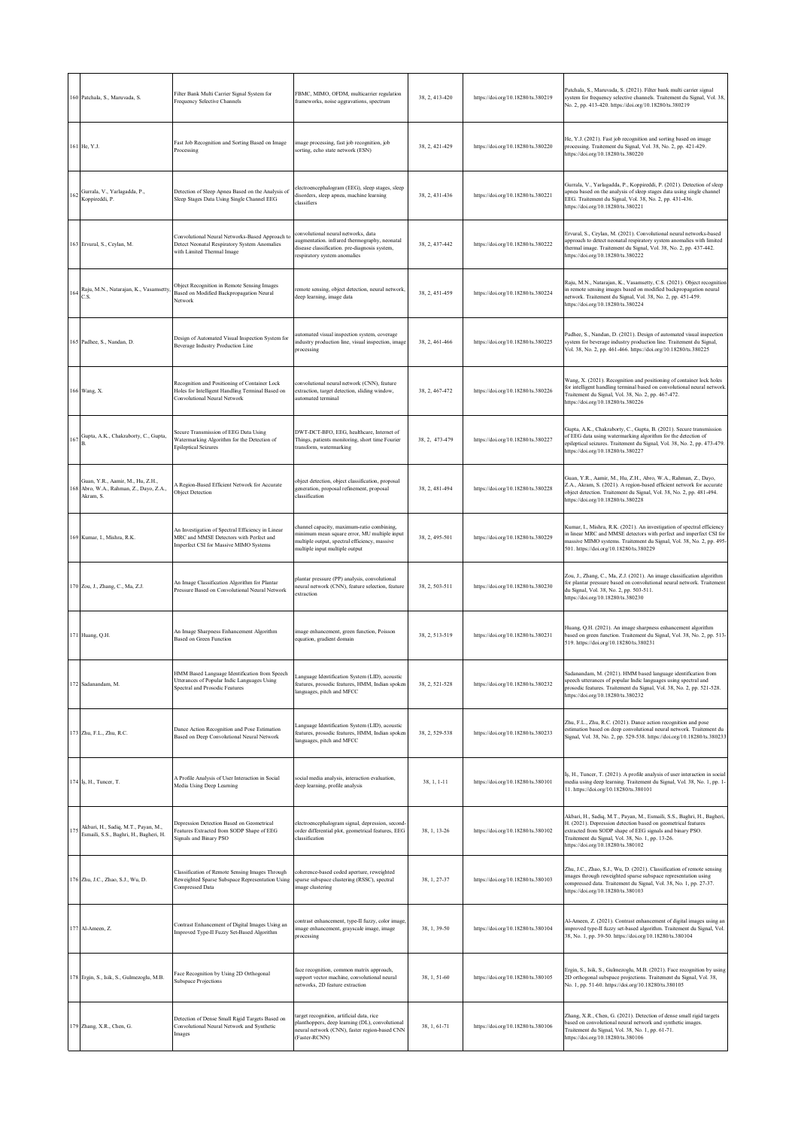| 160 Patchala, S., Maruvada, S.                                                           | Filter Bank Multi Carrier Signal System for<br>Frequency Selective Channels                                                            | FBMC, MIMO, OFDM, multicarrier regulation<br>frameworks, noise aggravations, spectrum                                                                                         | 38, 2, 413-420 | https://doi.org/10.18280/ts.380219 | Patchala, S., Maruvada, S. (2021). Filter bank multi carrier signal<br>system for frequency selective channels. Traitement du Signal, Vol. 38,<br>No. 2, pp. 413-420. https://doi.org/10.18280/ts.380219                                                                                       |
|------------------------------------------------------------------------------------------|----------------------------------------------------------------------------------------------------------------------------------------|-------------------------------------------------------------------------------------------------------------------------------------------------------------------------------|----------------|------------------------------------|------------------------------------------------------------------------------------------------------------------------------------------------------------------------------------------------------------------------------------------------------------------------------------------------|
| 161 He, Y.J.                                                                             | Fast Job Recognition and Sorting Based on Image<br>Processing                                                                          | image processing, fast job recognition, job<br>sorting, echo state network (ESN)                                                                                              | 38, 2, 421-429 | https://doi.org/10.18280/ts.380220 | He, Y.J. (2021). Fast job recognition and sorting based on image<br>processing. Traitement du Signal, Vol. 38, No. 2, pp. 421-429.<br>https://doi.org/10.18280/ts.380220                                                                                                                       |
| 162 Gurrala, V., Yarlagadda, P.,<br>Koppireddi, P.                                       | Detection of Sleep Apnea Based on the Analysis of<br>Sleep Stages Data Using Single Channel EEG                                        | electroencephalogram (EEG), sleep stages, sleep<br>disorders, sleep apnea, machine learning<br>classifiers                                                                    | 38, 2, 431-436 | https://doi.org/10.18280/ts.380221 | Gurrala, V., Yarlagadda, P., Koppireddi, P. (2021). Detection of sleep<br>apnea based on the analysis of sleep stages data using single channel<br>EEG. Traitement du Signal, Vol. 38, No. 2, pp. 431-436.<br>https://doi.org/10.18280/ts.380221                                               |
| 163 Ervural, S., Ceylan, M.                                                              | Convolutional Neural Networks-Based Approach to<br>Detect Neonatal Respiratory System Anomalies<br>with Limited Thermal Image          | convolutional neural networks, data<br>sugmentation. infrared thermography, neonatal<br>disease classification. pre-diagnosis system,<br>respiratory system anomalies         | 38, 2, 437-442 | https://doi.org/10.18280/ts.380222 | Ervural, S., Ceylan, M. (2021). Convolutional neural networks-based<br>approach to detect neonatal respiratory system anomalies with limited<br>thermal image. Traitement du Signal, Vol. 38, No. 2, pp. 437-442.<br>https://doi.org/10.18280/ts.380222                                        |
| 164 Raju, M.N., Natarajan, K., Vasamsetty,<br>C.S.                                       | Object Recognition in Remote Sensing Images<br>Based on Modified Backpropagation Neural<br>Network                                     | remote sensing, object detection, neural network,<br>deep learning, image data                                                                                                | 38, 2, 451-459 | https://doi.org/10.18280/ts.380224 | Raju, M.N., Natarajan, K., Vasamsetty, C.S. (2021). Object recognition<br>in remote sensing images based on modified backpropagation neural<br>network. Traitement du Signal, Vol. 38, No. 2, pp. 451-459.<br>https://doi.org/10.18280/ts.380224                                               |
| 165 Padhee, S., Nandan, D.                                                               | Design of Automated Visual Inspection System for<br>Beverage Industry Production Line                                                  | automated visual inspection system, coverage<br>industry production line, visual inspection, image<br>processing                                                              | 38, 2, 461-466 | https://doi.org/10.18280/ts.380225 | Padhee, S., Nandan, D. (2021). Design of automated visual inspection<br>system for beverage industry production line. Traitement du Signal,<br>Vol. 38, No. 2, pp. 461-466. https://doi.org/10.18280/ts.380225                                                                                 |
| 166 Wang, X.                                                                             | Recognition and Positioning of Container Lock<br>Holes for Intelligent Handling Terminal Based on<br>Convolutional Neural Network      | convolutional neural network (CNN), feature<br>extraction, target detection, sliding window,<br>automated terminal                                                            | 38, 2, 467-472 | https://doi.org/10.18280/ts.380226 | Wang, X. (2021). Recognition and positioning of container lock holes<br>for intelligent handling terminal based on convolutional neural network.<br>Traitement du Signal, Vol. 38, No. 2, pp. 467-472.<br>https://doi.org/10.18280/ts.380226                                                   |
| 167 Gupta, A.K., Chakraborty, C., Gupta,                                                 | ecure Transmission of EEG Data Using<br>Watermarking Algorithm for the Detection of<br><b>Epileptical Seizures</b>                     | DWT-DCT-BFO, EEG, healthcare, Internet of<br>Things, patients monitoring, short time Fourier<br>transform, watermarking                                                       | 38, 2, 473-479 | https://doi.org/10.18280/ts.380227 | Gupta, A.K., Chakraborty, C., Gupta, B. (2021). Secure transmission<br>of EEG data using watermarking algorithm for the detection of<br>epileptical seizures. Traitement du Signal, Vol. 38, No. 2, pp. 473-479.<br>https://doi.org/10.18280/ts.380227                                         |
| Guan, Y.R., Aamir, M., Hu, Z.H.,<br>168 Abro, W.A., Rahman, Z., Dayo, Z.A.,<br>Akram, S. | Region-Based Efficient Network for Accurate<br><b>Object Detection</b>                                                                 | object detection, object classification, proposal<br>generation, proposal refinement, proposal<br>classification                                                              | 38, 2, 481-494 | https://doi.org/10.18280/ts.380228 | Guan, Y.R., Aamir, M., Hu, Z.H., Abro, W.A., Rahman, Z., Dayo,<br>Z.A., Akram, S. (2021). A region-based efficient network for accurate<br>object detection. Traitement du Signal, Vol. 38, No. 2, pp. 481-494.<br>https://doi.org/10.18280/ts.380228                                          |
| 169 Kumar, I., Mishra, R.K.                                                              | An Investigation of Spectral Efficiency in Linear<br>MRC and MMSE Detectors with Perfect and<br>Imperfect CSI for Massive MIMO Systems | channel capacity, maximum-ratio combining,<br>minimum mean square error, MU multiple input<br>multiple output, spectral efficiency, massive<br>multiple input multiple output | 38, 2, 495-501 | https://doi.org/10.18280/ts.380229 | Kumar, I., Mishra, R.K. (2021). An investigation of spectral efficiency<br>in linear MRC and MMSE detectors with perfect and imperfect CSI for<br>massive MIMO systems. Traitement du Signal, Vol. 38, No. 2, pp. 495-<br>501. https://doi.org/10.18280/ts.380229                              |
| 170 Zou, J., Zhang, C., Ma, Z.J.                                                         | An Image Classification Algorithm for Plantar<br>Pressure Based on Convolutional Neural Network                                        | plantar pressure (PP) analysis, convolutional<br>neural network (CNN), feature selection, feature<br>xtraction                                                                | 38.2.503-511   | https://doi.org/10.18280/ts.380230 | Zou, J., Zhang, C., Ma, Z.J. (2021). An image classification algorithm<br>for plantar pressure based on convolutional neural network. Traitement<br>du Signal, Vol. 38, No. 2, pp. 503-511.<br>https://doi.org/10.18280/ts.380230                                                              |
| 171 Huang, Q.H.                                                                          | An Image Sharpness Enhancement Algorithm<br>Based on Green Function                                                                    | mage enhancement, green function, Poisson<br>equation, gradient domain                                                                                                        | 38, 2, 513-519 | https://doi.org/10.18280/ts.380231 | Huang, Q.H. (2021). An image sharpness enhancement algorithm<br>based on green function. Traitement du Signal, Vol. 38, No. 2, pp. 513-<br>519. https://doi.org/10.18280/ts.380231                                                                                                             |
| 172 Sadanandam, M.                                                                       | Utterances of Popular Indic Languages Using<br>Spectral and Prosodic Features                                                          | Language Identification System (LID), acoustic<br>features, prosodic features, HMM, Indian spoken<br>languages, pitch and MFCC                                                | 38, 2, 521-528 | https://doi.org/10.18280/ts.380232 | u ianguage i<br>speech utterances of popular Indic languages using spectral and<br>prosodic features. Traitement du Signal, Vol. 38, No. 2, pp. 521-528.<br>https://doi.org/10.18280/ts.380232                                                                                                 |
| 173 Zhu, F.L., Zhu, R.C.                                                                 | Dance Action Recognition and Pose Estimation<br>Based on Deep Convolutional Neural Network                                             | Language Identification System (LID), acoustic<br>features, prosodic features, HMM, Indian spoken<br>languages, pitch and MFCC                                                | 38, 2, 529-538 | https://doi.org/10.18280/ts.380233 | Zhu, F.L., Zhu, R.C. (2021). Dance action recognition and pose<br>estimation based on deep convolutional neural network. Traitement du<br>Signal, Vol. 38, No. 2, pp. 529-538. https://doi.org/10.18280/ts.380233                                                                              |
| 174 İş, H., Tuncer, T.                                                                   | A Profile Analysis of User Interaction in Social<br>Media Using Deep Learning                                                          | ocial media analysis, interaction evaluation,<br>deep learning, profile analysis                                                                                              | $38, 1, 1-11$  | https://doi.org/10.18280/ts.380101 | Iş, H., Tuncer, T. (2021). A profile analysis of user interaction in social<br>media using deep learning. Traitement du Signal, Vol. 38, No. 1, pp. 1-<br>11. https://doi.org/10.18280/ts.380101                                                                                               |
| 175 Akbari, H., Sadiq, M.T., Payan, M.,<br>Esmaili, S.S., Baghri, H., Bagheri, H.        | Depression Detection Based on Geometrical<br>Features Extracted from SODP Shape of EEG<br>Signals and Binary PSO                       | electroencephalogram signal, depression, second-<br>order differential plot, geometrical features, EEG<br>classification                                                      | 38, 1, 13-26   | https://doi.org/10.18280/ts.380102 | Akbari, H., Sadiq, M.T., Payan, M., Esmaili, S.S., Baghri, H., Bagheri,<br>H. (2021). Depression detection based on geometrical features<br>extracted from SODP shape of EEG signals and binary PSO.<br>Traitement du Signal, Vol. 38, No. 1, pp. 13-26.<br>https://doi.org/10.18280/ts.380102 |
| 176 Zhu, J.C., Zhao, S.J., Wu, D.                                                        | Classification of Remote Sensing Images Through<br>Reweighted Sparse Subspace Representation Using<br>Compressed Data                  | coherence-based coded aperture, reweighted<br>sparse subspace clustering (RSSC), spectral<br>image clustering                                                                 | 38, 1, 27-37   | https://doi.org/10.18280/ts.380103 | Zhu, J.C., Zhao, S.J., Wu, D. (2021). Classification of remote sensing<br>images through reweighted sparse subspace representation using<br>compressed data. Traitement du Signal, Vol. 38, No. 1, pp. 27-37.<br>https://doi.org/10.18280/ts.380103                                            |
| 177 Al-Ameen, Z.                                                                         | Contrast Enhancement of Digital Images Using an<br>Improved Type-II Fuzzy Set-Based Algorithm                                          | contrast enhancement, type-II fuzzy, color image,<br>image enhancement, grayscale image, image<br>processing                                                                  | 38, 1, 39-50   | https://doi.org/10.18280/ts.380104 | Al-Ameen, Z. (2021). Contrast enhancement of digital images using an<br>improved type-II fuzzy set-based algorithm. Traitement du Signal, Vol.<br>38, No. 1, pp. 39-50. https://doi.org/10.18280/ts.380104                                                                                     |
| 178 Ergin, S., Isik, S., Gulmezoglu, M.B.                                                | Face Recognition by Using 2D Orthogonal<br>Subspace Projections                                                                        | face recognition, common matrix approach,<br>support vector machine, convolutional neural<br>networks. 2D feature extraction                                                  | 38, 1, 51-60   | https://doi.org/10.18280/ts.380105 | Ergin, S., Isik, S., Gulmezoglu, M.B. (2021). Face recognition by using<br>2D orthogonal subspace projections. Traitement du Signal, Vol. 38,<br>No. 1, pp. 51-60. https://doi.org/10.18280/ts.380105                                                                                          |
| 179 Zhang, X.R., Chen, G.                                                                | Detection of Dense Small Rigid Targets Based on<br>Convolutional Neural Network and Synthetic<br>Images                                | arget recognition, artificial data, rice<br>planthoppers, deep learning (DL), convolutional<br>neural network (CNN), faster region-based CNN<br>(Faster-RCNN)                 | 38, 1, 61-71   | https://doi.org/10.18280/ts.380106 | Zhang, X.R., Chen, G. (2021). Detection of dense small rigid targets<br>based on convolutional neural network and synthetic images.<br>Traitement du Signal, Vol. 38, No. 1, pp. 61-71.<br>https://doi.org/10.18280/ts.380106                                                                  |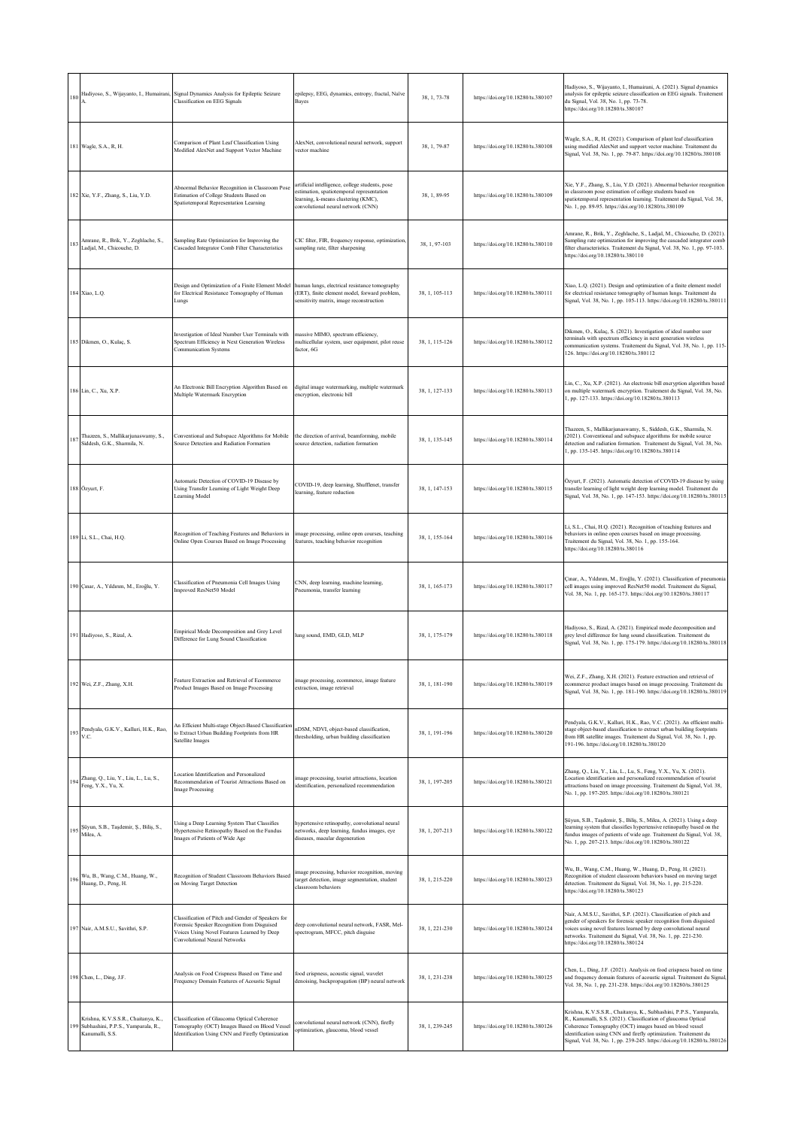| 180 |                                                                                                  | Hadiyoso, S., Wijayanto, I., Humairani, Signal Dynamics Analysis for Epileptic Seizure<br>Classification on EEG Signals                                                           | epilepsy, EEG, dynamics, entropy, fractal, Naïve<br>Bayes                                                                                                                 | 38, 1, 73-78   | https://doi.org/10.18280/ts.380107 | Hadiyoso, S., Wijayanto, I., Humairani, A. (2021). Signal dynamics<br>analysis for epileptic seizure classification on EEG signals. Traitement<br>du Signal, Vol. 38, No. 1, pp. 73-78.<br>https://doi.org/10.18280/ts.380107                                                                                                                  |
|-----|--------------------------------------------------------------------------------------------------|-----------------------------------------------------------------------------------------------------------------------------------------------------------------------------------|---------------------------------------------------------------------------------------------------------------------------------------------------------------------------|----------------|------------------------------------|------------------------------------------------------------------------------------------------------------------------------------------------------------------------------------------------------------------------------------------------------------------------------------------------------------------------------------------------|
|     | 181 Wagle, S.A., R, H.                                                                           | Comparison of Plant Leaf Classification Using<br>Modified AlexNet and Support Vector Machine                                                                                      | AlexNet, convolutional neural network, support<br>vector machine                                                                                                          | 38, 1, 79-87   | https://doi.org/10.18280/ts.380108 | Wagle, S.A., R, H. (2021). Comparison of plant leaf classification<br>using modified AlexNet and support vector machine. Traitement du<br>Signal, Vol. 38, No. 1, pp. 79-87. https://doi.org/10.18280/ts.380108                                                                                                                                |
|     | 182 Xie, Y.F., Zhang, S., Liu, Y.D.                                                              | Abnormal Behavior Recognition in Classroom Pose<br>Estimation of College Students Based on<br>Spatiotemporal Representation Learning                                              | artificial intelligence, college students, pose<br>estimation, spatiotemporal representation<br>learning, k-means clustering (KMC),<br>convolutional neural network (CNN) | 38, 1, 89-95   | https://doi.org/10.18280/ts.380109 | Xie, Y.F., Zhang, S., Liu, Y.D. (2021). Abnormal behavior recognition<br>in classroom pose estimation of college students based on<br>spatiotemporal representation learning. Traitement du Signal, Vol. 38,<br>No. 1, pp. 89-95. https://doi.org/10.18280/ts.380109                                                                           |
| 183 | Amrane, R., Brik, Y., Zeghlache, S.,<br>Ladjal, M., Chicouche, D.                                | Sampling Rate Optimization for Improving the<br>Cascaded Integrator Comb Filter Characteristics                                                                                   | CIC filter, FIR, frequency response, optimization,<br>sampling rate, filter sharpening                                                                                    | 38, 1, 97-103  | https://doi.org/10.18280/ts.380110 | Amrane, R., Brik, Y., Zeghlache, S., Ladjal, M., Chicouche, D. (2021).<br>Sampling rate optimization for improving the cascaded integrator comb<br>filter characteristics. Traitement du Signal, Vol. 38, No. 1, pp. 97-103.<br>https://doi.org/10.18280/ts.380110                                                                             |
|     | 184 Xiao, L.Q.                                                                                   | Design and Optimization of a Finite Element Model<br>for Electrical Resistance Tomography of Human<br>Lungs                                                                       | human lungs, electrical resistance tomography<br>(ERT), finite element model, forward problem,<br>sensitivity matrix, image reconstruction                                | 38, 1, 105-113 | https://doi.org/10.18280/ts.380111 | Xiao, L.Q. (2021). Design and optimization of a finite element model<br>for electrical resistance tomography of human lungs. Traitement du<br>Signal, Vol. 38, No. 1, pp. 105-113. https://doi.org/10.18280/ts.380111                                                                                                                          |
|     | 185 Dikmen, O., Kulaç, S.                                                                        | Investigation of Ideal Number User Terminals with<br>Spectrum Efficiency in Next Generation Wireless<br><b>Communication Systems</b>                                              | massive MIMO, spectrum efficiency,<br>multicellular system, user equipment, pilot reuse<br>factor, 6G                                                                     | 38, 1, 115-126 | https://doi.org/10.18280/ts.380112 | Dikmen, O., Kulaç, S. (2021). Investigation of ideal number user<br>terminals with spectrum efficiency in next generation wireless<br>communication systems. Traitement du Signal, Vol. 38, No. 1, pp. 115-<br>126. https://doi.org/10.18280/ts.380112                                                                                         |
|     | 186 Lin, C., Xu, X.P.                                                                            | An Electronic Bill Encryption Algorithm Based on<br>Multiple Watermark Encryption                                                                                                 | digital image watermarking, multiple watermark<br>encryption, electronic bill                                                                                             | 38, 1, 127-133 | https://doi.org/10.18280/ts.380113 | Lin, C., Xu, X.P. (2021). An electronic bill encryption algorithm based<br>on multiple watermark encryption. Traitement du Signal, Vol. 38, No.<br>1, pp. 127-133. https://doi.org/10.18280/ts.380113                                                                                                                                          |
| 187 | Thazeen, S., Mallikarjunaswamy, S.,<br>Siddesh, G.K., Sharmila, N.                               | Conventional and Subspace Algorithms for Mobile<br>Source Detection and Radiation Formation                                                                                       | the direction of arrival, beamforming, mobile<br>source detection, radiation formation                                                                                    | 38, 1, 135-145 | https://doi.org/10.18280/ts.380114 | Thazeen, S., Mallikarjunaswamy, S., Siddesh, G.K., Sharmila, N.<br>(2021). Conventional and subspace algorithms for mobile source<br>detection and radiation formation. Traitement du Signal, Vol. 38, No.<br>1, pp. 135-145. https://doi.org/10.18280/ts.380114                                                                               |
|     | 188 Özyurt, F.                                                                                   | Automatic Detection of COVID-19 Disease by<br>Using Transfer Learning of Light Weight Deep<br>Learning Model                                                                      | COVID-19, deep learning, Shufflenet, transfer<br>learning, feature reduction                                                                                              | 38, 1, 147-153 | https://doi.org/10.18280/ts.380115 | Özyurt, F. (2021). Automatic detection of COVID-19 disease by using<br>transfer learning of light weight deep learning model. Traitement du<br>Signal, Vol. 38, No. 1, pp. 147-153. https://doi.org/10.18280/ts.380115                                                                                                                         |
|     | 189 Li, S.L., Chai, H.Q.                                                                         | Recognition of Teaching Features and Behaviors in<br>Online Open Courses Based on Image Processing                                                                                | image processing, online open courses, teaching<br>features, teaching behavior recognition                                                                                | 38, 1, 155-164 | https://doi.org/10.18280/ts.380116 | Li, S.L., Chai, H.Q. (2021). Recognition of teaching features and<br>behaviors in online open courses based on image processing.<br>Traitement du Signal, Vol. 38, No. 1, pp. 155-164.<br>https://doi.org/10.18280/ts.380116                                                                                                                   |
|     | 190 Çınar, A., Yıldırım, M., Eroğlu, Y.                                                          | Classification of Pneumonia Cell Images Using<br>Improved ResNet50 Model                                                                                                          | CNN, deep learning, machine learning,<br>Pneumonia, transfer learning                                                                                                     | 38, 1, 165-173 | https://doi.org/10.18280/ts.380117 | Çınar, A., Yıldırım, M., Eroğlu, Y. (2021). Classification of pneumonia<br>cell images using improved ResNet50 model. Traitement du Signal,<br>Vol. 38, No. 1, pp. 165-173. https://doi.org/10.18280/ts.380117                                                                                                                                 |
|     | 191 Hadiyoso, S., Rizal, A.                                                                      | Empirical Mode Decomposition and Grey Level<br>Difference for Lung Sound Classification                                                                                           | lung sound, EMD, GLD, MLP                                                                                                                                                 | 38, 1, 175-179 | https://doi.org/10.18280/ts.380118 | Hadiyoso, S., Rizal, A. (2021). Empirical mode decomposition and<br>grey level difference for lung sound classification. Traitement du<br>Signal, Vol. 38, No. 1, pp. 175-179. https://doi.org/10.18280/ts.380118                                                                                                                              |
|     | 192 Wei, Z.F., Zhang, X.H.                                                                       | Feature Extraction and Retrieval of Ecommerce<br>Product Images Based on Image Processing                                                                                         | image processing, ecommerce, image feature<br>extraction, image retrieval                                                                                                 | 38, 1, 181-190 | https://doi.org/10.18280/ts.380119 | Wei, Z.F., Zhang, X.H. (2021). Feature extraction and retrieval of<br>ecommerce product images based on image processing. Traitement du<br>Signal, Vol. 38, No. 1, pp. 181-190. https://doi.org/10.18280/ts.380119                                                                                                                             |
|     | 193 Pendyala, G.K.V., Kalluri, H.K., Rao,<br>V.C.                                                | An Efficient Multi-stage Object-Based Classification<br>o Extract Urban Building Footprints from HR<br>Satellite Images                                                           | nDSM, NDVI, object-based classification,<br>thresholding, urban building classification                                                                                   | 38, 1, 191-196 | https://doi.org/10.18280/ts.380120 | Pendyala, G.K.V., Kalluri, H.K., Rao, V.C. (2021). An efficient multi-<br>stage object-based classification to extract urban building footprints<br>from HR satellite images. Traitement du Signal, Vol. 38, No. 1, pp.<br>191-196. https://doi.org/10.18280/ts.380120                                                                         |
|     | 194 Zhang, Q., Liu, Y., Liu, L., Lu, S., Feng, Y.X., Yu, X.                                      | Location Identification and Personalized<br>Recommendation of Tourist Attractions Based on<br><b>Image Processing</b>                                                             | image processing, tourist attractions, location<br>identification, personalized recommendation                                                                            | 38, 1, 197-205 | https://doi.org/10.18280/ts.380121 | Zhang, Q., Liu, Y., Liu, L., Lu, S., Feng, Y.X., Yu, X. (2021).<br>Location identification and personalized recommendation of tourist<br>attractions based on image processing. Traitement du Signal, Vol. 38,<br>No. 1, pp. 197-205. https://doi.org/10.18280/ts.380121                                                                       |
|     | Süyun, S.B., Taşdemir, Ş., Biliş, S.,<br>Milea, A.                                               | Jsing a Deep Learning System That Classifies<br>Hypertensive Retinopathy Based on the Fundus<br>Images of Patients of Wide Age                                                    | hypertensive retinopathy, convolutional neural<br>networks, deep learning, fundus images, eye<br>diseases, macular degeneration                                           | 38, 1, 207-213 | https://doi.org/10.18280/ts.380122 | Şüyun, S.B., Taşdemir, Ş., Biliş, S., Milea, A. (2021). Using a deep<br>learning system that classifies hypertensive retinopathy based on the<br>fundus images of patients of wide age. Traitement du Signal, Vol. 38,<br>No. 1, pp. 207-213. https://doi.org/10.18280/ts.380122                                                               |
|     | 196 Wu, B., Wang, C.M., Huang, W., Huang, D., Peng, H.                                           | Recognition of Student Classroom Behaviors Based<br>on Moving Target Detection                                                                                                    | image processing, behavior recognition, moving<br>target detection, image segmentation, student<br>classroom behaviors                                                    | 38, 1, 215-220 | https://doi.org/10.18280/ts.380123 | Wu, B., Wang, C.M., Huang, W., Huang, D., Peng, H. (2021).<br>Recognition of student classroom behaviors based on moving target<br>detection. Traitement du Signal, Vol. 38, No. 1, pp. 215-220.<br>https://doi.org/10.18280/ts.380123                                                                                                         |
|     | 197 Nair, A.M.S.U., Savithri, S.P.                                                               | Classification of Pitch and Gender of Speakers for<br>Forensic Speaker Recognition from Disguised<br>Voices Using Novel Features Learned by Deep<br>Convolutional Neural Networks | deep convolutional neural network, FASR, Mel-<br>spectrogram, MFCC, pitch disguise                                                                                        | 38, 1, 221-230 | https://doi.org/10.18280/ts.380124 | Nair, A.M.S.U., Savithri, S.P. (2021). Classification of pitch and<br>gender of speakers for forensic speaker recognition from disguised<br>voices using novel features learned by deep convolutional neural<br>networks. Traitement du Signal, Vol. 38, No. 1, pp. 221-230.<br>https://doi.org/10.18280/ts.380124                             |
|     | 198 Chen, L., Ding, J.F.                                                                         | Analysis on Food Crispness Based on Time and<br>Frequency Domain Features of Acoustic Signal                                                                                      | food crispness, acoustic signal, wavelet<br>denoising, backpropagation (BP) neural network                                                                                | 38, 1, 231-238 | https://doi.org/10.18280/ts.380125 | Chen, L., Ding, J.F. (2021). Analysis on food crispness based on time<br>and frequency domain features of acoustic signal. Traitement du Signal,<br>Vol. 38, No. 1, pp. 231-238. https://doi.org/10.18280/ts.380125                                                                                                                            |
|     | Krishna, K.V.S.S.R., Chaitanya, K.,<br>199 Subhashini, P.P.S., Yamparala, R.,<br>Kanumalli, S.S. | Classification of Glaucoma Optical Coherence<br>Tomography (OCT) Images Based on Blood Vessel<br>Identification Using CNN and Firefly Optimization                                | convolutional neural network (CNN), firefly<br>optimization, glaucoma, blood vessel                                                                                       | 38, 1, 239-245 | https://doi.org/10.18280/ts.380126 | Krishna, K.V.S.S.R., Chaitanya, K., Subhashini, P.P.S., Yamparala,<br>R., Kanumalli, S.S. (2021). Classification of glaucoma Optical<br>Coherence Tomography (OCT) images based on blood vessel<br>identification using CNN and firefly optimization. Traitement du<br>Signal, Vol. 38, No. 1, pp. 239-245. https://doi.org/10.18280/ts.380126 |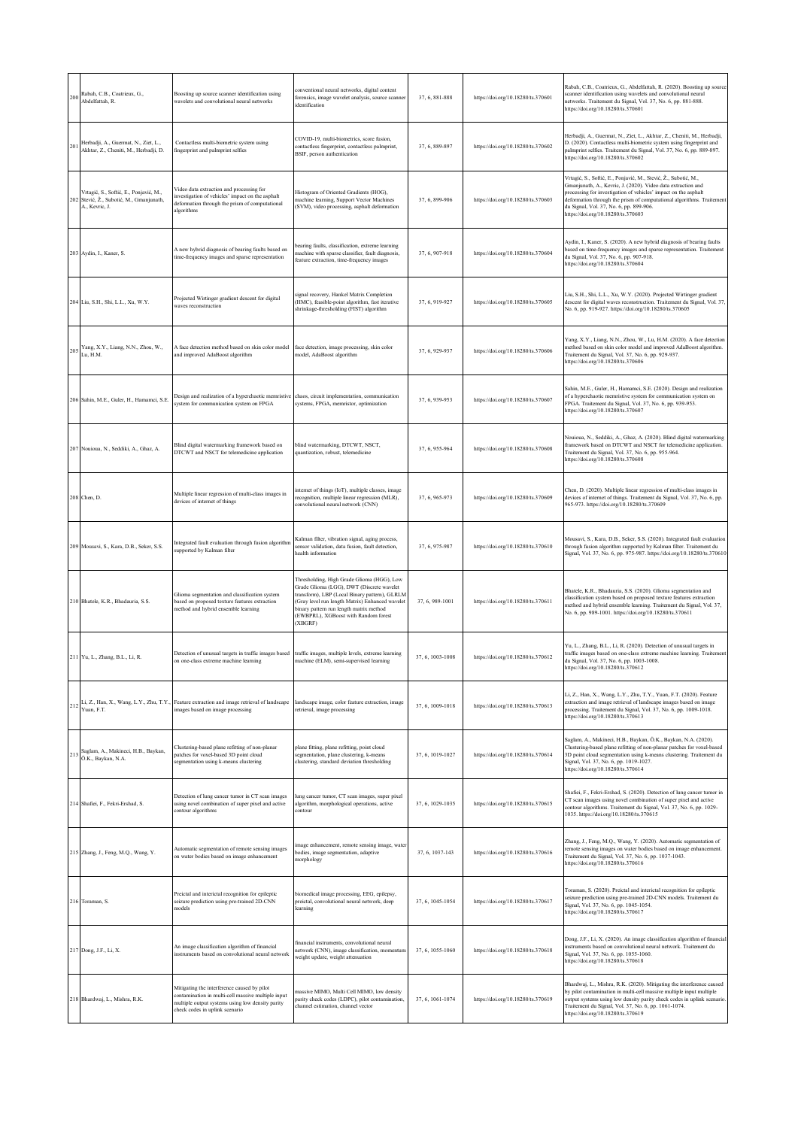| 200 | Rabah, C.B., Coatrieux, G.,<br>Abdelfattah, R.                                                   | Boosting up source scanner identification using<br>wavelets and convolutional neural networks                                                                                           | conventional neural networks, digital content<br>forensics, image wavelet analysis, source scanner<br>identification                                                                                                                                                                      | 37, 6, 881-888   | https://doi.org/10.18280/ts.370601 | Rabah, C.B., Coatrieux, G., Abdelfattah, R. (2020). Boosting up source<br>scanner identification using wavelets and convolutional neural<br>networks. Traitement du Signal, Vol. 37, No. 6, pp. 881-888.<br>https://doi.org/10.18280/ts.370601                                                                                                               |
|-----|--------------------------------------------------------------------------------------------------|-----------------------------------------------------------------------------------------------------------------------------------------------------------------------------------------|-------------------------------------------------------------------------------------------------------------------------------------------------------------------------------------------------------------------------------------------------------------------------------------------|------------------|------------------------------------|--------------------------------------------------------------------------------------------------------------------------------------------------------------------------------------------------------------------------------------------------------------------------------------------------------------------------------------------------------------|
| 201 | Herbadji, A., Guermat, N., Ziet, L.,<br>Akhtar, Z., Cheniti, M., Herbadji, D.                    | Contactless multi-biometric system using<br>ingerprint and palmprint selfies                                                                                                            | COVID-19, multi-biometrics, score fusion,<br>contactless fingerprint, contactless palmprint,<br>BSIF, person authentication                                                                                                                                                               | 37, 6, 889-897   | https://doi.org/10.18280/ts.370602 | Herbadji, A., Guermat, N., Ziet, L., Akhtar, Z., Cheniti, M., Herbadji,<br>D. (2020). Contactless multi-biometric system using fingerprint and<br>palmprint selfies. Traitement du Signal, Vol. 37, No. 6, pp. 889-897.<br>https://doi.org/10.18280/ts.370602                                                                                                |
| 202 | Vrtagić, S., Softić, E., Ponjavić, M.,<br>Stević, Ž., Subotić, M., Gmanjunath,<br>A., Kevric, J. | Video data extraction and processing for<br>investigation of vehicles' impact on the asphalt<br>deformation through the prism of computational<br>algorithms                            | Histogram of Oriented Gradients (HOG),<br>machine learning, Support Vector Machines<br>(SVM), video processing, asphalt deformation                                                                                                                                                       | 37, 6, 899-906   | https://doi.org/10.18280/ts.370603 | Vrtagić, S., Softić, E., Ponjavić, M., Stević, Ž., Subotić, M.,<br>Gmanjunath, A., Kevric, J. (2020). Video data extraction and<br>processing for investigation of vehicles' impact on the asphalt<br>deformation through the prism of computational algorithms. Traitement<br>du Signal, Vol. 37, No. 6, pp. 899-906.<br>https://doi.org/10.18280/ts.370603 |
|     | 203 Aydin, I., Kaner, S.                                                                         | A new hybrid diagnosis of bearing faults based on<br>time-frequency images and sparse representation                                                                                    | pearing faults, classification, extreme learning<br>machine with sparse classifier, fault diagnosis,<br>feature extraction, time-frequency images                                                                                                                                         | 37, 6, 907-918   | https://doi.org/10.18280/ts.370604 | Aydin, I., Kaner, S. (2020). A new hybrid diagnosis of bearing faults<br>based on time-frequency images and sparse representation. Traitement<br>du Signal, Vol. 37, No. 6, pp. 907-918.<br>https://doi.org/10.18280/ts.370604                                                                                                                               |
|     | 204 Liu, S.H., Shi, L.L., Xu, W.Y.                                                               | Projected Wirtinger gradient descent for digital<br>waves reconstruction                                                                                                                | signal recovery, Hankel Matrix Completion<br>(HMC), feasible-point algorithm, fast iterative<br>shrinkage-thresholding (FIST) algorithm                                                                                                                                                   | 37, 6, 919-927   | https://doi.org/10.18280/ts.370605 | Liu, S.H., Shi, L.L., Xu, W.Y. (2020). Projected Wirtinger gradient<br>descent for digital waves reconstruction. Traitement du Signal, Vol. 37,<br>No. 6, pp. 919-927. https://doi.org/10.18280/ts.370605                                                                                                                                                    |
| 205 | Yang, X.Y., Liang, N.N., Zhou, W.,<br>Lu, H.M.                                                   | A face detection method based on skin color model<br>and improved AdaBoost algorithm                                                                                                    | face detection, image processing, skin color<br>model, AdaBoost algorithm                                                                                                                                                                                                                 | 37, 6, 929-937   | https://doi.org/10.18280/ts.370606 | Yang, X.Y., Liang, N.N., Zhou, W., Lu, H.M. (2020). A face detection<br>method based on skin color model and improved AdaBoost algorithm.<br>Traitement du Signal, Vol. 37, No. 6, pp. 929-937.<br>https://doi.org/10.18280/ts.370606                                                                                                                        |
|     | 206 Sahin, M.E., Guler, H., Hamamci, S.E.                                                        | Design and realization of a hyperchaotic memristive<br>system for communication system on FPGA                                                                                          | chaos, circuit implementation, communication<br>systems, FPGA, memristor, optimization                                                                                                                                                                                                    | 37, 6, 939-953   | https://doi.org/10.18280/ts.370607 | Sahin, M.E., Guler, H., Hamamci, S.E. (2020). Design and realization<br>of a hyperchaotic memristive system for communication system on<br>FPGA. Traitement du Signal, Vol. 37, No. 6, pp. 939-953.<br>https://doi.org/10.18280/ts.370607                                                                                                                    |
|     | 207 Nouioua, N., Seddiki, A., Ghaz, A.                                                           | Blind digital watermarking framework based on<br>DTCWT and NSCT for telemedicine application                                                                                            | blind watermarking, DTCWT, NSCT,<br>quantization, robust, telemedicine                                                                                                                                                                                                                    | 37, 6, 955-964   | https://doi.org/10.18280/ts.370608 | Nouioua, N., Seddiki, A., Ghaz, A. (2020). Blind digital watermarking<br>framework based on DTCWT and NSCT for telemedicine application.<br>Traitement du Signal, Vol. 37, No. 6, pp. 955-964.<br>https://doi.org/10.18280/ts.370608                                                                                                                         |
|     | 208 Chen, D.                                                                                     | Multiple linear regression of multi-class images in<br>devices of internet of things                                                                                                    | internet of things (IoT), multiple classes, image<br>recognition, multiple linear regression (MLR),<br>convolutional neural network (CNN)                                                                                                                                                 | 37, 6, 965-973   | https://doi.org/10.18280/ts.370609 | Chen, D. (2020). Multiple linear regression of multi-class images in<br>devices of internet of things. Traitement du Signal, Vol. 37, No. 6, pp.<br>965-973. https://doi.org/10.18280/ts.370609                                                                                                                                                              |
|     | 209 Mousavi, S., Kara, D.B., Seker, S.S.                                                         | Integrated fault evaluation through fusion algorithm<br>supported by Kalman filter                                                                                                      | Kalman filter, vibration signal, aging process,<br>sensor validation, data fusion, fault detection,<br>health information                                                                                                                                                                 | 37, 6, 975-987   | https://doi.org/10.18280/ts.370610 | Mousavi, S., Kara, D.B., Seker, S.S. (2020). Integrated fault evaluation<br>through fusion algorithm supported by Kalman filter. Traitement du<br>Signal, Vol. 37, No. 6, pp. 975-987. https://doi.org/10.18280/ts.370610                                                                                                                                    |
|     | 210 Bhatele, K.R., Bhadauria, S.S.                                                               | Glioma segmentation and classification system<br>based on proposed texture features extraction<br>nethod and hybrid ensemble learning                                                   | Thresholding, High Grade Glioma (HGG), Low<br>Grade Glioma (LGG), DWT (Discrete wavelet<br>transform), LBP (Local Binary pattern), GLRLM<br>(Gray level run length Matrix) Enhanced wavelet<br>binary pattern run length matrix method<br>(EWBPRL), XGBoost with Random forest<br>(XBGRF) | 37, 6, 989-1001  | https://doi.org/10.18280/ts.370611 | Bhatele, K.R., Bhadauria, S.S. (2020). Glioma segmentation and<br>classification system based on proposed texture features extraction<br>method and hybrid ensemble learning. Traitement du Signal, Vol. 37,<br>No. 6, pp. 989-1001. https://doi.org/10.18280/ts.370611                                                                                      |
|     | 211 Yu, L., Zhang, B.L., Li, R.                                                                  | Detection of unusual targets in traffic images based<br>on one-class extreme machine learning                                                                                           | traffic images, multiple levels, extreme learning<br>machine (ELM), semi-supervised learning                                                                                                                                                                                              | 37, 6, 1003-1008 | https://doi.org/10.18280/ts.370612 | Yu, L., Zhang, B.L., Li, R. (2020). Detection of unusual targets in<br>traffic images based on one-class extreme machine learning. Traitement<br>du Signal, Vol. 37, No. 6, pp. 1003-1008.<br>https://doi.org/10.18280/ts.370612                                                                                                                             |
| 212 | Yuan, F.T.                                                                                       | Li, Z., Han, X., Wang, L.Y., Zhu, T.Y., Feature extraction and image retrieval of landscape<br>images based on image processing                                                         | landscape image, color feature extraction, image<br>retrieval, image processing                                                                                                                                                                                                           | 37, 6, 1009-1018 | https://doi.org/10.18280/ts.370613 | Li, Z., Han, X., Wang, L.Y., Zhu, T.Y., Yuan, F.T. (2020). Feature<br>extraction and image retrieval of landscape images based on image<br>processing. Traitement du Signal, Vol. 37, No. 6, pp. 1009-1018.<br>https://doi.org/10.18280/ts.370613                                                                                                            |
|     | Saglam, A., Makineci, H.B., Baykan,<br>213 Ö.K., Baykan, N.A.                                    | Clustering-based plane refitting of non-planar<br>patches for voxel-based 3D point cloud<br>segmentation using k-means clustering                                                       | plane fitting, plane refitting, point cloud<br>segmentation, plane clustering, k-means<br>clustering, standard deviation thresholding                                                                                                                                                     | 37, 6, 1019-1027 | https://doi.org/10.18280/ts.370614 | Saglam, A., Makineci, H.B., Baykan, Ö.K., Baykan, N.A. (2020).<br>Clustering-based plane refitting of non-planar patches for voxel-based<br>3D point cloud segmentation using k-means clustering. Traitement du<br>Signal, Vol. 37, No. 6, pp. 1019-1027.<br>https://doi.org/10.18280/ts.370614                                                              |
|     | 214 Shafiei, F., Fekri-Ershad, S.                                                                | Detection of lung cancer tumor in CT scan images<br>using novel combination of super pixel and active<br>contour algorithms                                                             | lung cancer tumor, CT scan images, super pixel<br>algorithm, morphological operations, active<br>contour                                                                                                                                                                                  | 37, 6, 1029-1035 | https://doi.org/10.18280/ts.370615 | Shafiei, F., Fekri-Ershad, S. (2020). Detection of lung cancer tumor in<br>CT scan images using novel combination of super pixel and active<br>contour algorithms. Traitement du Signal, Vol. 37, No. 6, pp. 1029-<br>1035. https://doi.org/10.18280/ts.370615                                                                                               |
|     | 215 Zhang, J., Feng, M.Q., Wang, Y.                                                              | Automatic segmentation of remote sensing images<br>on water bodies based on image enhancement                                                                                           | image enhancement, remote sensing image, water<br>bodies, image segmentation, adaptive<br>morphology                                                                                                                                                                                      | 37, 6, 1037-143  | https://doi.org/10.18280/ts.370616 | Zhang, J., Feng, M.Q., Wang, Y. (2020). Automatic segmentation of<br>remote sensing images on water bodies based on image enhancement.<br>Traitement du Signal, Vol. 37, No. 6, pp. 1037-1043.<br>https://doi.org/10.18280/ts.370616                                                                                                                         |
|     | 216 Toraman, S.                                                                                  | Preictal and interictal recognition for epileptic<br>seizure prediction using pre-trained 2D-CNN<br>models                                                                              | biomedical image processing, EEG, epilepsy,<br>preictal, convolutional neural network, deep<br>learning                                                                                                                                                                                   | 37, 6, 1045-1054 | https://doi.org/10.18280/ts.370617 | Toraman, S. (2020). Preictal and interictal recognition for epileptic<br>seizure prediction using pre-trained 2D-CNN models. Traitement du<br>Signal, Vol. 37, No. 6, pp. 1045-1054.<br>https://doi.org/10.18280/ts.370617                                                                                                                                   |
|     | 217 Dong, J.F., Li, X.                                                                           | An image classification algorithm of financial<br>instruments based on convolutional neural network                                                                                     | financial instruments, convolutional neural<br>network (CNN), image classification, momentum<br>weight update, weight attenuation                                                                                                                                                         | 37, 6, 1055-1060 | https://doi.org/10.18280/ts.370618 | Dong, J.F., Li, X. (2020). An image classification algorithm of financial<br>instruments based on convolutional neural network. Traitement du<br>Signal, Vol. 37, No. 6, pp. 1055-1060.<br>https://doi.org/10.18280/ts.370618                                                                                                                                |
|     | 218 Bhardwaj, L., Mishra, R.K.                                                                   | Mitigating the interference caused by pilot<br>contamination in multi-cell massive multiple input<br>multiple output systems using low density parity<br>check codes in uplink scenario | massive MIMO, Multi Cell MIMO, low density<br>parity check codes (LDPC), pilot contamination,<br>channel estimation, channel vector                                                                                                                                                       | 37, 6, 1061-1074 | https://doi.org/10.18280/ts.370619 | Bhardwaj, L., Mishra, R.K. (2020). Mitigating the interference caused<br>by pilot contamination in multi-cell massive multiple input multiple<br>output systems using low density parity check codes in uplink scenario.<br>Traitement du Signal, Vol. 37, No. 6, pp. 1061-1074.<br>https://doi.org/10.18280/ts.370619                                       |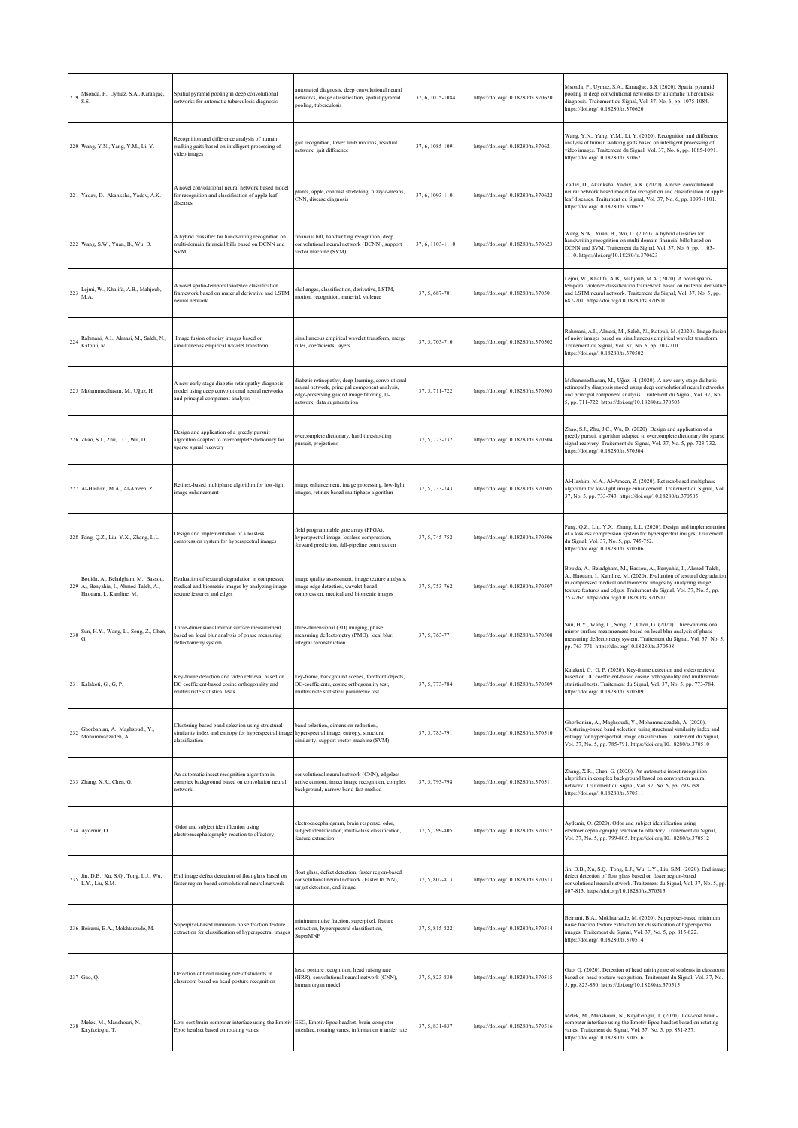| 219 | Msonda, P., Uymaz, S.A., Karaağaç,<br>S.S.                                                          | Spatial pyramid pooling in deep convolutional<br>networks for automatic tuberculosis diagnosis                                                                      | automated diagnosis, deep convolutional neural<br>networks, image classification, spatial pyramid<br>pooling, tuberculosis                                                      | 37, 6, 1075-1084 | https://doi.org/10.18280/ts.370620 | Msonda, P., Uymaz, S.A., Karaağaç, S.S. (2020). Spatial pyramid<br>pooling in deep convolutional networks for automatic tuberculosis<br>diagnosis. Traitement du Signal, Vol. 37, No. 6, pp. 1075-1084.<br>https://doi.org/10.18280/ts.370620                                                                                        |
|-----|-----------------------------------------------------------------------------------------------------|---------------------------------------------------------------------------------------------------------------------------------------------------------------------|---------------------------------------------------------------------------------------------------------------------------------------------------------------------------------|------------------|------------------------------------|--------------------------------------------------------------------------------------------------------------------------------------------------------------------------------------------------------------------------------------------------------------------------------------------------------------------------------------|
|     | 220 Wang, Y.N., Yang, Y.M., Li, Y.                                                                  | Recognition and difference analysis of human<br>walking gaits based on intelligent processing of<br>video images                                                    | gait recognition, lower limb motions, residual<br>network, gait difference                                                                                                      | 37, 6, 1085-1091 | https://doi.org/10.18280/ts.370621 | Wang, Y.N., Yang, Y.M., Li, Y. (2020). Recognition and difference<br>analysis of human walking gaits based on intelligent processing of<br>video images. Traitement du Signal, Vol. 37, No. 6, pp. 1085-1091.<br>https://doi.org/10.18280/ts.370621                                                                                  |
|     | 221 Yadav, D., Akanksha, Yadav, A.K.                                                                | A novel convolutional neural network based model<br>for recognition and classification of apple leaf<br>diseases                                                    | lants, apple, contrast stretching, fuzzy c-means,<br>CNN, disease diagnosis                                                                                                     | 37, 6, 1093-1101 | https://doi.org/10.18280/ts.370622 | Yadav, D., Akanksha, Yadav, A.K. (2020). A novel convolutional<br>neural network based model for recognition and classification of apple<br>leaf diseases. Traitement du Signal, Vol. 37, No. 6, pp. 1093-1101.<br>https://doi.org/10.18280/ts.370622                                                                                |
|     | 222 Wang, S.W., Yuan, B., Wu, D.                                                                    | A hybrid classifier for handwriting recognition on<br>multi-domain financial bills based on DCNN and<br><b>SVM</b>                                                  | financial bill, handwriting recognition, deep<br>convolutional neural network (DCNN), support<br>vector machine (SVM)                                                           | 37, 6, 1103-1110 | https://doi.org/10.18280/ts.370623 | Wang, S.W., Yuan, B., Wu, D. (2020). A hybrid classifier for<br>handwriting recognition on multi-domain financial bills based on<br>DCNN and SVM. Traitement du Signal, Vol. 37, No. 6, pp. 1103-<br>1110. https://doi.org/10.18280/ts.370623                                                                                        |
| 223 | Lejmi, W., Khalifa, A.B., Mahjoub,<br>M.A.                                                          | A novel spatio-temporal violence classification<br>framework based on material derivative and LSTM<br>neural network                                                | challenges, classification, derivative, LSTM,<br>motion, recognition, material, violence                                                                                        | 37, 5, 687-701   | https://doi.org/10.18280/ts.370501 | Lejmi, W., Khalifa, A.B., Mahjoub, M.A. (2020). A novel spatio-<br>temporal violence classification framework based on material derivative<br>and LSTM neural network. Traitement du Signal, Vol. 37, No. 5, pp.<br>687-701. https://doi.org/10.18280/ts.370501                                                                      |
| 224 | Rahmani, A.I., Almasi, M., Saleh, N.,<br>Katouli, M.                                                | Image fusion of noisy images based on<br>simultaneous empirical wavelet transform                                                                                   | simultaneous empirical wavelet transform, merge<br>rules, coefficients, layers                                                                                                  | 37, 5, 703-710   | https://doi.org/10.18280/ts.370502 | Rahmani, A.I., Almasi, M., Saleh, N., Katouli, M. (2020). Image fusion<br>of noisy images based on simultaneous empirical wavelet transform.<br>Traitement du Signal, Vol. 37, No. 5, pp. 703-710.<br>https://doi.org/10.18280/ts.370502                                                                                             |
|     | 225 Mohammedhasan, M., Uğuz, H.                                                                     | A new early stage diabetic retinopathy diagnosis<br>model using deep convolutional neural networks<br>and principal component analysis                              | diabetic retinopathy, deep learning, convolutional<br>neural network, principal component analysis,<br>edge-preserving guided image filtering, U-<br>network, data augmentation | 37, 5, 711-722   | https://doi.org/10.18280/ts.370503 | Mohammedhasan, M., Uğuz, H. (2020). A new early stage diabetic<br>retinopathy diagnosis model using deep convolutional neural networks<br>and principal component analysis. Traitement du Signal, Vol. 37, No.<br>5, pp. 711-722. https://doi.org/10.18280/ts.370503                                                                 |
|     | 226 Zhao, S.J., Zhu, J.C., Wu, D.                                                                   | Design and application of a greedy pursuit<br>algorithm adapted to overcomplete dictionary for<br>sparse signal recovery                                            | overcomplete dictionary, hard thresholding<br>pursuit, projections                                                                                                              | 37, 5, 723-732   | https://doi.org/10.18280/ts.370504 | Zhao, S.J., Zhu, J.C., Wu, D. (2020). Design and application of a<br>greedy pursuit algorithm adapted to overcomplete dictionary for sparse<br>signal recovery. Traitement du Signal, Vol. 37, No. 5, pp. 723-732.<br>https://doi.org/10.18280/ts.370504                                                                             |
|     | 227 Al-Hashim, M.A., Al-Ameen, Z.                                                                   | Retinex-based multiphase algorithm for low-light<br>image enhancement                                                                                               | image enhancement, image processing, low-light<br>images, retinex-based multiphase algorithm                                                                                    | 37, 5, 733-743   | https://doi.org/10.18280/ts.370505 | Al-Hashim, M.A., Al-Ameen, Z. (2020). Retinex-based multiphase<br>algorithm for low-light image enhancement. Traitement du Signal, Vol.<br>37, No. 5, pp. 733-743. https://doi.org/10.18280/ts.370505                                                                                                                                |
|     | 228 Fang, Q.Z., Liu, Y.X., Zhang, L.L.                                                              | Design and implementation of a lossless<br>compression system for hyperspectral images                                                                              | field programmable gate array (FPGA),<br>hyperspectral image, lossless compression,<br>forward prediction, full-pipeline construction                                           | 37, 5, 745-752   | https://doi.org/10.18280/ts.370506 | Fang, Q.Z., Liu, Y.X., Zhang, L.L. (2020). Design and implementation<br>of a lossless compression system for hyperspectral images. Traitement<br>du Signal, Vol. 37, No. 5, pp. 745-752.<br>https://doi.org/10.18280/ts.370506                                                                                                       |
| 229 | Bouida, A., Beladgham, M., Bassou,<br>A., Benyahia, I., Ahmed-Taleb, A.,<br>Haouam, I., Kamline, M. | Evaluation of textural degradation in compressed<br>medical and biometric images by analyzing image<br>exture features and edges                                    | image quality assessment, image texture analysis,<br>image edge detection, wavelet-based<br>compression, medical and biometric images                                           | 37, 5, 753-762   | https://doi.org/10.18280/ts.370507 | Bouida, A., Beladgham, M., Bassou, A., Benyahia, I., Ahmed-Taleb,<br>A., Haouam, I., Kamline, M. (2020). Evaluation of textural degradation<br>in compressed medical and biometric images by analyzing image<br>texture features and edges. Traitement du Signal, Vol. 37, No. 5, pp.<br>753-762. https://doi.org/10.18280/ts.370507 |
| 230 | Sun, H.Y., Wang, L., Song, Z., Chen,                                                                | Three-dimensional mirror surface measurement<br>based on local blur analysis of phase measuring<br>deflectometry system                                             | three-dimensional (3D) imaging, phase<br>measuring deflectometry (PMD), local blur,<br>integral reconstruction                                                                  | 37, 5, 763-771   | https://doi.org/10.18280/ts.370508 | Sun, H.Y., Wang, L., Song, Z., Chen, G. (2020). Three-dimensional<br>mirror surface measurement based on local blur analysis of phase<br>measuring deflectometry system. Traitement du Signal, Vol. 37, No. 5,<br>pp. 763-771. https://doi.org/10.18280/ts.370508                                                                    |
|     | 231 Kalakoti, G., G, P.                                                                             | Cey-frame detection and video retrieval based on<br>DC coefficient-based cosine orthogonality and<br>multivariate statistical tests                                 | key-frame, background scenes, forefront objects,<br>DC-coefficients, cosine orthogonality test,<br>multivariate statistical parametric test                                     | 37, 5, 773-784   | https://doi.org/10.18280/ts.370509 | Kalakoti, G., G, P. (2020). Key-frame detection and video retrieval<br>based on DC coefficient-based cosine orthogonality and multivariate<br>statistical tests. Traitement du Signal, Vol. 37, No. 5, pp. 773-784.<br>https://doi.org/10.18280/ts.370509                                                                            |
| 232 | Ghorbanian, A., Maghsoudi, Y.,<br>Mohammadzadeh, A.                                                 | Clustering-based band selection using structural<br>similarity index and entropy for hyperspectral image hyperspectral image, entropy, structural<br>classification | band selection, dimension reduction,<br>similarity, support vector machine (SVM)                                                                                                | 37, 5, 785-791   | https://doi.org/10.18280/ts.370510 | Ghorbanian, A., Maghsoudi, Y., Mohammadzadeh, A. (2020).<br>Clustering-based band selection using structural similarity index and<br>entropy for hyperspectral image classification. Traitement du Signal,<br>Vol. 37, No. 5, pp. 785-791. https://doi.org/10.18280/ts.370510                                                        |
|     | 233 Zhang, X.R., Chen, G.                                                                           | An automatic insect recognition algorithm in<br>complex background based on convolution neural<br>network                                                           | convolutional neural network (CNN), edgeless<br>active contour, insect image recognition, complex<br>background, narrow-band fast method                                        | 37, 5, 793-798   | https://doi.org/10.18280/ts.370511 | Zhang, X.R., Chen, G. (2020). An automatic insect recognition<br>algorithm in complex background based on convolution neural<br>network. Traitement du Signal, Vol. 37, No. 5, pp. 793-798.<br>https://doi.org/10.18280/ts.370511                                                                                                    |
|     | 234 Aydemir, O.                                                                                     | Odor and subject identification using<br>electroencephalography reaction to olfactory                                                                               | electroencephalogram, brain response, odor,<br>subject identification, multi-class classification,<br>feature extraction                                                        | 37, 5, 799-805   | https://doi.org/10.18280/ts.370512 | Aydemir, O. (2020). Odor and subject identification using<br>electroencephalography reaction to olfactory. Traitement du Signal,<br>Vol. 37, No. 5, pp. 799-805. https://doi.org/10.18280/ts.370512                                                                                                                                  |
| 235 | Jin, D.B., Xu, S.Q., Tong, L.J., Wu,<br>L.Y., Liu, S.M.                                             | End image defect detection of float glass based on<br>faster region-based convolutional neural network                                                              | float glass, defect detection, faster region-based<br>convolutional neural network (Faster RCNN),<br>target detection, end image                                                | 37, 5, 807-813   | https://doi.org/10.18280/ts.370513 | Jin, D.B., Xu, S.Q., Tong, L.J., Wu, L.Y., Liu, S.M. (2020). End image<br>defect detection of float glass based on faster region-based<br>convolutional neural network. Traitement du Signal, Vol. 37, No. 5, pp.<br>807-813. https://doi.org/10.18280/ts.370513                                                                     |
|     | 236 Beirami, B.A., Mokhtarzade, M.                                                                  | Superpixel-based minimum noise fraction feature<br>extraction for classification of hyperspectral images                                                            | minimum noise fraction, superpixel, feature<br>extraction, hyperspectral classification,<br>SuperMNF                                                                            | 37, 5, 815-822   | https://doi.org/10.18280/ts.370514 | Beirami, B.A., Mokhtarzade, M. (2020). Superpixel-based minimum<br>noise fraction feature extraction for classification of hyperspectral<br>images. Traitement du Signal, Vol. 37, No. 5, pp. 815-822.<br>https://doi.org/10.18280/ts.370514                                                                                         |
|     | 237 Guo, Q.                                                                                         | Detection of head raising rate of students in<br>classroom based on head posture recognition                                                                        | head posture recognition, head raising rate<br>(HRR), convolutional neural network (CNN),<br>human organ model                                                                  | 37, 5, 823-830   | https://doi.org/10.18280/ts.370515 | Guo, Q. (2020). Detection of head raising rate of students in classroom<br>based on head posture recognition. Traitement du Signal, Vol. 37, No.<br>5, pp. 823-830. https://doi.org/10.18280/ts.370515                                                                                                                               |
| 238 | Melek, M., Manshouri, N.,<br>Kayikcioglu, T.                                                        | Low-cost brain-computer interface using the Emotiv EEG, Emotiv Epoc headset, brain-computer<br>Epoc headset based on rotating vanes                                 | interface, rotating vanes, information transfer rate                                                                                                                            | 37.5.831-837     | https://doi.org/10.18280/ts.370516 | Melek, M., Manshouri, N., Kayikcioglu, T. (2020). Low-cost brain-<br>computer interface using the Emotiv Epoc headset based on rotating<br>vanes. Traitement du Signal, Vol. 37, No. 5, pp. 831-837.<br>https://doi.org/10.18280/ts.370516                                                                                           |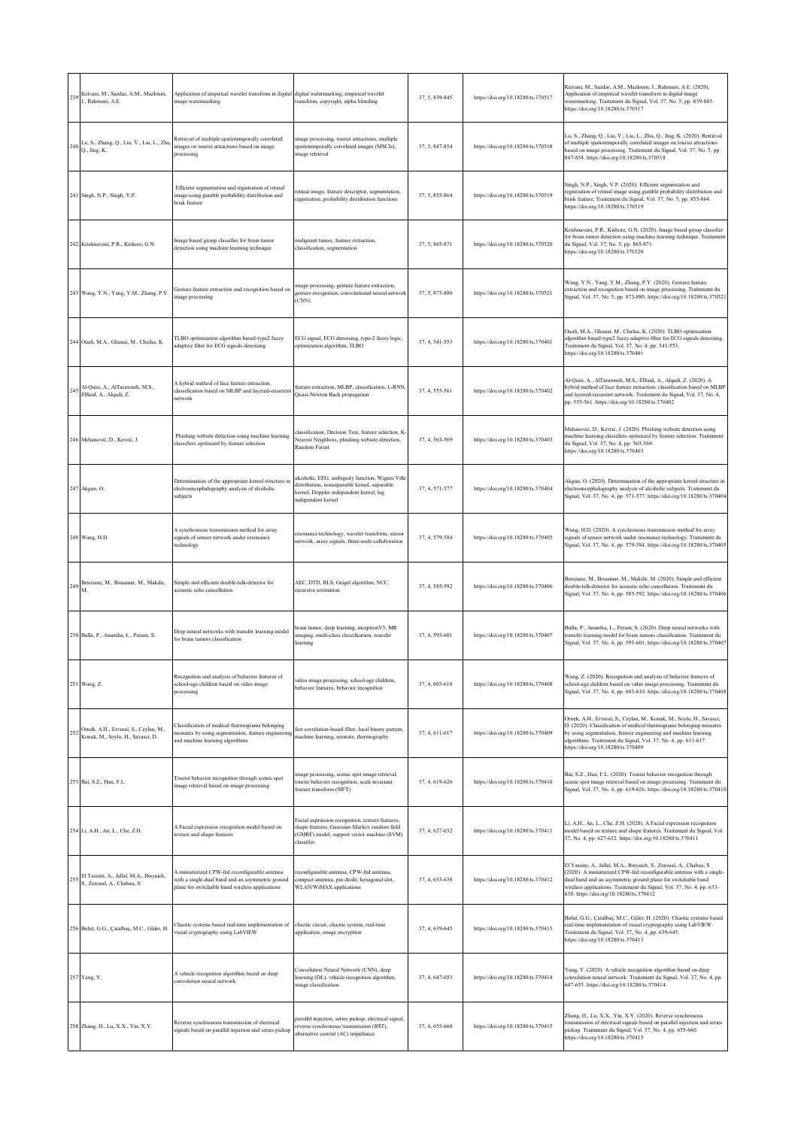|     | Keivani, M., Sazdar, A.M., Mazloum,<br>$239$ J., Rahmani, A.E.                 | Application of empirical wavelet transform in digital<br>image watermarking                                                                          | digital watermarking, empirical wavelet<br>transform, copyright, alpha blending                                                                                   | 37, 5, 839-845 | https://doi.org/10.18280/ts.370517 | Keivani, M., Sazdar, A.M., Mazloum, J., Rahmani, A.E. (2020).<br>Application of empirical wavelet transform in digital image<br>watermarking. Traitement du Signal, Vol. 37, No. 5, pp. 839-845.<br>https://doi.org/10.18280/ts.370517                                                                                          |
|-----|--------------------------------------------------------------------------------|------------------------------------------------------------------------------------------------------------------------------------------------------|-------------------------------------------------------------------------------------------------------------------------------------------------------------------|----------------|------------------------------------|---------------------------------------------------------------------------------------------------------------------------------------------------------------------------------------------------------------------------------------------------------------------------------------------------------------------------------|
|     | 240 Lu, S., Zhang, Q., Liu, Y., Liu, L., Zhu, Q., Jing, K.                     | Retrieval of multiple spatiotemporally correlated<br>images on tourist attractions based on image<br>processing                                      | image processing, tourist attractions, multiple<br>spatiotemporally correlated images (MSCIs),<br>image retrieval                                                 | 37.5.847-854   | https://doi.org/10.18280/ts.370518 | Lu, S., Zhang, Q., Liu, Y., Liu, L., Zhu, Q., Jing, K. (2020). Retrieval<br>of multiple spatiotemporally correlated images on tourist attractions<br>based on image processing. Traitement du Signal, Vol. 37, No. 5, pp.<br>847-854. https://doi.org/10.18280/ts.370518                                                        |
|     | 241 Singh, N.P., Singh, V.P.                                                   | Efficient segmentation and registration of retinal<br>image using gumble probability distribution and<br>brisk feature                               | retinal image, feature descriptor, segmentation,<br>registration, probability distribution functions                                                              | 37, 5, 855-864 | https://doi.org/10.18280/ts.370519 | Singh, N.P., Singh, V.P. (2020). Efficient segmentation and<br>egistration of retinal image using gumble probability distribution and<br>brisk feature. Traitement du Signal, Vol. 37, No. 5, pp. 855-864.<br>https://doi.org/10.18280/ts.370519                                                                                |
|     | 242 Krishnaveni, P.R., Kishore, G.N.                                           | Image based group classifier for brain tumor<br>letection using machine learning technique                                                           | malignant tumor, feature extraction,<br>classification, segmentation                                                                                              | 37, 5, 865-871 | https://doi.org/10.18280/ts.370520 | Krishnaveni, P.R., Kishore, G.N. (2020). Image based group classifier<br>for brain tumor detection using machine learning technique. Traitement<br>du Signal, Vol. 37, No. 5, pp. 865-871.<br>https://doi.org/10.18280/ts.370520                                                                                                |
|     | 243 Wang, Y.N., Yang, Y.M., Zhang, P.Y.                                        | Gesture feature extraction and recognition based on<br>mage processing                                                                               | image processing, gesture feature extraction,<br>gesture recognition, convolutional neural network<br>(CNN)                                                       | 37.5.873-880   | https://doi.org/10.18280/ts.370521 | Wang, Y.N., Yang, Y.M., Zhang, P.Y. (2020). Gesture feature<br>extraction and recognition based on image processing. Traitement du<br>Signal, Vol. 37, No. 5, pp. 873-880. https://doi.org/10.18280/ts.370521                                                                                                                   |
|     | 244 Ouali, M.A., Ghanai, M., Chafaa, K.                                        | TLBO optimization algorithm based-type2 fuzzy<br>adaptive filter for ECG signals denoising                                                           | ECG signal, ECG denoising, type-2 fuzzy logic,<br>optimization algorithm, TLBO                                                                                    | 37, 4, 541-553 | https://doi.org/10.18280/ts.370401 | Ouali, M.A., Ghanai, M., Chafaa, K. (2020). TLBO optimization<br>algorithm based-type2 fuzzy adaptive filter for ECG signals denoising.<br>Traitement du Signal, Vol. 37, No. 4, pp. 541-553.<br>https://doi.org/10.18280/ts.370401                                                                                             |
| 245 | Al-Qaisi, A., AlTarawneh, M.S.,<br>ElSaid, A., Alqadi, Z.                      | A hybrid method of face feature extraction.<br>classification based on MLBP and layered-recurrent<br>network                                         | feature extraction, MLBP, classification, L-RNN,<br>Quasi-Newton Back propagation                                                                                 | 37, 4, 555-561 | https://doi.org/10.18280/ts.370402 | Al-Qaisi, A., AlTarawneh, M.S., ElSaid, A., Alqadi, Z. (2020). A<br>hybrid method of face feature extraction, classification based on MLBP<br>and layered-recurrent network. Traitement du Signal, Vol. 37, No. 4,<br>pp. 555-561. https://doi.org/10.18280/ts.370402                                                           |
|     | 246 Mehanović, D., Kevrić, J.                                                  | Phishing website detection using machine learning<br>classifiers optimized by feature selection                                                      | classification, Decision Tree, feature selection, K<br>Nearest Neighbors, phishing website detection,<br>Random Forest                                            | 37, 4, 563-569 | https://doi.org/10.18280/ts.370403 | Mehanović, D., Kevrić, J. (2020). Phishing website detection using<br>nachine learning classifiers optimized by feature selection. Traitement<br>du Signal, Vol. 37, No. 4, pp. 563-569.<br>https://doi.org/10.18280/ts.370403                                                                                                  |
|     | 247 Akgun, O.                                                                  | Determination of the appropriate kernel structure in<br>electroencephalography analysis of alcoholic<br>subjects                                     | alcoholic, EEG, ambiguity function, Wigner Ville<br>distribution, nonseparable kernel, separable<br>kernel, Doppler independent kernel, lag<br>independent kernel | 37, 4, 571-577 | https://doi.org/10.18280/ts.370404 | Akgun, O. (2020). Determination of the appropriate kernel structure in<br>electroencephalography analysis of alcoholic subjects. Traitement du<br>Signal, Vol. 37, No. 4, pp. 571-577. https://doi.org/10.18280/ts.370404                                                                                                       |
|     | 248 Wang, H.D.                                                                 | A synchronous transmission method for array<br>signals of sensor network under resonance<br>echnology                                                | resonance technology, wavelet transform, sensor<br>network, array signals, three-node collaboration                                                               | 37, 4, 579-584 | https://doi.org/10.18280/ts.370405 | Wang, H.D. (2020). A synchronous transmission method for array<br>signals of sensor network under resonance technology. Traitement du<br>Signal, Vol. 37, No. 4, pp. 579-584. https://doi.org/10.18280/ts.370405                                                                                                                |
| 249 | Benziane, M., Bouamar, M., Makdir,<br>M.                                       | Simple and efficient double-talk-detector for<br>acoustic echo cancellation                                                                          | AEC, DTD, RLS, Geigel algorithm, NCC,<br>recursive estimation                                                                                                     | 37, 4, 585-592 | https://doi.org/10.18280/ts.370406 | Benziane, M., Bouamar, M., Makdir, M. (2020). Simple and efficient<br>double-talk-detector for acoustic echo cancellation. Traitement du<br>Signal, Vol. 37, No. 4, pp. 585-592. https://doi.org/10.18280/ts.370406                                                                                                             |
|     | 250 Bulla, P., Anantha, L., Peram, S.                                          | Deep neural networks with transfer learning model<br>for brain tumors classification                                                                 | brain tumor, deep learning, inception V3, MR<br>imaging, multi-class classification, transfer<br>learning                                                         | 37, 4, 593-601 | https://doi.org/10.18280/ts.370407 | Bulla, P., Anantha, L., Peram, S. (2020). Deep neural networks with<br>transfer learning model for brain tumors classification. Traitement du<br>Signal, Vol. 37, No. 4, pp. 593-601. https://doi.org/10.18280/ts.370407                                                                                                        |
|     | 251 Wang, Z.                                                                   | Recognition and analysis of behavior features of<br>school-age children based on video image<br>processing                                           | video image processing, school-age children,<br>behavior features, behavior recognition                                                                           | 37, 4, 603-610 | https://doi.org/10.18280/ts.370408 | Wang, Z. (2020). Recognition and analysis of behavior features of<br>school-age children based on video image processing. Traitement du<br>Signal, Vol. 37, No. 4, pp. 603-610. https://doi.org/10.18280/ts.370408                                                                                                              |
|     | 252 Ornek, A.H., Ervural, S., Ceylan, M.,<br>Konak, M., Soylu, H., Savasci, D. | Classification of medical thermograms belonging<br>neonates by using segmentation, feature engineering<br>and machine learning algorithms            | fast correlation-based filter, local binary pattern,<br>machine learning, neonate, thermography                                                                   | 37, 4, 611-617 | https://doi.org/10.18280/ts.370409 | Ornek, A.H., Ervural, S., Ceylan, M., Konak, M., Soylu, H., Savasci,<br>D. (2020). Classification of medical thermograms belonging neonates<br>by using segmentation, feature engineering and machine learning<br>algorithms. Traitement du Signal, Vol. 37, No. 4, pp. 611-617.<br>https://doi.org/10.18280/ts.370409          |
|     | 253 Bai, S.Z., Han, F.L.                                                       | Fourist behavior recognition through scenic spot<br>image retrieval based on image processing                                                        | image processing, scenic spot image retrieval,<br>tourist behavior recognition, scale invariant<br>feature transform (SIFT)                                       | 37, 4, 619-626 | https://doi.org/10.18280/ts.370410 | Bai, S.Z., Han, F.L. (2020). Tourist behavior recognition through<br>scenic spot image retrieval based on image processing. Traitement du<br>Signal, Vol. 37, No. 4, pp. 619-626. https://doi.org/10.18280/ts.370410                                                                                                            |
|     | 254 Li, A.H., An, L., Che, Z.H.                                                | A Facial expression recognition model based on<br>exture and shape features                                                                          | Facial expression recognition, texture features,<br>shape features, Gaussian Markov random field<br>(GMRF) model, support vector machine (SVM)<br>classifier      | 37, 4, 627-632 | https://doi.org/10.18280/ts.370411 | Li, A.H., An, L., Che, Z.H. (2020). A Facial expression recognition<br>model based on texture and shape features. Traitement du Signal, Vol.<br>37, No. 4, pp. 627-632. https://doi.org/10.18280/ts.370411                                                                                                                      |
| 255 | El Yassini, A., Jallal, M.A., Ibnyaich,<br>S., Zeroual, A., Chabaa, S.         | A miniaturized CPW-fed reconfigurable antenna<br>with a single-dual band and an asymmetric ground<br>plane for switchable band wireless applications | reconfigurable antenna, CPW-fed antenna,<br>compact antenna, pin diode, hexagonal slot,<br>WLAN/WiMAX applications                                                | 37, 4, 633-638 | https://doi.org/10.18280/ts.370412 | El Yassini, A., Jallal, M.A., Ibnyaich, S., Zeroual, A., Chabaa, S.<br>(2020). A miniaturized CPW-fed reconfigurable antenna with a single-<br>dual band and an asymmetric ground plane for switchable band<br>wireless applications. Traitement du Signal, Vol. 37, No. 4, pp. 633-<br>638. https://doi.org/10.18280/ts.370412 |
|     | 256 Bulut, G.G., Çatalbaş, M.C., Güler, H.                                     | Chaotic systems based real-time implementation of<br>visual cryptography using LabVIEW                                                               | chaotic circuit, chaotic system, real-time<br>application, image encryption                                                                                       | 37, 4, 639-645 | https://doi.org/10.18280/ts.370413 | Bulut, G.G., Çatalbaş, M.C., Güler, H. (2020). Chaotic systems based<br>real-time implementation of visual cryptography using LabVIEW.<br>Traitement du Signal, Vol. 37, No. 4, pp. 639-645.<br>https://doi.org/10.18280/ts.370413                                                                                              |
|     | 257 Yang, Y.                                                                   | A vehicle recognition algorithm based on deep<br>convolution neural network                                                                          | Convolution Neural Network (CNN), deep<br>learning (DL), vehicle recognition algorithm,<br>image classification                                                   | 37, 4, 647-653 | https://doi.org/10.18280/ts.370414 | Yang, Y. (2020). A vehicle recognition algorithm based on deep<br>convolution neural network. Traitement du Signal, Vol. 37, No. 4, pp.<br>647-653. https://doi.org/10.18280/ts.370414                                                                                                                                          |
|     | 258 Zhang, H., Lu, X.X., Yin, X.Y.                                             | Reverse synchronous transmission of electrical<br>signals based on parallel injection and series pickup                                              | parallel injection, series pickup, electrical signal,<br>reverse synchronous transmission (RST),<br>alternative current (AC) impedance                            | 37, 4, 655-660 | https://doi.org/10.18280/ts.370415 | Zhang, H., Lu, X.X., Yin, X.Y. (2020). Reverse synchronous<br>ransmission of electrical signals based on parallel injection and series<br>oickup. Traitement du Signal, Vol. 37, No. 4, pp. 655-660.<br>https://doi.org/10.18280/ts.370415                                                                                      |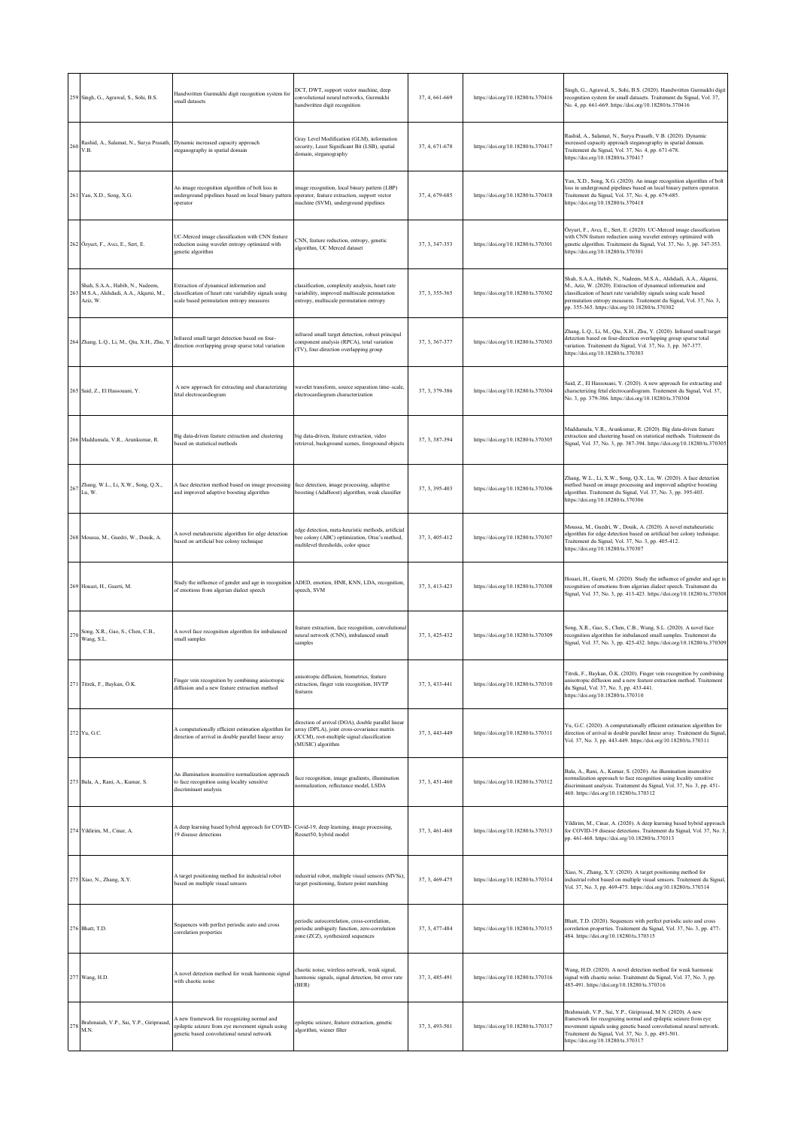|     | 259 Singh, G., Agrawal, S., Sohi, B.S.                                               | Handwritten Gurmukhi digit recognition system for<br>small datasets                                                                           | DCT, DWT, support vector machine, deep<br>convolutional neural networks, Gurmukhi<br>handwritten digit recognition                                                    | 37, 4, 661-669 | https://doi.org/10.18280/ts.370416 | Singh, G., Agrawal, S., Sohi, B.S. (2020). Handwritten Gurmukhi digit<br>recognition system for small datasets. Traitement du Signal, Vol. 37,<br>No. 4, pp. 661-669. https://doi.org/10.18280/ts.370416                                                                                                                          |
|-----|--------------------------------------------------------------------------------------|-----------------------------------------------------------------------------------------------------------------------------------------------|-----------------------------------------------------------------------------------------------------------------------------------------------------------------------|----------------|------------------------------------|-----------------------------------------------------------------------------------------------------------------------------------------------------------------------------------------------------------------------------------------------------------------------------------------------------------------------------------|
| 260 | Rashid, A., Salamat, N., Surya Prasath, Dynamic increased capacity approach<br>V.B.  | steganography in spatial domain                                                                                                               | Gray Level Modification (GLM), information<br>security, Least Significant Bit (LSB), spatial<br>domain, steganography                                                 | 37, 4, 671-678 | https://doi.org/10.18280/ts.370417 | Rashid, A., Salamat, N., Surya Prasath, V.B. (2020). Dynamic<br>ncreased capacity approach steganography in spatial domain.<br>Traitement du Signal, Vol. 37, No. 4, pp. 671-678.<br>https://doi.org/10.18280/ts.370417                                                                                                           |
|     | 261 Yan, X.D., Song, X.G.                                                            | An image recognition algorithm of bolt loss in<br>underground pipelines based on local binary pattern<br>operator                             | image recognition, local binary pattern (LBP)<br>operator, feature extraction, support vector<br>machine (SVM), underground pipelines                                 | 37, 4, 679-685 | https://doi.org/10.18280/ts.370418 | Yan, X.D., Song, X.G. (2020). An image recognition algorithm of bolt<br>loss in underground pipelines based on local binary pattern operator.<br>Fraitement du Signal, Vol. 37, No. 4, pp. 679-685.<br>https://doi.org/10.18280/ts.370418                                                                                         |
|     | 262 Özyurt, F., Avcı, E., Sert, E.                                                   | UC-Merced image classification with CNN feature<br>reduction using wavelet entropy optimized with<br>genetic algorithm                        | CNN, feature reduction, entropy, genetic<br>algorithm, UC Merced dataset                                                                                              | 37, 3, 347-353 | https://doi.org/10.18280/ts.370301 | Özyurt, F., Avcı, E., Sert, E. (2020). UC-Merced image classification<br>with CNN feature reduction using wavelet entropy optimized with<br>genetic algorithm. Traitement du Signal, Vol. 37, No. 3, pp. 347-353.<br>https://doi.org/10.18280/ts.370301                                                                           |
| 263 | Shah, S.A.A., Habib, N., Nadeem,<br>M.S.A., Alshdadi, A.A., Alqarni, M.,<br>Aziz, W. | Extraction of dynamical information and<br>classification of heart rate variability signals using<br>scale based permutation entropy measures | classification, complexity analysis, heart rate<br>variability, improved multiscale permutation<br>entropy, multiscale permutation entropy                            | 37, 3, 355-365 | https://doi.org/10.18280/ts.370302 | Shah, S.A.A., Habib, N., Nadeem, M.S.A., Alshdadi, A.A., Alqarni,<br>M., Aziz, W. (2020). Extraction of dynamical information and<br>classification of heart rate variability signals using scale based<br>permutation entropy measures. Traitement du Signal, Vol. 37, No. 3,<br>pp. 355-365. https://doi.org/10.18280/ts.370302 |
|     | 264 Zhang, L.Q., Li, M., Qiu, X.H., Zhu, Y                                           | Infrared small target detection based on four-<br>direction overlapping group sparse total variation                                          | infrared small target detection, robust principal<br>component analysis (RPCA), total variation<br>(TV), four-direction overlapping group                             | 37, 3, 367-377 | https://doi.org/10.18280/ts.370303 | Zhang, L.Q., Li, M., Qiu, X.H., Zhu, Y. (2020). Infrared small target<br>detection based on four-direction overlapping group sparse total<br>variation. Traitement du Signal, Vol. 37, No. 3, pp. 367-377.<br>https://doi.org/10.18280/ts.370303                                                                                  |
|     | 265 Said, Z., El Hassouani, Y.                                                       | A new approach for extracting and characterizing<br>fetal electrocardiogram                                                                   | wavelet transform, source separation time-scale,<br>electrocardiogram characterization                                                                                | 37, 3, 379-386 | https://doi.org/10.18280/ts.370304 | Said, Z., El Hassouani, Y. (2020). A new approach for extracting and<br>characterizing fetal electrocardiogram. Traitement du Signal, Vol. 37,<br>No. 3, pp. 379-386. https://doi.org/10.18280/ts.370304                                                                                                                          |
|     | 266 Maddumala, V.R., Arunkumar, R.                                                   | Big data-driven feature extraction and clustering<br>based on statistical methods                                                             | big data-driven, feature extraction, video<br>retrieval, background scenes, foreground objects                                                                        | 37, 3, 387-394 | https://doi.org/10.18280/ts.370305 | Maddumala, V.R., Arunkumar, R. (2020). Big data-driven feature<br>xtraction and clustering based on statistical methods. Traitement du<br>Signal, Vol. 37, No. 3, pp. 387-394. https://doi.org/10.18280/ts.370305                                                                                                                 |
|     | $267$ Zhang, W.L., Li, X.W., Song, Q.X.,<br>Lu, W.                                   | A face detection method based on image processing<br>and improved adaptive boosting algorithm                                                 | face detection, image processing, adaptive<br>boosting (AdaBoost) algorithm, weak classifier                                                                          | 37, 3, 395-403 | https://doi.org/10.18280/ts.370306 | Zhang, W.L., Li, X.W., Song, Q.X., Lu, W. (2020). A face detection<br>method based on image processing and improved adaptive boosting<br>algorithm. Traitement du Signal, Vol. 37, No. 3, pp. 395-403.<br>https://doi.org/10.18280/ts.370306                                                                                      |
|     | 268 Moussa, M., Guedri, W., Douik, A.                                                | A novel metaheuristic algorithm for edge detection<br>based on artificial bee colony technique                                                | edge detection, meta-heuristic methods, artificial<br>bee colony (ABC) optimization, Otsu's method,<br>multilevel thresholds, color space                             | 37, 3, 405-412 | https://doi.org/10.18280/ts.370307 | Moussa, M., Guedri, W., Douik, A. (2020). A novel metaheuristic<br>algorithm for edge detection based on artificial bee colony technique.<br>Fraitement du Signal, Vol. 37, No. 3, pp. 405-412.<br>https://doi.org/10.18280/ts.370307                                                                                             |
|     | 269 Houari, H., Guerti, M.                                                           | Study the influence of gender and age in recognition<br>of emotions from algerian dialect speech                                              | ADED, emotion, HNR, KNN, LDA, recognition,<br>speech, SVM                                                                                                             | 37, 3, 413-423 | https://doi.org/10.18280/ts.370308 | Houari, H., Guerti, M. (2020). Study the influence of gender and age in<br>recognition of emotions from algerian dialect speech. Traitement du<br>Signal, Vol. 37, No. 3, pp. 413-423. https://doi.org/10.18280/ts.370308                                                                                                         |
| 270 | Song, X.R., Gao, S., Chen, C.B.,<br>Wang, S.L.                                       | A novel face recognition algorithm for imbalanced<br>small samples                                                                            | feature extraction, face recognition, convolutional<br>neural network (CNN), imbalanced small<br>samples                                                              | 37, 3, 425-432 | https://doi.org/10.18280/ts.370309 | Song, X.R., Gao, S., Chen, C.B., Wang, S.L. (2020). A novel face<br>recognition algorithm for imbalanced small samples. Traitement du<br>Signal, Vol. 37, No. 3, pp. 425-432. https://doi.org/10.18280/ts.370309                                                                                                                  |
|     | 271 Titrek, F., Baykan, Ö.K.                                                         | Finger vein recognition by combining anisotropic<br>diffusion and a new feature extraction method                                             | anisotropic diffusion, biometrics, feature<br>extraction, finger vein recognition, HVTP<br>features                                                                   | 37, 3, 433-441 | https://doi.org/10.18280/ts.370310 | ek, F., Baykan, Ö.K. (2020). Finger vein recogni<br>anisotropic diffusion and a new feature extraction method. Traitement<br>du Signal, Vol. 37, No. 3, pp. 433-441.<br>https://doi.org/10.18280/ts.370310                                                                                                                        |
|     | 272 Yu, G.C.                                                                         | A computationally efficient estimation algorithm for<br>direction of arrival in double parallel linear array                                  | direction of arrival (DOA), double parallel linear<br>array (DPLA), joint cross-covariance matrix<br>(JCCM), root-multiple signal classification<br>(MUSIC) algorithm | 37, 3, 443-449 | https://doi.org/10.18280/ts.370311 | Yu, G.C. (2020). A computationally efficient estimation algorithm for<br>direction of arrival in double parallel linear array. Traitement du Signal,<br>Vol. 37, No. 3, pp. 443-449. https://doi.org/10.18280/ts.370311                                                                                                           |
|     | 273 Bala, A., Rani, A., Kumar, S.                                                    | An illumination insensitive normalization approach<br>to face recognition using locality sensitive<br>discriminant analysis                   | face recognition, image gradients, illumination<br>normalization, reflectance model, LSDA                                                                             | 37, 3, 451-460 | https://doi.org/10.18280/ts.370312 | Bala, A., Rani, A., Kumar, S. (2020). An illumination insensitive<br>normalization approach to face recognition using locality sensitive<br>discriminant analysis. Traitement du Signal, Vol. 37, No. 3, pp. 451-<br>460. https://doi.org/10.18280/ts.370312                                                                      |
|     | 274 Yildirim, M., Cinar, A.                                                          | A deep learning based hybrid approach for COVID- Covid-19, deep learning, image processing,<br>19 disease detections                          | Resnet50, hybrid model                                                                                                                                                | 37, 3, 461-468 | https://doi.org/10.18280/ts.370313 | Yildirim, M., Cinar, A. (2020). A deep learning based hybrid approach<br>for COVID-19 disease detections. Traitement du Signal, Vol. 37, No. 3,<br>pp. 461-468. https://doi.org/10.18280/ts.370313                                                                                                                                |
|     | 275 Xiao, N., Zhang, X.Y.                                                            | A target positioning method for industrial robot<br>based on multiple visual sensors                                                          | industrial robot, multiple visual sensors (MVSs),<br>target positioning, feature point matching                                                                       | 37, 3, 469-475 | https://doi.org/10.18280/ts.370314 | Xiao, N., Zhang, X.Y. (2020). A target positioning method for<br>industrial robot based on multiple visual sensors. Traitement du Signal,<br>Vol. 37, No. 3, pp. 469-475. https://doi.org/10.18280/ts.370314                                                                                                                      |
|     | 276 Bhatt, T.D.                                                                      | Sequences with perfect periodic auto and cross<br>correlation properties                                                                      | periodic autocorrelation, cross-correlation,<br>periodic ambiguity function, zero-correlation<br>zone (ZCZ), synthesized sequences                                    | 37, 3, 477-484 | https://doi.org/10.18280/ts.370315 | Bhatt, T.D. (2020). Sequences with perfect periodic auto and cross<br>correlation properties. Traitement du Signal, Vol. 37, No. 3, pp. 477-<br>484. https://doi.org/10.18280/ts.370315                                                                                                                                           |
|     | 277 Wang, H.D.                                                                       | A novel detection method for weak harmonic signal<br>with chaotic noise                                                                       | chaotic noise, wireless network, weak signal,<br>harmonic signals, signal detection, bit error rate<br>(BER)                                                          | 37, 3, 485-491 | https://doi.org/10.18280/ts.370316 | Wang, H.D. (2020). A novel detection method for weak harmonic<br>signal with chaotic noise. Traitement du Signal, Vol. 37, No. 3, pp.<br>485-491. https://doi.org/10.18280/ts.370316                                                                                                                                              |
| 278 | Brahmaiah, V.P., Sai, Y.P., Giriprasad,<br>M.N.                                      | A new framework for recognizing normal and<br>epileptic seizure from eye movement signals using<br>genetic based convolutional neural network | epileptic seizure, feature extraction, genetic<br>algorithm, wiener filter                                                                                            | 37, 3, 493-501 | https://doi.org/10.18280/ts.370317 | Brahmaiah, V.P., Sai, Y.P., Giriprasad, M.N. (2020). A new<br>framework for recognizing normal and epileptic seizure from eye<br>novement signals using genetic based convolutional neural network.<br>Fraitement du Signal, Vol. 37, No. 3, pp. 493-501.<br>https://doi.org/10.18280/ts.370317                                   |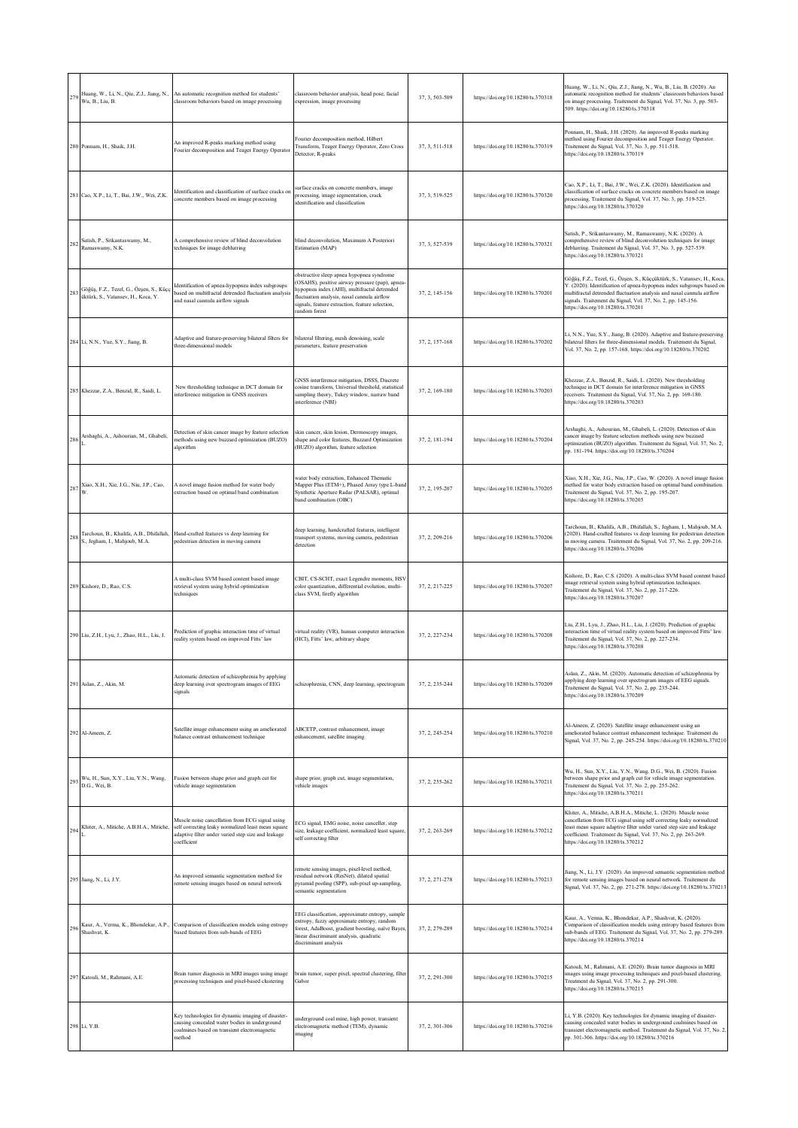| 279 | Huang, W., Li, N., Qiu, Z.J., Jiang, N.,<br>Wu, B., Liu, B.                   | An automatic recognition method for students'<br>classroom behaviors based on image processing                                                                             | classroom behavior analysis, head pose, facial<br>expression, image processing                                                                                                                                                                                  | 37, 3, 503-509 | https://doi.org/10.18280/ts.370318 | Huang, W., Li, N., Qiu, Z.J., Jiang, N., Wu, B., Liu, B. (2020). An<br>automatic recognition method for students' classroom behaviors based<br>on image processing. Traitement du Signal, Vol. 37, No. 3, pp. 503-<br>509. https://doi.org/10.18280/ts.370318                                                                |
|-----|-------------------------------------------------------------------------------|----------------------------------------------------------------------------------------------------------------------------------------------------------------------------|-----------------------------------------------------------------------------------------------------------------------------------------------------------------------------------------------------------------------------------------------------------------|----------------|------------------------------------|------------------------------------------------------------------------------------------------------------------------------------------------------------------------------------------------------------------------------------------------------------------------------------------------------------------------------|
|     | 280 Ponnam, H., Shaik, J.H.                                                   | An improved R-peaks marking method using<br>Fourier decomposition and Teager Energy Operator                                                                               | Fourier decomposition method, Hilbert<br>Transform, Teager Energy Operator, Zero Cross<br>Detector, R-peaks                                                                                                                                                     | 37, 3, 511-518 | https://doi.org/10.18280/ts.370319 | Ponnam, H., Shaik, J.H. (2020). An improved R-peaks marking<br>method using Fourier decomposition and Teager Energy Operator.<br>Traitement du Signal, Vol. 37, No. 3, pp. 511-518.<br>https://doi.org/10.18280/ts.370319                                                                                                    |
|     | 281 Cao, X.P., Li, T., Bai, J.W., Wei, Z.K.                                   | dentification and classification of surface cracks on<br>oncrete members based on image processing                                                                         | surface cracks on concrete members, image<br>processing, image segmentation, crack<br>identification and classification                                                                                                                                         | 37, 3, 519-525 | https://doi.org/10.18280/ts.370320 | Cao, X.P., Li, T., Bai, J.W., Wei, Z.K. (2020). Identification and<br>classification of surface cracks on concrete members based on image<br>processing. Traitement du Signal, Vol. 37, No. 3, pp. 519-525.<br>https://doi.org/10.18280/ts.370320                                                                            |
| 282 | Satish, P., Srikantaswamy, M.,<br>Ramaswamy, N.K.                             | A comprehensive review of blind deconvolution<br>techniques for image deblurring                                                                                           | blind deconvolution. Maximum A Posteriori<br>Estimation (MAP)                                                                                                                                                                                                   | 37, 3, 527-539 | https://doi.org/10.18280/ts.370321 | Satish, P., Srikantaswamy, M., Ramaswamy, N.K. (2020). A<br>comprehensive review of blind deconvolution techniques for image<br>deblurring. Traitement du Signal, Vol. 37, No. 3, pp. 527-539.<br>https://doi.org/10.18280/ts.370321                                                                                         |
| 283 | Göğüş, F.Z., Tezel, G., Özşen, S., Küçç<br>üktürk, S., Vatansev, H., Koca, Y. | dentification of apnea-hypopnea index subgroups<br>based on multifractal detrended fluctuation analysis<br>and nasal cannula airflow signals                               | obstructive sleep apnea hypopnea syndrome<br>(OSAHS), positive airway pressure (pap), apnea-<br>hypopnea index (AHI), multifractal detrended<br>fluctuation analysis, nasal cannula airflow<br>signals, feature extraction, feature selection,<br>random forest | 37, 2, 145-156 | https://doi.org/10.18280/ts.370201 | Göğüş, F.Z., Tezel, G., Özşen, S., Küççüktürk, S., Vatansev, H., Koca,<br>Y. (2020). Identification of apnea-hypopnea index subgroups based on<br>multifractal detrended fluctuation analysis and nasal cannula airflow<br>signals. Traitement du Signal, Vol. 37, No. 2, pp. 145-156.<br>https://doi.org/10.18280/ts.370201 |
|     | 284 Li, N.N., Yue, S.Y., Jiang, B.                                            | Adaptive and feature-preserving bilateral filters for<br>three-dimensional models                                                                                          | bilateral filtering, mesh denoising, scale<br>parameters, feature preservation                                                                                                                                                                                  | 37, 2, 157-168 | https://doi.org/10.18280/ts.370202 | Li, N.N., Yue, S.Y., Jiang, B. (2020). Adaptive and feature-preserving<br>bilateral filters for three-dimensional models. Traitement du Signal,<br>Vol. 37, No. 2, pp. 157-168. https://doi.org/10.18280/ts.370202                                                                                                           |
|     | 285 Khezzar, Z.A., Benzid, R., Saidi, L.                                      | New thresholding technique in DCT domain for<br>interference mitigation in GNSS receivers                                                                                  | GNSS interference mitigation, DSSS, Discrete<br>cosine transform, Universal threshold, statistical<br>sampling theory, Tukey window, narraw band<br>interference (NBI)                                                                                          | 37, 2, 169-180 | https://doi.org/10.18280/ts.370203 | Khezzar, Z.A., Benzid, R., Saidi, L. (2020). New thresholding<br>technique in DCT domain for interference mitigation in GNSS<br>eceivers. Traitement du Signal, Vol. 37, No. 2, pp. 169-180.<br>https://doi.org/10.18280/ts.370203                                                                                           |
| 286 | Arshaghi, A., Ashourian, M., Ghabeli,                                         | Detection of skin cancer image by feature selection<br>methods using new buzzard optimization (BUZO)<br>algorithm                                                          | skin cancer, skin lesion, Dermoscopy images,<br>shape and color features, Buzzard Optimization<br>(BUZO) algorithm, feature selection                                                                                                                           | 37, 2, 181-194 | https://doi.org/10.18280/ts.370204 | Arshaghi, A., Ashourian, M., Ghabeli, L. (2020). Detection of skin<br>cancer image by feature selection methods using new buzzard<br>optimization (BUZO) algorithm. Traitement du Signal, Vol. 37, No. 2,<br>pp. 181-194. https://doi.org/10.18280/ts.370204                                                                 |
|     | 287 Xiao, X.H., Xie, J.G., Niu, J.P., Cao,                                    | A novel image fusion method for water body<br>extraction based on optimal band combination                                                                                 | water body extraction, Enhanced Thematic<br>Mapper Plus (ETM+), Phased Array type L-band<br>Synthetic Aperture Radar (PALSAR), optimal<br>band combination (OBC)                                                                                                | 37, 2, 195-207 | https://doi.org/10.18280/ts.370205 | Xiao, X.H., Xie, J.G., Niu, J.P., Cao, W. (2020). A novel image fusion<br>nethod for water body extraction based on optimal band combination.<br>Traitement du Signal, Vol. 37, No. 2, pp. 195-207.<br>https://doi.org/10.18280/ts.370205                                                                                    |
| 28  | Tarchoun, B., Khalifa, A.B., Dhifallah,<br>S., Jegham, I., Mahjoub, M.A.      | Hand-crafted features vs deep learning for<br>pedestrian detection in moving camera                                                                                        | deep learning, handcrafted features, intelligent<br>transport systems, moving camera, pedestrian<br>detection                                                                                                                                                   | 37, 2, 209-216 | https://doi.org/10.18280/ts.370206 | Tarchoun, B., Khalifa, A.B., Dhifallah, S., Jegham, I., Mahjoub, M.A.<br>(2020). Hand-crafted features vs deep learning for pedestrian detection<br>n moving camera. Traitement du Signal, Vol. 37, No. 2, pp. 209-216.<br>https://doi.org/10.18280/ts.370206                                                                |
|     | 289 Kishore, D., Rao, C.S.                                                    | A multi-class SVM based content based image<br>retrieval system using hybrid optimization<br>techniques                                                                    | CBIT, CS-SCHT, exact Legendre moments, HSV<br>color quantization, differential evolution, multi-<br>class SVM, firefly algorithm                                                                                                                                | 37, 2, 217-225 | https://doi.org/10.18280/ts.370207 | Kishore, D., Rao, C.S. (2020). A multi-class SVM based content based<br>mage retrieval system using hybrid optimization techniques.<br>Traitement du Signal, Vol. 37, No. 2, pp. 217-226.<br>https://doi.org/10.18280/ts.370207                                                                                              |
|     | 290 Liu, Z.H., Lyu, J., Zhao, H.L., Liu, J.                                   | Prediction of graphic interaction time of virtual<br>reality system based on improved Fitts' law                                                                           | virtual reality (VR), human computer interaction<br>(HCI), Fitts' law, arbitrary shape                                                                                                                                                                          | 37, 2, 227-234 | https://doi.org/10.18280/ts.370208 | Liu, Z.H., Lyu, J., Zhao, H.L., Liu, J. (2020). Prediction of graphic<br>interaction time of virtual reality system based on improved Fitts' law.<br>Traitement du Signal, Vol. 37, No. 2, pp. 227-234.<br>https://doi.org/10.18280/ts.370208                                                                                |
|     | 291 Aslan, Z., Akin, M.                                                       | Automatic detection of schizophrenia by applying<br>deep learning over spectrogram images of EEG<br>signals                                                                | schizophrenia, CNN, deep learning, spectrogram                                                                                                                                                                                                                  | 37, 2, 235-244 | https://doi.org/10.18280/ts.370209 | slan, Z., Akın, M. (2020). Automatic detection of schizophrenia by<br>applying deep learning over spectrogram images of EEG signals.<br>Traitement du Signal, Vol. 37, No. 2, pp. 235-244.<br>https://doi.org/10.18280/ts.370209                                                                                             |
|     | 292 Al-Ameen, Z.                                                              | Satellite image enhancement using an ameliorated<br>balance contrast enhancement technique                                                                                 | ABCETP, contrast enhancement, image<br>enhancement, satellite imaging                                                                                                                                                                                           | 37, 2, 245-254 | https://doi.org/10.18280/ts.370210 | Al-Ameen, Z. (2020). Satellite image enhancement using an<br>ameliorated balance contrast enhancement technique. Traitement du<br>Signal, Vol. 37, No. 2, pp. 245-254. https://doi.org/10.18280/ts.370210                                                                                                                    |
| 293 | Wu, H., Sun, X.Y., Liu, Y.N., Wang,<br>D.G., Wei, B.                          | Fusion between shape prior and graph cut for<br>vehicle image segmentation                                                                                                 | shape prior, graph cut, image segmentation,<br>vehicle images                                                                                                                                                                                                   | 37, 2, 255-262 | https://doi.org/10.18280/ts.370211 | Wu, H., Sun, X.Y., Liu, Y.N., Wang, D.G., Wei, B. (2020). Fusion<br>between shape prior and graph cut for vehicle image segmentation.<br>Traitement du Signal, Vol. 37, No. 2, pp. 255-262.<br>https://doi.org/10.18280/ts.370211                                                                                            |
| 294 | Khiter, A., Mitiche, A.B.H.A., Mitiche,                                       | Muscle noise cancellation from ECG signal using<br>self correcting leaky normalized least mean square<br>adaptive filter under varied step size and leakage<br>coefficient | ECG signal, EMG noise, noise canceller, step<br>size, leakage coefficient, normalized least square,<br>self correcting filter                                                                                                                                   | 37, 2, 263-269 | https://doi.org/10.18280/ts.370212 | Khiter, A., Mitiche, A.B.H.A., Mitiche, L. (2020). Muscle noise<br>cancellation from ECG signal using self correcting leaky normalized<br>least mean square adaptive filter under varied step size and leakage<br>coefficient. Traitement du Signal, Vol. 37, No. 2, pp. 263-269.<br>https://doi.org/10.18280/ts.370212      |
|     | 295 Jiang, N., Li, J.Y.                                                       | An improved semantic segmentation method for<br>remote sensing images based on neural network                                                                              | remote sensing images, pixel-level method,<br>residual network (ResNet), dilated spatial<br>pyramid pooling (SPP), sub-pixel up-sampling,<br>semantic segmentation                                                                                              | 37, 2, 271-278 | https://doi.org/10.18280/ts.370213 | Jiang, N., Li, J.Y. (2020). An improved semantic segmentation method<br>for remote sensing images based on neural network. Traitement du<br>Signal, Vol. 37, No. 2, pp. 271-278. https://doi.org/10.18280/ts.370213                                                                                                          |
| 296 | Shashvat, K.                                                                  | Kaur, A., Verma, K., Bhondekar, A.P., Comparison of classification models using entropy<br>based features from sub-bands of EEG                                            | EEG classification, approximate entropy, sample<br>entropy, fuzzy approximate entropy, random<br>forest, AdaBoost, gradient boosting, naïve Bayes,<br>linear discriminant analysis, quadratic<br>discriminant analysis                                          | 37, 2, 279-289 | https://doi.org/10.18280/ts.370214 | Kaur, A., Verma, K., Bhondekar, A.P., Shashvat, K. (2020).<br>Comparison of classification models using entropy based features from<br>sub-bands of EEG. Traitement du Signal, Vol. 37, No. 2, pp. 279-289.<br>https://doi.org/10.18280/ts.370214                                                                            |
|     | 297 Katouli, M., Rahmani, A.E.                                                | Brain tumor diagnosis in MRI images using image<br>processing techniques and pixel-based clustering                                                                        | brain tumor, super pixel, spectral clustering, filter<br>Gabor                                                                                                                                                                                                  | 37, 2, 291-300 | https://doi.org/10.18280/ts.370215 | Katouli, M., Rahmani, A.E. (2020). Brain tumor diagnosis in MRI<br>mages using image processing techniques and pixel-based clustering.<br>Treatment du Signal, Vol. 37, No. 2, pp. 291-300.<br>https://doi.org/10.18280/ts.370215                                                                                            |
|     | 298 Li, Y.B.                                                                  | Key technologies for dynamic imaging of disaster-<br>causing concealed water bodies in underground<br>coalmines based on transient electromagnetic<br>method               | underground coal mine, high power, transient<br>electromagnetic method (TEM), dynamic<br>imaging                                                                                                                                                                | 37, 2, 301-306 | https://doi.org/10.18280/ts.370216 | Li, Y.B. (2020). Key technologies for dynamic imaging of disaster-<br>causing concealed water bodies in underground coalmines based on<br>transient electromagnetic method. Traitement du Signal, Vol. 37, No. 2,<br>pp. 301-306. https://doi.org/10.18280/ts.370216                                                         |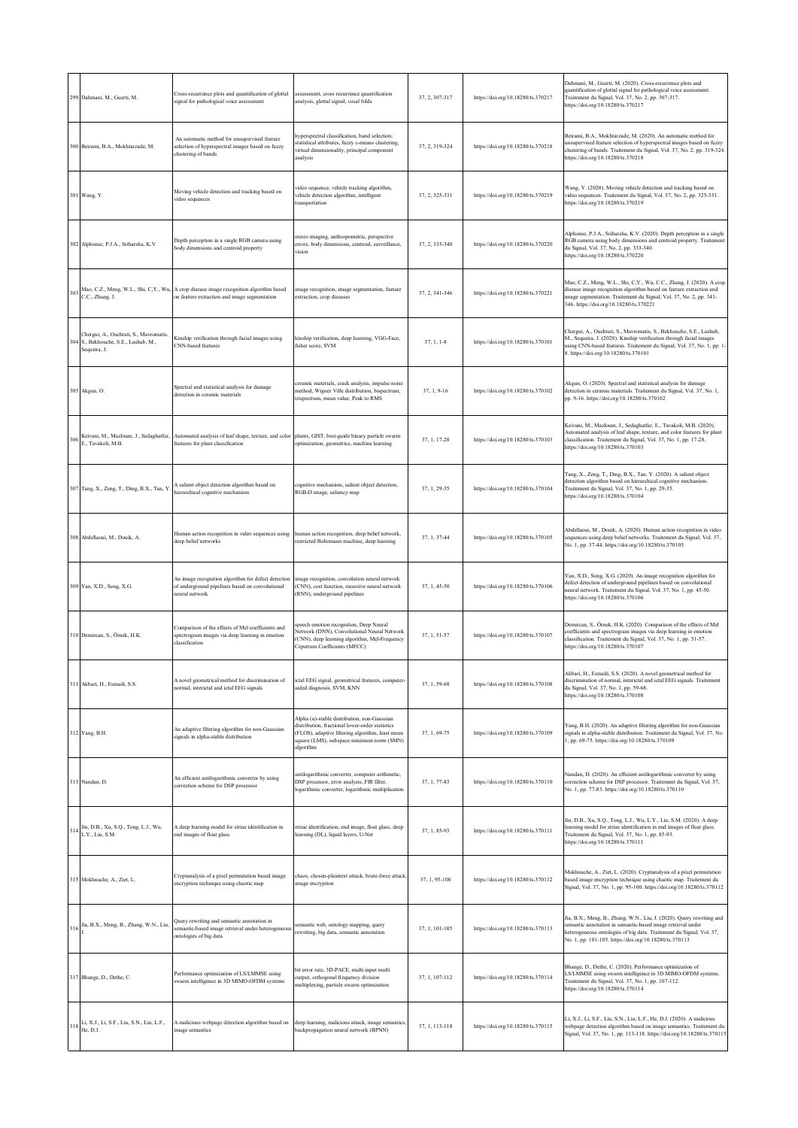|     | 299 Dahmani, M., Guerti, M.                                                                | Cross-recurrence plots and quantification of glottal<br>signal for pathological voice assessment                                         | assessment, cross recurrence quantification<br>analysis, glottal signal, vocal folds                                                                                                                         | 37, 2, 307-317 | https://doi.org/10.18280/ts.370217 | Dahmani, M., Guerti, M. (2020). Cross-recurrence plots and<br>quantification of glottal signal for pathological voice assessment.<br>Traitement du Signal, Vol. 37, No. 2, pp. 307-317.<br>https://doi.org/10.18280/ts.370217                                          |
|-----|--------------------------------------------------------------------------------------------|------------------------------------------------------------------------------------------------------------------------------------------|--------------------------------------------------------------------------------------------------------------------------------------------------------------------------------------------------------------|----------------|------------------------------------|------------------------------------------------------------------------------------------------------------------------------------------------------------------------------------------------------------------------------------------------------------------------|
|     | 300 Beirami, B.A., Mokhtarzade, M.                                                         | An automatic method for unsupervised feature<br>selection of hyperspectral images based on fuzzy<br>clustering of bands                  | hyperspectral classification, band selection;<br>statistical attributes, fuzzy c-means clustering,<br>virtual dimensionality, principal component<br>analysis                                                | 37, 2, 319-324 | https://doi.org/10.18280/ts.370218 | Beirami, B.A., Mokhtarzade, M. (2020). An automatic method for<br>unsupervised feature selection of hyperspectral images based on fuzzy<br>clustering of bands. Traitement du Signal, Vol. 37, No. 2, pp. 319-324.<br>https://doi.org/10.18280/ts.370218               |
|     | 301 Wang, Y.                                                                               | Moving vehicle detection and tracking based on<br>video sequences                                                                        | video sequence, vehicle tracking algorithm,<br>vehicle detection algorithm, intelligent<br>transportation                                                                                                    | 37, 2, 325-331 | https://doi.org/10.18280/ts.370219 | Wang, Y. (2020). Moving vehicle detection and tracking based on<br>video sequences. Traitement du Signal, Vol. 37, No. 2, pp. 325-331.<br>https://doi.org/10.18280/ts.370219                                                                                           |
|     | 302 Alphonse, P.J.A., Sriharsha, K.V.                                                      | Depth perception in a single RGB camera using<br>ody dimensions and centroid property                                                    | stereo imaging, anthropometric, perspective<br>errors, body dimensions, centroid, surveillance,<br>vision                                                                                                    | 37, 2, 333-340 | https://doi.org/10.18280/ts.370220 | Alphonse, P.J.A., Sriharsha, K.V. (2020). Depth perception in a single<br>RGB camera using body dimensions and centroid property. Traitement<br>du Signal, Vol. 37, No. 2, pp. 333-340.<br>https://doi.org/10.18280/ts.370220                                          |
| 303 | C.C., Zhang, J.                                                                            | Mao, C.Z., Meng, W.L., Shi, C,Y., Wu, A crop disease image recognition algorithm based<br>on feature extraction and image segmentation   | image recognition, image segmentation, feature<br>extraction, crop diseases                                                                                                                                  | 37.2.341-346   | https://doi.org/10.18280/ts.370221 | Mao, C.Z., Meng, W.L., Shi, C,Y., Wu, C.C., Zhang, J. (2020). A crop<br>disease image recognition algorithm based on feature extraction and<br>image segmentation. Traitement du Signal, Vol. 37, No. 2, pp. 341-<br>346. https://doi.org/10.18280/ts.370221           |
| 304 | Chergui, A., Ouchtati, S., Mavromatis,<br>S., Bekhouche, S.E., Lashab, M.,<br>Sequeira, J. | Kinship verification through facial images using<br>CNN-based features                                                                   | kinship verification, deep learning, VGG-Face,<br>fisher score, SVM                                                                                                                                          | $37, 1, 1-8$   | https://doi.org/10.18280/ts.370101 | Chergui, A., Ouchtati, S., Mavromatis, S., Bekhouche, S.E., Lashab,<br>M., Sequeira, J. (2020). Kinship verification through facial images<br>using CNN-based features. Traitement du Signal, Vol. 37, No. 1, pp. 1-<br>8. https://doi.org/10.18280/ts.370101          |
|     | 305 Akgun, O.                                                                              | Spectral and statistical analysis for damage<br>detection in ceramic materials                                                           | ceramic materials, crack analysis, impulse noise<br>method, Wigner Ville distribution, bispectrum,<br>trispectrum, mean value, Peak to RMS                                                                   | $37, 1, 9-16$  | https://doi.org/10.18280/ts.370102 | Akgun, O. (2020). Spectral and statistical analysis for damage<br>detection in ceramic materials. Traitement du Signal, Vol. 37, No. 1,<br>pp. 9-16. https://doi.org/10.18280/ts.370102                                                                                |
| 306 | Keivani, M., Mazloum, J., Sedaghatfar,<br>E., Tavakoli, M.B.                               | Automated analysis of leaf shape, texture, and color plants, GIST, best-guide binary particle swarm<br>features for plant classification | optimization, geometrics, machine learning                                                                                                                                                                   | 37.1.17-28     | https://doi.org/10.18280/ts.370103 | Keivani, M., Mazloum, J., Sedaghatfar, E., Tavakoli, M.B. (2020).<br>Automated analysis of leaf shape, texture, and color features for plant<br>classification. Traitement du Signal, Vol. 37, No. 1, pp. 17-28.<br>https://doi.org/10.18280/ts.370103                 |
|     | 307 Tang, X., Zeng, T., Ding, B.X., Tan, Y                                                 | A salient object detection algorithm based on<br>ierarchical cognitive mechanism                                                         | cognitive mechanism, salient object detection,<br>RGB-D image, saliency map                                                                                                                                  | 37, 1, 29-35   | https://doi.org/10.18280/ts.370104 | Tang, X., Zeng, T., Ding, B.X., Tan, Y. (2020). A salient object<br>detection algorithm based on hierarchical cognitive mechanism.<br>Traitement du Signal, Vol. 37, No. 1, pp. 29-35.<br>https://doi.org/10.18280/ts.370104                                           |
|     | 308 Abdellaoui, M., Douik, A.                                                              | Human action recognition in video sequences using<br>deep belief networks                                                                | human action recognition, deep belief network,<br>restricted Boltzmann machine, deep learning                                                                                                                | 37, 1, 37-44   | https://doi.org/10.18280/ts.370105 | Abdellaoui, M., Douik, A. (2020). Human action recognition in video<br>sequences using deep belief networks. Traitement du Signal, Vol. 37,<br>No. 1, pp. 37-44. https://doi.org/10.18280/ts.370105                                                                    |
|     | 309 Yan, X.D., Song, X.G.                                                                  | An image recognition algorithm for defect detection<br>of underground pipelines based on convolutional<br>teural network                 | image recognition, convolution neural network<br>(CNN), cost function, recursive neural network<br>(RNN), underground pipelines                                                                              | 37, 1, 45-50   | https://doi.org/10.18280/ts.370106 | Yan, X.D., Song, X.G. (2020). An image recognition algorithm for<br>defect detection of underground pipelines based on convolutional<br>neural network. Traitement du Signal, Vol. 37, No. 1, pp. 45-50.<br>https://doi.org/10.18280/ts.370106                         |
|     | 310 Demircan, S., Örnek, H.K.                                                              | Comparison of the effects of Mel coefficients and<br>spectrogram images via deep learning in emotion<br>classification                   | speech emotion recognition, Deep Neural<br>Network (DNN), Convolutional Neural Network<br>(CNN), deep learning algorithm, Mel-Frequency<br>Cepstrum Coefficients (MFCC)                                      | 37, 1, 51-57   | https://doi.org/10.18280/ts.370107 | Demircan, S., Örnek, H.K. (2020). Comparison of the effects of Mel<br>coefficients and spectrogram images via deep learning in emotion<br>classification. Traitement du Signal, Vol. 37, No. 1, pp. 51-57.<br>https://doi.org/10.18280/ts.370107                       |
|     | 311 Akbari, H., Esmaili, S.S.                                                              | A novel geometrical method for discrimination of<br>normal, interictal and ictal EEG signals                                             | ictal EEG signal, geometrical features, computer-<br>aided diagnosis, SVM, KNN                                                                                                                               | 37, 1, 59-68   | https://doi.org/10.18280/ts.370108 | kbari, H., Esmaili, S.S. (2020). A novel geometrical method for<br>discrimination of normal, interictal and ictal EEG signals. Traitement<br>du Signal, Vol. 37, No. 1, pp. 59-68.<br>https://doi.org/10.18280/ts.370108                                               |
|     | 312 Yang, B.H.                                                                             | An adaptive filtering algorithm for non-Gaussian<br>signals in alpha-stable distribution                                                 | Alpha (a)-stable distribution, non-Gaussian<br>distribution, fractional lower-order statistics<br>(FLOS), adaptive filtering algorithm, least mean<br>square (LMS), subspace minimum norm (SMN)<br>algorithm | 37, 1, 69-75   | https://doi.org/10.18280/ts.370109 | Yang, B.H. (2020). An adaptive filtering algorithm for non-Gaussian<br>ignals in alpha-stable distribution. Traitement du Signal, Vol. 37, No.<br>1, pp. 69-75. https://doi.org/10.18280/ts.370109                                                                     |
|     | 313 Nandan, D.                                                                             | An efficient antilogarithmic converter by using<br>correction scheme for DSP processor                                                   | antilogarithmic converter, computer arithmetic,<br>DSP processor, error analysis, FIR filter,<br>logarithmic converter, logarithmic multiplication                                                           | 37, 1, 77-83   | https://doi.org/10.18280/ts.370110 | Nandan, D. (2020). An efficient antilogarithmic converter by using<br>correction scheme for DSP processor. Traitement du Signal, Vol. 37,<br>No. 1, pp. 77-83. https://doi.org/10.18280/ts.370110                                                                      |
| 314 | Jin, D.B., Xu, S.Q., Tong, L.J., Wu,<br>L.Y., Liu, S.M.                                    | A deep learning model for striae identification in<br>end images of float glass                                                          | striae identification, end image, float glass, deep<br>learning (DL), liquid layers, U-Net                                                                                                                   | 37, 1, 85-93   | https://doi.org/10.18280/ts.370111 | Jin, D.B., Xu, S.Q., Tong, L.J., Wu, L.Y., Liu, S.M. (2020). A deep<br>learning model for striae identification in end images of float glass.<br>Traitement du Signal, Vol. 37, No. 1, pp. 85-93.<br>https://doi.org/10.18280/ts.370111                                |
|     | 315 Mokhnache, A., Ziet, L.                                                                | Cryptanalysis of a pixel permutation based image<br>encryption technique using chaotic map                                               | chaos, chosen-plaintext attack, brute-force attack,<br>image encryption                                                                                                                                      | 37, 1, 95-100  | https://doi.org/10.18280/ts.370112 | Mokhnache, A., Ziet, L. (2020). Cryptanalysis of a pixel permutation<br>based image encryption technique using chaotic map. Traitement du<br>Signal, Vol. 37, No. 1, pp. 95-100. https://doi.org/10.18280/ts.370112                                                    |
|     | 316 Jia, B.X., Meng, B., Zhang, W.N., Liu,                                                 | Query rewriting and semantic annotation in<br>semantic-based image retrieval under heterogeneous<br>ontologies of big data               | semantic web, ontology mapping, query<br>rewriting, big data, semantic annotation                                                                                                                            | 37, 1, 101-105 | https://doi.org/10.18280/ts.370113 | Jia, B.X., Meng, B., Zhang, W.N., Liu, J. (2020). Query rewriting and<br>semantic annotation in semantic-based image retrieval under<br>heterogeneous ontologies of big data. Traitement du Signal, Vol. 37,<br>No. 1, pp. 101-105. https://doi.org/10.18280/ts.370113 |
|     | 317 Bhange, D., Dethe, C.                                                                  | Performance optimization of LS/LMMSE using<br>swarm intelligence in 3D MIMO-OFDM systems                                                 | bit error rate, 3D-PACE, multi input multi<br>output, orthogonal frequency division<br>multiplexing, particle swarm optimization                                                                             | 37, 1, 107-112 | https://doi.org/10.18280/ts.370114 | Bhange, D., Dethe, C. (2020). Performance optimization of<br>LS/LMMSE using swarm intelligence in 3D MIMO-OFDM systems.<br>Traitement du Signal, Vol. 37, No. 1, pp. 107-112.<br>https://doi.org/10.18280/ts.370114                                                    |
|     | 318 Li, X.J., Li, S.F., Liu, S.N., Liu, L.F., He, D.J.                                     | A malicious webpage detection algorithm based on<br>mage semantics                                                                       | deep learning, malicious attack, image semantics,<br>backpropagation neural network (BPNN)                                                                                                                   | 37, 1, 113-118 | https://doi.org/10.18280/ts.370115 | Li, X.J., Li, S.F., Liu, S.N., Liu, L.F., He, D.J. (2020). A malicious<br>webpage detection algorithm based on image semantics. Traitement du<br>Signal, Vol. 37, No. 1, pp. 113-118. https://doi.org/10.18280/ts.370115                                               |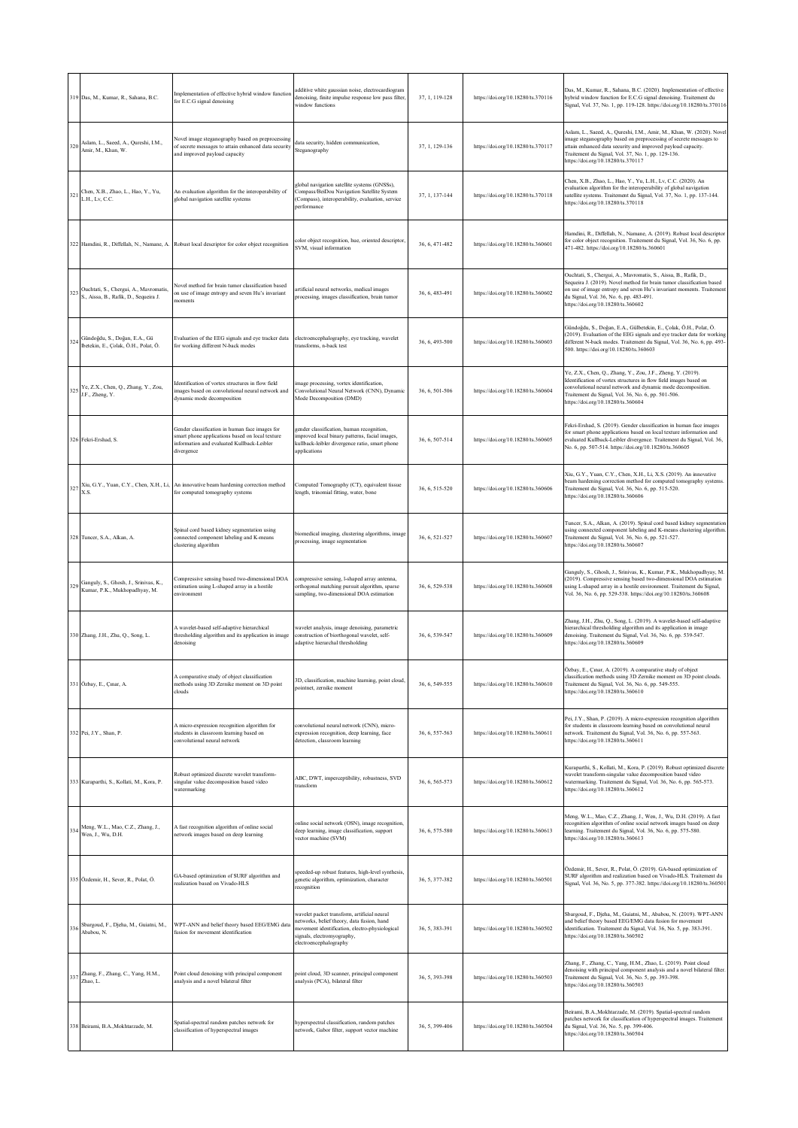|     | 319 Das, M., Kumar, R., Sahana, B.C.                                                | Implementation of effective hybrid window function<br>for E.C.G signal denoising                                                                              | additive white gaussian noise, electrocardiogram<br>denoising, finite impulse response low pass filter,<br>window functions                                                                         | 37, 1, 119-128 | https://doi.org/10.18280/ts.370116 | Das, M., Kumar, R., Sahana, B.C. (2020). Implementation of effective<br>hybrid window function for E.C.G signal denoising. Traitement du<br>Signal, Vol. 37, No. 1, pp. 119-128. https://doi.org/10.18280/ts.370116                                                                                    |
|-----|-------------------------------------------------------------------------------------|---------------------------------------------------------------------------------------------------------------------------------------------------------------|-----------------------------------------------------------------------------------------------------------------------------------------------------------------------------------------------------|----------------|------------------------------------|--------------------------------------------------------------------------------------------------------------------------------------------------------------------------------------------------------------------------------------------------------------------------------------------------------|
| 320 | Aslam, L., Saeed, A., Qureshi, I.M.,<br>Amir, M., Khan, W.                          | Novel image steganography based on preprocessing<br>of secrete messages to attain enhanced data security<br>and improved payload capacity                     | data security, hidden communication,<br>Steganography                                                                                                                                               | 37, 1, 129-136 | https://doi.org/10.18280/ts.370117 | Aslam, L., Saeed, A., Qureshi, I.M., Amir, M., Khan, W. (2020). Novel<br>image steganography based on preprocessing of secrete messages to<br>attain enhanced data security and improved payload capacity.<br>Traitement du Signal, Vol. 37, No. 1, pp. 129-136.<br>https://doi.org/10.18280/ts.370117 |
|     | 321 Chen, X.B., Zhao, L., Hao, Y., Yu,<br>L.H., Lv, C.C.                            | An evaluation algorithm for the interoperability of<br>global navigation satellite systems                                                                    | global navigation satellite systems (GNSSs),<br>Compass/BeiDou Navigation Satellite System<br>(Compass), interoperability, evaluation, service<br>performance                                       | 37, 1, 137-144 | https://doi.org/10.18280/ts.370118 | Chen, X.B., Zhao, L., Hao, Y., Yu, L.H., Lv, C.C. (2020). An<br>evaluation algorithm for the interoperability of global navigation<br>satellite systems. Traitement du Signal, Vol. 37, No. 1, pp. 137-144.<br>https://doi.org/10.18280/ts.370118                                                      |
|     |                                                                                     | 322 Hamdini, R., Diffellah, N., Namane, A. Robust local descriptor for color object recognition                                                               | color object recognition, hue, oriented descriptor,<br>SVM, visual information                                                                                                                      | 36, 6, 471-482 | https://doi.org/10.18280/ts.360601 | Hamdini, R., Diffellah, N., Namane, A. (2019). Robust local descriptor<br>for color object recognition. Traitement du Signal, Vol. 36, No. 6, pp.<br>471-482. https://doi.org/10.18280/ts.360601                                                                                                       |
|     | 323 Ouchtati, S., Chergui, A., Mavromatis,<br>S., Aissa, B., Rafik, D., Sequeira J. | Vovel method for brain tumor classification based<br>on use of image entropy and seven Hu's invariant<br>moments                                              | artificial neural networks, medical images<br>processing, images classification, brain tumor                                                                                                        | 36, 6, 483-491 | https://doi.org/10.18280/ts.360602 | Ouchtati, S., Chergui, A., Mavromatis, S., Aissa, B., Rafik, D.,<br>Sequeira J. (2019). Novel method for brain tumor classification based<br>on use of image entropy and seven Hu's invariant moments. Traitement<br>du Signal, Vol. 36, No. 6, pp. 483-491.<br>https://doi.org/10.18280/ts.360602     |
|     | 324 Gündoğdu, S., Doğan, E.A., Gü<br>lbetekin, E., Çolak, Ö.H., Polat, Ö.           | Evaluation of the EEG signals and eye tracker data<br>for working different N-back modes                                                                      | electroencephalography, eye tracking, wavelet<br>transforms, n-back test                                                                                                                            | 36, 6, 493-500 | https://doi.org/10.18280/ts.360603 | Gündoğdu, S., Doğan, E.A., Gülbetekin, E., Çolak, Ö.H., Polat, Ö.<br>(2019). Evaluation of the EEG signals and eye tracker data for working<br>different N-back modes. Traitement du Signal, Vol. 36, No. 6, pp. 493-<br>500. https://doi.org/10.18280/ts.360603                                       |
|     | 325 Ye, Z.X., Chen, Q., Zhang, Y., Zou,<br>J.F., Zheng, Y.                          | Identification of vortex structures in flow field<br>images based on convolutional neural network and<br>dynamic mode decomposition                           | image processing, vortex identification,<br>Convolutional Neural Network (CNN), Dynamic<br>Mode Decomposition (DMD)                                                                                 | 36, 6, 501-506 | https://doi.org/10.18280/ts.360604 | Ye, Z.X., Chen, Q., Zhang, Y., Zou, J.F., Zheng, Y. (2019).<br>Identification of vortex structures in flow field images based on<br>convolutional neural network and dynamic mode decomposition.<br>Traitement du Signal, Vol. 36, No. 6, pp. 501-506.<br>https://doi.org/10.18280/ts.360604           |
|     | 326 Fekri-Ershad, S.                                                                | Gender classification in human face images for<br>smart phone applications based on local texture<br>information and evaluated Kullback-Leibler<br>divergence | gender classification, human recognition,<br>improved local binary patterns, facial images,<br>kullback-leibler divergence ratio, smart phone<br>applications                                       | 36, 6, 507-514 | https://doi.org/10.18280/ts.360605 | Fekri-Ershad, S. (2019). Gender classification in human face images<br>for smart phone applications based on local texture information and<br>evaluated Kullback-Leibler divergence. Traitement du Signal, Vol. 36,<br>No. 6, pp. 507-514. https://doi.org/10.18280/ts.360605                          |
|     | X.S.                                                                                | $327$ Xiu, G.Y., Yuan, C.Y., Chen, X.H., Li, An innovative beam hardening correction method<br>for computed tomography systems                                | Computed Tomography (CT), equivalent tissue<br>length, trinomial fitting, water, bone                                                                                                               | 36, 6, 515-520 | https://doi.org/10.18280/ts.360606 | Xiu, G.Y., Yuan, C.Y., Chen, X.H., Li, X.S. (2019). An innovative<br>beam hardening correction method for computed tomography systems.<br>Traitement du Signal, Vol. 36, No. 6, pp. 515-520.<br>https://doi.org/10.18280/ts.360606                                                                     |
|     | 328 Tuncer, S.A., Alkan, A.                                                         | Spinal cord based kidney segmentation using<br>connected component labeling and K-means<br>clustering algorithm                                               | biomedical imaging, clustering algorithms, image<br>processing, image segmentation                                                                                                                  | 36, 6, 521-527 | https://doi.org/10.18280/ts.360607 | Tuncer, S.A., Alkan, A. (2019). Spinal cord based kidney segmentation<br>using connected component labeling and K-means clustering algorithm.<br>Traitement du Signal, Vol. 36, No. 6, pp. 521-527.<br>https://doi.org/10.18280/ts.360607                                                              |
| 329 | Ganguly, S., Ghosh, J., Srinivas, K.,<br>Kumar, P.K., Mukhopadhyay, M.              | Compressive sensing based two-dimensional DOA<br>estimation using L-shaped array in a hostile<br>nvironment                                                   | compressive sensing, l-shaped array antenna,<br>orthogonal matching pursuit algorithm, sparse<br>sampling, two-dimensional DOA estimation                                                           | 36, 6, 529-538 | https://doi.org/10.18280/ts.360608 | Ganguly, S., Ghosh, J., Srinivas, K., Kumar, P.K., Mukhopadhyay, M<br>(2019). Compressive sensing based two-dimensional DOA estimation<br>using L-shaped array in a hostile environment. Traitement du Signal,<br>Vol. 36, No. 6, pp. 529-538. https://doi.org/10.18280/ts.360608                      |
|     | 330 Zhang, J.H., Zhu, Q., Song, L.                                                  | A wavelet-based self-adaptive hierarchical<br>thresholding algorithm and its application in image<br>denoising                                                | wavelet analysis, image denoising, parametric<br>construction of biorthogonal wavelet, self-<br>adaptive hierarchal thresholding                                                                    | 36, 6, 539-547 | https://doi.org/10.18280/ts.360609 | Zhang, J.H., Zhu, Q., Song, L. (2019). A wavelet-based self-adaptive<br>hierarchical thresholding algorithm and its application in image<br>denoising. Traitement du Signal, Vol. 36, No. 6, pp. 539-547.<br>https://doi.org/10.18280/ts.360609                                                        |
|     | 331 Özbay, E., Çınar, A.                                                            | A comparative study of object classification<br>methods using 3D Zernike moment on 3D point<br>clouds                                                         | 3D, classification, machine learning, point cloud,<br>pointnet, zernike moment                                                                                                                      | 36, 6, 549-555 | https://doi.org/10.18280/ts.360610 | Özbay, E., Çınar, A. (2019). A comparative study of object<br>classification methods using 3D Zernike moment on 3D point clouds.<br>Traitement du Signal, Vol. 36, No. 6, pp. 549-555.<br>https://doi.org/10.18280/ts.360610                                                                           |
|     | 332 Pei, J.Y., Shan, P.                                                             | A micro-expression recognition algorithm for<br>students in classroom learning based on<br>convolutional neural network                                       | convolutional neural network (CNN), micro-<br>expression recognition, deep learning, face<br>detection, classroom learning                                                                          | 36, 6, 557-563 | https://doi.org/10.18280/ts.360611 | Pei, J.Y., Shan, P. (2019). A micro-expression recognition algorithm<br>for students in classroom learning based on convolutional neural<br>network. Traitement du Signal, Vol. 36, No. 6, pp. 557-563.<br>https://doi.org/10.18280/ts.360611                                                          |
|     | 333 Kuraparthi, S., Kollati, M., Kora, P.                                           | Robust optimized discrete wavelet transform-<br>singular value decomposition based video<br>watermarking                                                      | ABC, DWT, imperceptibility, robustness, SVD<br>transform                                                                                                                                            | 36, 6, 565-573 | https://doi.org/10.18280/ts.360612 | Kuraparthi, S., Kollati, M., Kora, P. (2019). Robust optimized discrete<br>wavelet transform-singular value decomposition based video<br>watermarking. Traitement du Signal, Vol. 36, No. 6, pp. 565-573.<br>https://doi.org/10.18280/ts.360612                                                        |
|     | 334 Meng, W.L., Mao, C.Z., Zhang, J.,<br>Wen, J., Wu, D.H.                          | A fast recognition algorithm of online social<br>network images based on deep learning                                                                        | online social network (OSN), image recognition,<br>deep learning, image classification, support<br>vector machine (SVM)                                                                             | 36, 6, 575-580 | https://doi.org/10.18280/ts.360613 | Meng, W.L., Mao, C.Z., Zhang, J., Wen, J., Wu, D.H. (2019). A fast<br>recognition algorithm of online social network images based on deep<br>learning. Traitement du Signal, Vol. 36, No. 6, pp. 575-580.<br>https://doi.org/10.18280/ts.360613                                                        |
|     | 335 Özdemir, H., Sever, R., Polat, Ö.                                               | GA-based optimization of SURF algorithm and<br>realization based on Vivado-HLS                                                                                | speeded-up robust features, high-level synthesis,<br>genetic algorithm, optimization, character<br>recognition                                                                                      | 36, 5, 377-382 | https://doi.org/10.18280/ts.360501 | Özdemir, H., Sever, R., Polat, Ö. (2019). GA-based optimization of<br>SURF algorithm and realization based on Vivado-HLS. Traitement du<br>Signal, Vol. 36, No. 5, pp. 377-382. https://doi.org/10.18280/ts.360501                                                                                     |
|     | 336 Sbargoud, F., Djeha, M., Guiatni, M.,<br>Ababou, N.                             | WPT-ANN and belief theory based EEG/EMG data<br>fusion for movement identification                                                                            | wavelet packet transform, artificial neural<br>networks, belief theory, data fusion, hand<br>movement identification, electro-physiological<br>signals, electromyography,<br>electroencephalography | 36, 5, 383-391 | https://doi.org/10.18280/ts.360502 | Sbargoud, F., Djeha, M., Guiatni, M., Ababou, N. (2019). WPT-ANN<br>and belief theory based EEG/EMG data fusion for movement<br>identification. Traitement du Signal, Vol. 36, No. 5, pp. 383-391.<br>https://doi.org/10.18280/ts.360502                                                               |
|     | 337 Zhang, F., Zhang, C., Yang, H.M.,<br>Zhao, L.                                   | Point cloud denoising with principal component<br>analysis and a novel bilateral filter                                                                       | point cloud, 3D scanner, principal component<br>analysis (PCA), bilateral filter                                                                                                                    | 36, 5, 393-398 | https://doi.org/10.18280/ts.360503 | Zhang, F., Zhang, C., Yang, H.M., Zhao, L. (2019). Point cloud<br>denoising with principal component analysis and a novel bilateral filter.<br>Traitement du Signal, Vol. 36, No. 5, pp. 393-398.<br>https://doi.org/10.18280/ts.360503                                                                |
|     | 338 Beirami, B.A., Mokhtarzade, M.                                                  | Spatial-spectral random patches network for<br>classification of hyperspectral images                                                                         | hyperspectral classification, random patches<br>network, Gabor filter, support vector machine                                                                                                       | 36, 5, 399-406 | https://doi.org/10.18280/ts.360504 | Beirami, B.A., Mokhtarzade, M. (2019). Spatial-spectral random<br>patches network for classification of hyperspectral images. Traitement<br>du Signal, Vol. 36, No. 5, pp. 399-406.<br>https://doi.org/10.18280/ts.360504                                                                              |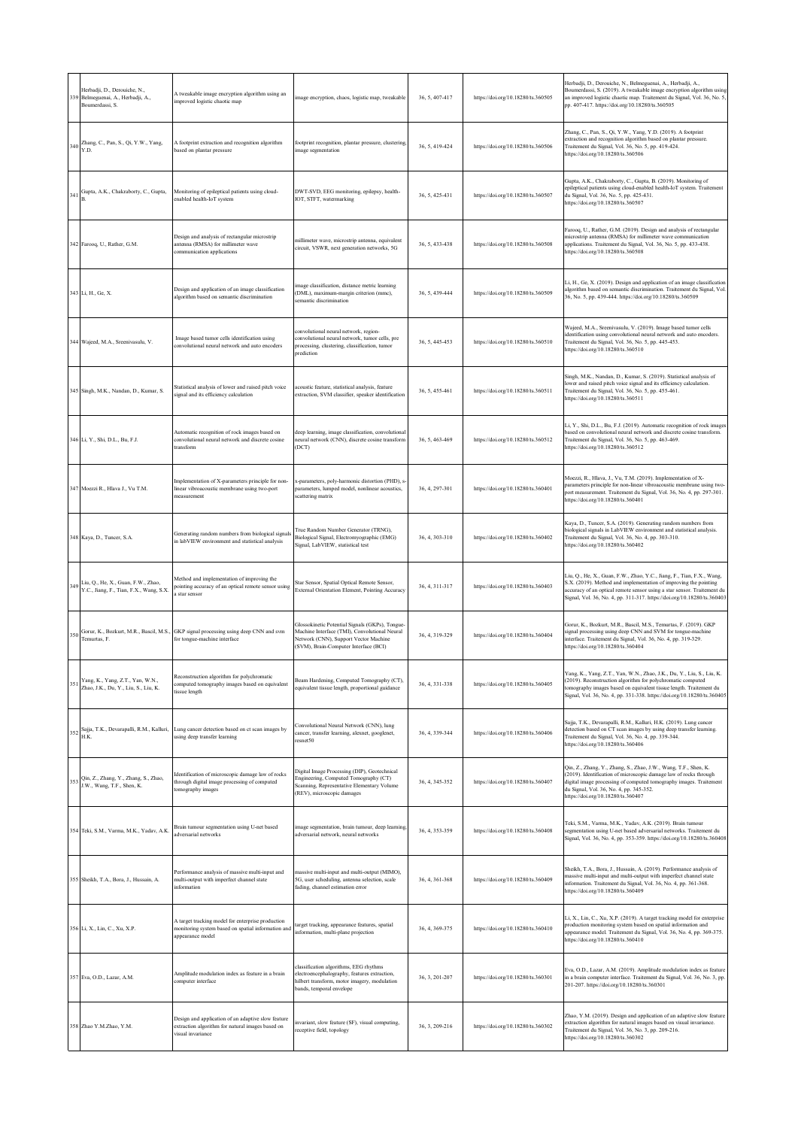|     | Herbadji, D., Derouiche, N.,<br>339 Belmeguenai, A., Herbadji, A.,<br>Boumerdassi, S. | A tweakable image encryption algorithm using an<br>improved logistic chaotic map                                            | image encryption, chaos, logistic map, tweakable                                                                                                                                   | 36, 5, 407-417 | https://doi.org/10.18280/ts.360505 | Herbadji, D., Derouiche, N., Belmeguenai, A., Herbadji, A.,<br>Boumerdassi, S. (2019). A tweakable image encryption algorithm using<br>an improved logistic chaotic map. Traitement du Signal, Vol. 36, No. 5,<br>pp. 407-417. https://doi.org/10.18280/ts.360505                               |
|-----|---------------------------------------------------------------------------------------|-----------------------------------------------------------------------------------------------------------------------------|------------------------------------------------------------------------------------------------------------------------------------------------------------------------------------|----------------|------------------------------------|-------------------------------------------------------------------------------------------------------------------------------------------------------------------------------------------------------------------------------------------------------------------------------------------------|
|     | 340 Zhang, C., Pan, S., Qi, Y.W., Yang,                                               | A footprint extraction and recognition algorithm<br>based on plantar pressure                                               | footprint recognition, plantar pressure, clustering,<br>image segmentation                                                                                                         | 36.5.419-424   | https://doi.org/10.18280/ts.360506 | Zhang, C., Pan, S., Qi, Y.W., Yang, Y.D. (2019). A footprint<br>extraction and recognition algorithm based on plantar pressure.<br>Traitement du Signal, Vol. 36, No. 5, pp. 419-424.<br>https://doi.org/10.18280/ts.360506                                                                     |
|     | 341 Gupta, A.K., Chakraborty, C., Gupta,                                              | Monitoring of epileptical patients using cloud-<br>enabled health-IoT system                                                | DWT-SVD, EEG monitoring, epilepsy, health-<br>IOT, STFT, watermarking                                                                                                              | 36, 5, 425-431 | https://doi.org/10.18280/ts.360507 | Gupta, A.K., Chakraborty, C., Gupta, B. (2019). Monitoring of<br>epileptical patients using cloud-enabled health-IoT system. Traitement<br>du Signal, Vol. 36, No. 5, pp. 425-431.<br>https://doi.org/10.18280/ts.360507                                                                        |
|     | 342 Farooq, U., Rather, G.M.                                                          | Design and analysis of rectangular microstrip<br>antenna (RMSA) for millimeter wave<br>communication applications           | millimeter wave, microstrip antenna, equivalent<br>circuit, VSWR, next generation networks, 5G                                                                                     | 36, 5, 433-438 | https://doi.org/10.18280/ts.360508 | Farooq, U., Rather, G.M. (2019). Design and analysis of rectangular<br>microstrip antenna (RMSA) for millimeter wave communication<br>applications. Traitement du Signal, Vol. 36, No. 5, pp. 433-438.<br>https://doi.org/10.18280/ts.360508                                                    |
|     | 343 Li, H., Ge, X.                                                                    | Design and application of an image classification<br>algorithm based on semantic discrimination                             | image classification, distance metric learning<br>(DML), maximum-margin criterion (mmc),<br>semantic discrimination                                                                | 36, 5, 439-444 | https://doi.org/10.18280/ts.360509 | Li, H., Ge, X. (2019). Design and application of an image classification<br>algorithm based on semantic discrimination. Traitement du Signal, Vol.<br>36, No. 5, pp. 439-444. https://doi.org/10.18280/ts.360509                                                                                |
|     | 344 Wajeed, M.A., Sreenivasulu, V.                                                    | Image based tumor cells identification using<br>convolutional neural network and auto encoders                              | convolutional neural network, region-<br>convolutional neural network, tumor cells, pre<br>processing, clustering, classification, tumor<br>prediction                             | 36, 5, 445-453 | https://doi.org/10.18280/ts.360510 | Wajeed, M.A., Sreenivasulu, V. (2019). Image based tumor cells<br>identification using convolutional neural network and auto encoders.<br>Traitement du Signal, Vol. 36, No. 5, pp. 445-453.<br>https://doi.org/10.18280/ts.360510                                                              |
|     | 345 Singh, M.K., Nandan, D., Kumar, S.                                                | Statistical analysis of lower and raised pitch voice<br>signal and its efficiency calculation                               | acoustic feature, statistical analysis, feature<br>extraction, SVM classifier, speaker identification                                                                              | 36, 5, 455-461 | https://doi.org/10.18280/ts.360511 | Singh, M.K., Nandan, D., Kumar, S. (2019). Statistical analysis of<br>lower and raised pitch voice signal and its efficiency calculation.<br>Traitement du Signal, Vol. 36, No. 5, pp. 455-461.<br>https://doi.org/10.18280/ts.360511                                                           |
|     | 346 Li, Y., Shi, D.L., Bu, F.J.                                                       | Automatic recognition of rock images based on<br>convolutional neural network and discrete cosine<br>transform              | deep learning, image classification, convolutional<br>neural network (CNN), discrete cosine transform<br>(DCT)                                                                     | 36, 5, 463-469 | https://doi.org/10.18280/ts.360512 | Li, Y., Shi, D.L., Bu, F.J. (2019). Automatic recognition of rock images<br>based on convolutional neural network and discrete cosine transform.<br>Traitement du Signal, Vol. 36, No. 5, pp. 463-469.<br>https://doi.org/10.18280/ts.360512                                                    |
|     | 347 Moezzi R., Hlava J., Vu T.M.                                                      | Implementation of X-parameters principle for non-<br>linear vibroacoustic membrane using two-port<br>neasurement            | x-parameters, poly-harmonic distortion (PHD), s<br>parameters, lumped model, nonlinear acoustics,<br>scattering matrix                                                             | 36, 4, 297-301 | https://doi.org/10.18280/ts.360401 | Moezzi, R., Hlava, J., Vu, T.M. (2019). Implementation of X-<br>parameters principle for non-linear vibroacoustic membrane using two-<br>port measurement. Traitement du Signal, Vol. 36, No. 4, pp. 297-301.<br>https://doi.org/10.18280/ts.360401                                             |
|     | 348 Kaya, D., Tuncer, S.A.                                                            | Generating random numbers from biological signals<br>in labVIEW environment and statistical analysis                        | True Random Number Generator (TRNG),<br>Biological Signal, Electromyographic (EMG)<br>Signal, LabVIEW, statistical test                                                            | 36, 4, 303-310 | https://doi.org/10.18280/ts.360402 | Kaya, D., Tuncer, S.A. (2019). Generating random numbers from<br>biological signals in LabVIEW environment and statistical analysis.<br>Traitement du Signal, Vol. 36, No. 4, pp. 303-310.<br>https://doi.org/10.18280/ts.360402                                                                |
|     | Liu, Q., He, X., Guan, F.W., Zhao,<br>349 Y.C., Jiang, F., Tian, F.X., Wang, S.X.     | Method and implementation of improving the<br>pointing accuracy of an optical remote sensor using<br>star senso             | Star Sensor, Spatial Optical Remote Sensor,<br>External Orientation Element, Pointing Accuracy                                                                                     | 36, 4, 311-317 | https://doi.org/10.18280/ts.360403 | Liu, Q., He, X., Guan, F.W., Zhao, Y.C., Jiang, F., Tian, F.X., Wang,<br>S.X. (2019). Method and implementation of improving the pointing<br>accuracy of an optical remote sensor using a star sensor. Traitement du<br>Signal, Vol. 36, No. 4, pp. 311-317. https://doi.org/10.18280/ts.360403 |
| 350 | Gorur, K., Bozkurt, M.R., Bascil, M.S.<br>Temurtas, F.                                | GKP signal processing using deep CNN and svm<br>for tongue-machine interface                                                | Glossokinetic Potential Signals (GKPs), Tongue-<br>Machine Interface (TMI), Convolutional Neural<br>Network (CNN), Support Vector Machine<br>(SVM), Brain-Computer Interface (BCI) | 36, 4, 319-329 | https://doi.org/10.18280/ts.360404 | Gorur, K., Bozkurt, M.R., Bascil, M.S., Temurtas, F. (2019). GKP<br>signal processing using deep CNN and SVM for tongue-machine<br>interface. Traitement du Signal, Vol. 36, No. 4, pp. 319-329.<br>https://doi.org/10.18280/ts.360404                                                          |
| 351 | Yang, K., Yang, Z.T., Yan, W.N.,<br>Zhao, J.K., Du, Y., Liu, S., Liu, K.              | Reconstruction algorithm for polychromatic<br>computed tomography images based on equivalent<br>tissue length               | Beam Hardening, Computed Tomography (CT),<br>equivalent tissue length, proportional guidance                                                                                       | 36, 4, 331-338 | https://doi.org/10.18280/ts.360405 | Yang, Z.T., Yan, W.N., Zhao, J.K., Du, Y., Liu, S., Liu, K.<br>(2019). Reconstruction algorithm for polychromatic computed<br>tomography images based on equivalent tissue length. Traitement du<br>Signal, Vol. 36, No. 4, pp. 331-338. https://doi.org/10.18280/ts.360405                     |
|     | 352 Sajja, T.K., Devarapalli, R.M., Kalluri, H.K.                                     | Lung cancer detection based on ct scan images by<br>using deep transfer learning                                            | Convolutional Neural Network (CNN), lung<br>cancer, transfer learning, alexnet, googlenet,<br>resnet50                                                                             | 36, 4, 339-344 | https://doi.org/10.18280/ts.360406 | Sajja, T.K., Devarapalli, R.M., Kalluri, H.K. (2019). Lung cancer<br>detection based on CT scan images by using deep transfer learning.<br>Traitement du Signal, Vol. 36, No. 4, pp. 339-344.<br>https://doi.org/10.18280/ts.360406                                                             |
|     | Qin, Z., Zhang, Y., Zhang, S., Zhao,<br>353 J.W., Wang, T.F., Shen, K.                | Identification of microscopic damage law of rocks<br>through digital image processing of computed<br>tomography images      | Digital Image Processing (DIP), Geotechnical<br>Engineering, Computed Tomography (CT)<br>Scanning, Representative Elementary Volume<br>(REV), microscopic damages                  | 36, 4, 345-352 | https://doi.org/10.18280/ts.360407 | Qin, Z., Zhang, Y., Zhang, S., Zhao, J.W., Wang, T.F., Shen, K.<br>(2019). Identification of microscopic damage law of rocks through<br>digital image processing of computed tomography images. Traitement<br>du Signal, Vol. 36, No. 4, pp. 345-352.<br>https://doi.org/10.18280/ts.360407     |
|     | 354 Teki, S.M., Varma, M.K., Yadav, A.K.                                              | Brain tumour segmentation using U-net based<br>adversarial networks                                                         | image segmentation, brain tumour, deep learning,<br>adversarial network, neural networks                                                                                           | 36, 4, 353-359 | https://doi.org/10.18280/ts.360408 | Teki, S.M., Varma, M.K., Yadav, A.K. (2019). Brain tumour<br>segmentation using U-net based adversarial networks. Traitement du<br>Signal, Vol. 36, No. 4, pp. 353-359. https://doi.org/10.18280/ts.360408                                                                                      |
|     | 355 Sheikh, T.A., Bora, J., Hussain, A.                                               | Performance analysis of massive multi-input and<br>multi-output with imperfect channel state<br>information                 | massive multi-input and multi-output (MIMO),<br>5G, user scheduling, antenna selection, scale<br>fading, channel estimation error                                                  | 36, 4, 361-368 | https://doi.org/10.18280/ts.360409 | Sheikh, T.A., Bora, J., Hussain, A. (2019). Performance analysis of<br>massive multi-input and multi-output with imperfect channel state<br>information. Traitement du Signal, Vol. 36, No. 4, pp. 361-368.<br>https://doi.org/10.18280/ts.360409                                               |
|     | 356 Li, X., Lin, C., Xu, X.P.                                                         | A target tracking model for enterprise production<br>monitoring system based on spatial information and<br>appearance model | target tracking, appearance features, spatial<br>information, multi-plane projection                                                                                               | 36, 4, 369-375 | https://doi.org/10.18280/ts.360410 | Li, X., Lin, C., Xu, X.P. (2019). A target tracking model for enterprise<br>production monitoring system based on spatial information and<br>appearance model. Traitement du Signal, Vol. 36, No. 4, pp. 369-375.<br>https://doi.org/10.18280/ts.360410                                         |
|     | 357 Eva, O.D., Lazar, A.M.                                                            | Amplitude modulation index as feature in a brain<br>computer interface                                                      | classification algorithms, EEG rhythms<br>electroencephalography, features extraction,<br>hilbert transform, motor imagery, modulation<br>bands, temporal envelope                 | 36, 3, 201-207 | https://doi.org/10.18280/ts.360301 | Eva, O.D., Lazar, A.M. (2019). Amplitude modulation index as feature<br>in a brain computer interface. Traitement du Signal, Vol. 36, No. 3, pp.<br>201-207. https://doi.org/10.18280/ts.360301                                                                                                 |
|     | 358 Zhao Y.M.Zhao, Y.M.                                                               | Design and application of an adaptive slow feature<br>extraction algorithm for natural images based on<br>visual invariance | invariant, slow feature (SF), visual computing,<br>receptive field, topology                                                                                                       | 36, 3, 209-216 | https://doi.org/10.18280/ts.360302 | Zhao, Y.M. (2019). Design and application of an adaptive slow feature<br>extraction algorithm for natural images based on visual invariance.<br>Traitement du Signal, Vol. 36, No. 3, pp. 209-216.<br>https://doi.org/10.18280/ts.360302                                                        |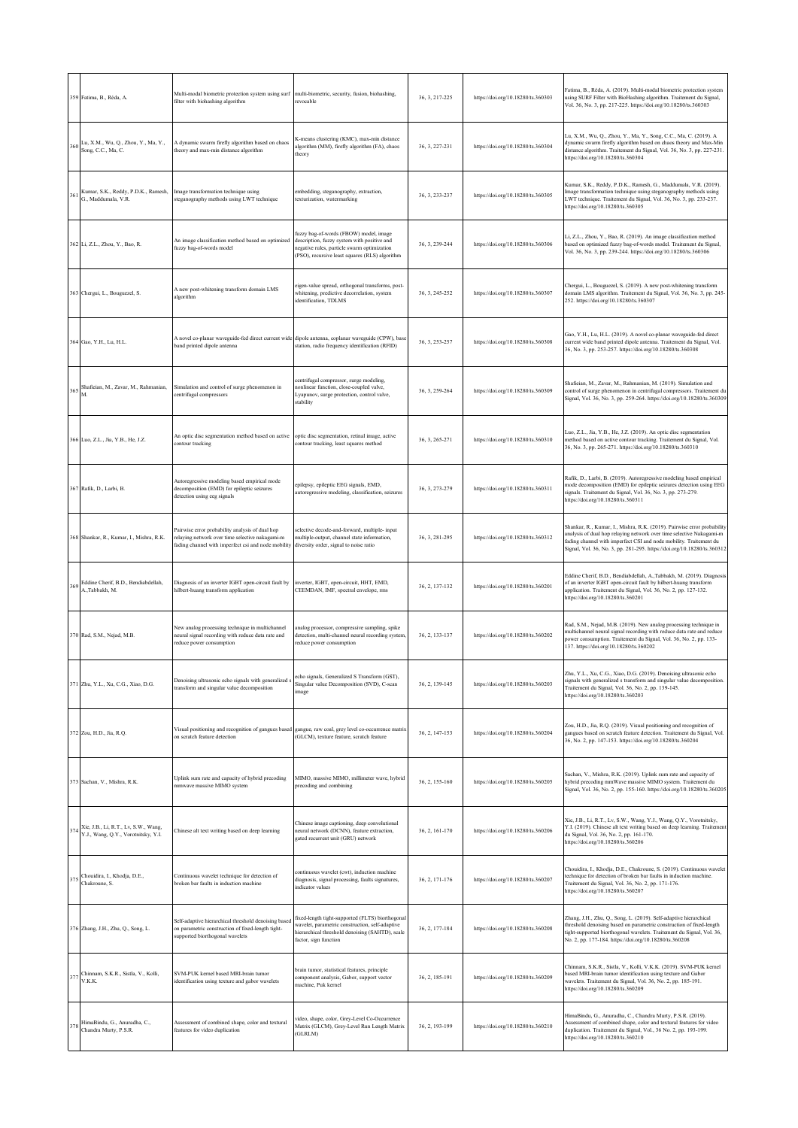|     | 359 Fatima, B., Réda, A.                                                    | Multi-modal biometric protection system using surf multi-biometric, security, fusion, biohashing,<br>filter with biohashing algorithm                     | revocable                                                                                                                                                                              | 36, 3, 217-225 | https://doi.org/10.18280/ts.360303 | Fatima, B., Réda, A. (2019). Multi-modal biometric protection system<br>using SURF Filter with BioHashing algorithm. Traitement du Signal,<br>Vol. 36, No. 3, pp. 217-225. https://doi.org/10.18280/ts.360303                                                                                    |
|-----|-----------------------------------------------------------------------------|-----------------------------------------------------------------------------------------------------------------------------------------------------------|----------------------------------------------------------------------------------------------------------------------------------------------------------------------------------------|----------------|------------------------------------|--------------------------------------------------------------------------------------------------------------------------------------------------------------------------------------------------------------------------------------------------------------------------------------------------|
| 360 | Lu, X.M., Wu, Q., Zhou, Y., Ma, Y.,<br>Song, C.C., Ma, C.                   | A dynamic swarm firefly algorithm based on chaos<br>theory and max-min distance algorithm                                                                 | K-means clustering (KMC), max-min distance<br>algorithm (MM), firefly algorithm (FA), chaos<br>theory                                                                                  | 36, 3, 227-231 | https://doi.org/10.18280/ts.360304 | Lu, X.M., Wu, Q., Zhou, Y., Ma, Y., Song, C.C., Ma, C. (2019). A<br>dynamic swarm firefly algorithm based on chaos theory and Max-Min<br>distance algorithm. Traitement du Signal, Vol. 36, No. 3, pp. 227-231.<br>https://doi.org/10.18280/ts.360304                                            |
| 361 | Kumar, S.K., Reddy, P.D.K., Ramesh,<br>G., Maddumala, V.R.                  | Image transformation technique using<br>steganography methods using LWT technique                                                                         | embedding, steganography, extraction,<br>texturization, watermarking                                                                                                                   | 36, 3, 233-237 | https://doi.org/10.18280/ts.360305 | Kumar, S.K., Reddy, P.D.K., Ramesh, G., Maddumala, V.R. (2019).<br>Image transformation technique using steganography methods using<br>LWT technique. Traitement du Signal, Vol. 36, No. 3, pp. 233-237.<br>https://doi.org/10.18280/ts.360305                                                   |
|     | 362 Li, Z.L., Zhou, Y., Bao, R.                                             | An image classification method based on optimized<br>uzzy bag-of-words model                                                                              | fuzzy bag-of-words (FBOW) model, image<br>description, fuzzy system with positive and<br>negative rules, particle swarm optimization<br>(PSO), recursive least squares (RLS) algorithm | 36, 3, 239-244 | https://doi.org/10.18280/ts.360306 | Li, Z.L., Zhou, Y., Bao, R. (2019). An image classification method<br>based on optimized fuzzy bag-of-words model. Traitement du Signal,<br>Vol. 36, No. 3, pp. 239-244. https://doi.org/10.18280/ts.360306                                                                                      |
|     | 363 Chergui, L., Bouguezel, S.                                              | A new post-whitening transform domain LMS<br>algorithm                                                                                                    | eigen-value spread, orthogonal transforms, post-<br>whitening, predictive decorrelation, system<br>identification, TDLMS                                                               | 36, 3, 245-252 | https://doi.org/10.18280/ts.360307 | Chergui, L., Bouguezel, S. (2019). A new post-whitening transform<br>domain LMS algorithm. Traitement du Signal, Vol. 36, No. 3, pp. 245-<br>252. https://doi.org/10.18280/ts.360307                                                                                                             |
|     | 364 Gao, Y.H., Lu, H.L.                                                     | A novel co-planar waveguide-fed direct current wide dipole antenna, coplanar waveguide (CPW), base<br>band printed dipole antenna                         | station, radio frequency identification (RFID)                                                                                                                                         | 36, 3, 253-257 | https://doi.org/10.18280/ts.360308 | Gao, Y.H., Lu, H.L. (2019). A novel co-planar waveguide-fed direct<br>current wide band printed dipole antenna. Traitement du Signal, Vol.<br>36, No. 3, pp. 253-257. https://doi.org/10.18280/ts.360308                                                                                         |
| 365 | Shafieian, M., Zavar, M., Rahmanian,<br>M.                                  | Simulation and control of surge phenomenon in<br>centrifugal compressors                                                                                  | centrifugal compressor, surge modeling,<br>nonlinear function, close-coupled valve,<br>Lyapunov, surge protection, control valve,<br>stability                                         | 36, 3, 259-264 | https://doi.org/10.18280/ts.360309 | Shafieian, M., Zavar, M., Rahmanian, M. (2019). Simulation and<br>control of surge phenomenon in centrifugal compressors. Traitement du<br>Signal, Vol. 36, No. 3, pp. 259-264. https://doi.org/10.18280/ts.360309                                                                               |
|     | 366 Luo, Z.L., Jia, Y.B., He, J.Z.                                          | An optic disc segmentation method based on active optic disc segmentation, retinal image, active<br>contour tracking                                      | contour tracking, least squares method                                                                                                                                                 | 36, 3, 265-271 | https://doi.org/10.18280/ts.360310 | Luo, Z.L., Jia, Y.B., He, J.Z. (2019). An optic disc segmentation<br>method based on active contour tracking. Traitement du Signal, Vol.<br>36, No. 3, pp. 265-271. https://doi.org/10.18280/ts.360310                                                                                           |
|     | 367 Rafik, D., Larbi, B.                                                    | Autoregressive modeling based empirical mode<br>decomposition (EMD) for epileptic seizures<br>detection using eeg signals                                 | epilepsy, epileptic EEG signals, EMD,<br>autoregressive modeling, classification, seizures                                                                                             | 36, 3, 273-279 | https://doi.org/10.18280/ts.360311 | Rafik, D., Larbi, B. (2019). Autoregressive modeling based empirical<br>mode decomposition (EMD) for epileptic seizures detection using EEG<br>signals. Traitement du Signal, Vol. 36, No. 3, pp. 273-279.<br>https://doi.org/10.18280/ts.360311                                                 |
|     | 368 Shankar, R., Kumar, I., Mishra, R.K.                                    | Pairwise error probability analysis of dual hop<br>relaying network over time selective nakagami-m<br>fading channel with imperfect csi and node mobility | selective decode-and-forward, multiple-input<br>multiple-output, channel state information,<br>diversity order, signal to noise ratio                                                  | 36, 3, 281-295 | https://doi.org/10.18280/ts.360312 | Shankar, R., Kumar, I., Mishra, R.K. (2019). Pairwise error probability<br>analysis of dual hop relaying network over time selective Nakagami-m<br>fading channel with imperfect CSI and node mobility. Traitement du<br>Signal, Vol. 36, No. 3, pp. 281-295. https://doi.org/10.18280/ts.360312 |
| 369 | Eddine Cherif, B.D., Bendiabdellah,<br>A., Tabbakh, M.                      | Diagnosis of an inverter IGBT open-circuit fault by<br>hilbert-huang transform application                                                                | inverter, IGBT, open-circuit, HHT, EMD,<br>CEEMDAN, IMF, spectral envelope, rms                                                                                                        | 36, 2, 137-132 | https://doi.org/10.18280/ts.360201 | Eddine Cherif, B.D., Bendiabdellah, A., Tabbakh, M. (2019). Diagnosis<br>of an inverter IGBT open-circuit fault by hilbert-huang transform<br>application. Traitement du Signal, Vol. 36, No. 2, pp. 127-132.<br>https://doi.org/10.18280/ts.360201                                              |
|     | 370 Rad, S.M., Nejad, M.B.                                                  | New analog processing technique in multichannel<br>neural signal recording with reduce data rate and<br>educe power consumption                           | analog processor, compressive sampling, spike<br>detection, multi-channel neural recording system,<br>reduce power consumption                                                         | 36, 2, 133-137 | https://doi.org/10.18280/ts.360202 | Rad, S.M., Nejad, M.B. (2019). New analog processing technique in<br>multichannel neural signal recording with reduce data rate and reduce<br>power consumption. Traitement du Signal, Vol. 36, No. 2, pp. 133-<br>137. https://doi.org/10.18280/ts.360202                                       |
|     | 371 Zhu, Y.L., Xu, C.G., Xiao, D.G.                                         | Denoising ultrasonic echo signals with generalized s<br>transform and singular value decomposition                                                        | echo signals, Generalized S Transform (GST),<br>Singular value Decomposition (SVD), C-scan<br>image                                                                                    | 36, 2, 139-145 | https://doi.org/10.18280/ts.360203 | Y.L., Xu, C.G., Xiao, D.G. (2019). De<br>signals with generalized s transform and singular value decomposition.<br>Traitement du Signal, Vol. 36, No. 2, pp. 139-145.<br>https://doi.org/10.18280/ts.360203                                                                                      |
|     | 372 Zou, H.D., Jia, R.Q.                                                    | Visual positioning and recognition of gangues based gangue, raw coal, grey level co-occurrence matrix<br>on scratch feature detection                     | (GLCM), texture feature, scratch feature                                                                                                                                               | 36, 2, 147-153 | https://doi.org/10.18280/ts.360204 | Zou, H.D., Jia, R.Q. (2019). Visual positioning and recognition of<br>gangues based on scratch feature detection. Traitement du Signal, Vol.<br>36, No. 2, pp. 147-153. https://doi.org/10.18280/ts.360204                                                                                       |
|     | 373 Sachan, V., Mishra, R.K.                                                | Uplink sum rate and capacity of hybrid precoding<br>mmwave massive MIMO system                                                                            | MIMO, massive MIMO, millimeter wave, hybrid<br>precoding and combining                                                                                                                 | 36, 2, 155-160 | https://doi.org/10.18280/ts.360205 | Sachan, V., Mishra, R.K. (2019). Uplink sum rate and capacity of<br>hybrid precoding mmWave massive MIMO system. Traitement du<br>Signal, Vol. 36, No. 2, pp. 155-160. https://doi.org/10.18280/ts.360205                                                                                        |
| 374 | Xie, J.B., Li, R.T., Lv, S.W., Wang,<br>Y.J., Wang, Q.Y., Vorotnitsky, Y.I. | Chinese alt text writing based on deep learning                                                                                                           | Chinese image captioning, deep convolutional<br>neural network (DCNN), feature extraction,<br>gated recurrent unit (GRU) network                                                       | 36, 2, 161-170 | https://doi.org/10.18280/ts.360206 | Xie, J.B., Li, R.T., Lv, S.W., Wang, Y.J., Wang, Q.Y., Vorotnitsky,<br>Y.I. (2019). Chinese alt text writing based on deep learning. Traitement<br>du Signal, Vol. 36, No. 2, pp. 161-170.<br>https://doi.org/10.18280/ts.360206                                                                 |
| 375 | Chouidira, I., Khodja, D.E.,<br>Chakroune, S.                               | Continuous wavelet technique for detection of<br>broken bar faults in induction machine                                                                   | continuous wavelet (cwt), induction machine<br>diagnosis, signal processing, faults signatures,<br>indicator values                                                                    | 36, 2, 171-176 | https://doi.org/10.18280/ts.360207 | Chouidira, I., Khodja, D.E., Chakroune, S. (2019). Continuous wavelet<br>technique for detection of broken bar faults in induction machine.<br>Traitement du Signal, Vol. 36, No. 2, pp. 171-176.<br>https://doi.org/10.18280/ts.360207                                                          |
|     | 376 Zhang, J.H., Zhu, Q., Song, L.                                          | Self-adaptive hierarchical threshold denoising based<br>on parametric construction of fixed-length tight-<br>supported biorthogonal wavelets              | fixed-length tight-supported (FLTS) biorthogonal<br>wavelet, parametric construction, self-adaptive<br>hierarchical threshold denoising (SAHTD), scale<br>factor, sign function        | 36, 2, 177-184 | https://doi.org/10.18280/ts.360208 | Zhang, J.H., Zhu, Q., Song, L. (2019). Self-adaptive hierarchical<br>threshold denoising based on parametric construction of fixed-length<br>tight-supported biorthogonal wavelets. Traitement du Signal, Vol. 36,<br>No. 2, pp. 177-184. https://doi.org/10.18280/ts.360208                     |
| 377 | Chinnam, S.K.R., Sistla, V., Kolli,<br>V.K.K.                               | SVM-PUK kernel based MRI-brain tumor<br>identification using texture and gabor wavelets                                                                   | brain tumor, statistical features, principle<br>component analysis, Gabor, support vector<br>machine, Puk kernel                                                                       | 36, 2, 185-191 | https://doi.org/10.18280/ts.360209 | Chinnam, S.K.R., Sistla, V., Kolli, V.K.K. (2019). SVM-PUK kernel<br>based MRI-brain tumor identification using texture and Gabor<br>wavelets. Traitement du Signal, Vol. 36, No. 2, pp. 185-191.<br>https://doi.org/10.18280/ts.360209                                                          |
| 378 | HimaBindu, G., Anuradha, C.,<br>Chandra Murty, P.S.R.                       | Assessment of combined shape, color and textural<br>features for video duplication                                                                        | video, shape, color, Grey-Level Co-Occurrence<br>Matrix (GLCM), Grey-Level Run Length Matrix<br>(GLRLM)                                                                                | 36.2.193-199   | https://doi.org/10.18280/ts.360210 | HimaBindu, G., Anuradha, C., Chandra Murty, P.S.R. (2019).<br>Assessment of combined shape, color and textural features for video<br>duplication. Traitement du Signal, Vol., 36 No. 2, pp. 193-199.<br>https://doi.org/10.18280/ts.360210                                                       |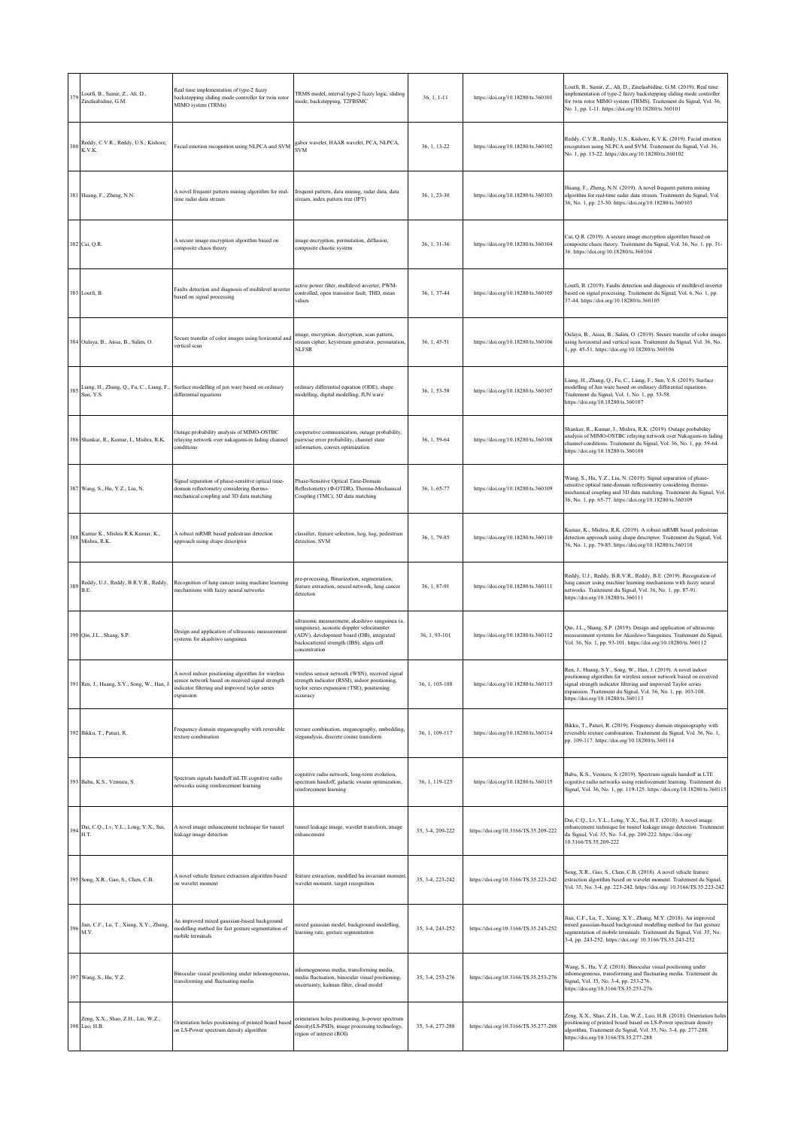| 379 | Loutfi, B., Samir, Z., Ali, D.,<br>Zinelaabidine, G.M.                                       | Real time implementation of type-2 fuzzy<br>backstepping sliding mode controller for twin rotor<br>MIMO system (TRMs)                      | TRMS model, interval type-2 fuzzy logic, sliding<br>mode, backstepping, T2FBSMC                                                                                                                       | $36, 1, 1 - 11$  | https://doi.org/10.18280/ts.360101    | Loutfi, B., Samir, Z., Ali, D., Zinelaabidine, G.M. (2019). Real time<br>implementation of type-2 fuzzy backstepping sliding mode controller<br>for twin rotor MIMO system (TRMS). Traitement du Signal, Vol. 36,<br>No. 1, pp. 1-11. https://doi.org/10.18280/ts.360101                                       |
|-----|----------------------------------------------------------------------------------------------|--------------------------------------------------------------------------------------------------------------------------------------------|-------------------------------------------------------------------------------------------------------------------------------------------------------------------------------------------------------|------------------|---------------------------------------|----------------------------------------------------------------------------------------------------------------------------------------------------------------------------------------------------------------------------------------------------------------------------------------------------------------|
|     | 380 Reddy, C.V.R., Reddy, U.S., Kishore, K.V.K.                                              | Facial emotion recognition using NLPCA and SVM                                                                                             | gabor wavelet, HAAR wavelet, PCA, NLPCA,<br><b>SVM</b>                                                                                                                                                | 36, 1, 13-22     | https://doi.org/10.18280/ts.360102    | Reddy, C.V.R., Reddy, U.S., Kishore, K.V.K. (2019). Facial emotion<br>recognition using NLPCA and SVM. Traitement du Signal, Vol. 36,<br>No. 1, pp. 13-22. https://doi.org/10.18280/ts.360102                                                                                                                  |
|     | 381 Huang, F., Zheng, N.N.                                                                   | A novel frequent pattern mining algorithm for real-<br>ime radar data stream                                                               | frequent pattern, data mining, radar data, data<br>stream, index pattern tree (IPT)                                                                                                                   | $36, 1, 23-30$   | https://doi.org/10.18280/ts.360103    | Huang, F., Zheng, N.N. (2019). A novel frequent pattern mining<br>algorithm for real-time radar data stream. Traitement du Signal, Vol.<br>36, No. 1, pp. 23-30. https://doi.org/10.18280/ts.360103                                                                                                            |
|     | 382 Cai, Q.R.                                                                                | A secure image encryption algorithm based on<br>omposite chaos theory                                                                      | image encryption, permutation, diffusion,<br>composite chaotic system                                                                                                                                 | 36, 1, 31-36     | https://doi.org/10.18280/ts.360104    | Cai, Q.R. (2019). A secure image encryption algorithm based on<br>composite chaos theory. Traitement du Signal, Vol. 36, No. 1, pp. 31-<br>36. https://doi.org/10.18280/ts.360104                                                                                                                              |
|     | 383 Loutfi, B.                                                                               | Faults detection and diagnosis of multilevel inverter<br>based on signal processing                                                        | active power filter, multilevel inverter, PWM-<br>controlled, open transistor fault, THD, mean<br>values                                                                                              | 36, 1, 37-44     | https://doi.org/10.18280/ts.360105    | Loutfi, B. (2019). Faults detection and diagnosis of multilevel inverter<br>based on signal processing. Traitement du Signal, Vol. 6, No. 1, pp.<br>37-44. https://doi.org/10.18280/ts.360105                                                                                                                  |
|     | 384 Oulaya, B., Aissa, B., Salim, O.                                                         | Secure transfer of color images using horizontal and<br>vertical scan                                                                      | image, encryption, decryption, scan pattern,<br>stream cipher, keystream generator, permutation,<br><b>NLFSR</b>                                                                                      | 36, 1, 45-51     | https://doi.org/10.18280/ts.360106    | Oulaya, B., Aissa, B., Salim, O. (2019). Secure transfer of color images<br>using horizontal and vertical scan. Traitement du Signal, Vol. 36, No.<br>1, pp. 45-51. https://doi.org/10.18280/ts.360106                                                                                                         |
|     | Sun, Y.S.                                                                                    | 385 Liang, H., Zhang, Q., Fu, C., Liang, F., Surface modelling of jun ware based on ordinary<br>differential equations                     | ordinary differential equation (ODE), shape<br>modelling, digital modelling, JUN ware                                                                                                                 | 36, 1, 53-58     | https://doi.org/10.18280/ts.360107    | Liang, H., Zhang, Q., Fu, C., Liang, F., Sun, Y.S. (2019). Surface<br>modelling of Jun ware based on ordinary differential equations.<br>Traitement du Signal, Vol. 1, No. 1, pp. 53-58.<br>https://doi.org/10.18280/ts.360107                                                                                 |
|     | 386 Shankar, R., Kumar, I., Mishra, R.K.                                                     | Outage probability analysis of MIMO-OSTBC<br>relaying network over nakagami-m fading channel<br>onditions                                  | cooperative communication, outage probability,<br>pairwise error probability, channel state<br>information, convex optimization                                                                       | 36, 1, 59-64     | https://doi.org/10.18280/ts.360108    | Shankar, R., Kumar, I., Mishra, R.K. (2019). Outage probability<br>analysis of MIMO-OSTBC relaying network over Nakagami-m fading<br>channel conditions. Traitement du Signal, Vol. 36, No. 1, pp. 59-64.<br>https://doi.org/10.18280/ts.360108                                                                |
|     | 387 Wang, S., Hu, Y.Z., Liu, N.                                                              | signal separation of phase-sensitive optical time-<br>lomain reflectometry considering thermo-<br>nechanical coupling and 3D data matching | Phase-Sensitive Optical Time-Domain<br>Reflectometry (Φ-OTDR), Thermo-Mechanical<br>Coupling (TMC), 3D data matching                                                                                  | 36, 1, 65-77     | https://doi.org/10.18280/ts.360109    | Wang, S., Hu, Y.Z., Liu, N. (2019). Signal separation of phase-<br>sensitive optical time-domain reflectometry considering thermo-<br>mechanical coupling and 3D data matching. Traitement du Signal, Vol.<br>36, No. 1, pp. 65-77. https://doi.org/10.18280/ts.360109                                         |
| 388 | Kumar K., Mishra R.K.Kumar, K.,<br>Mishra, R.K.                                              | A robust mRMR based pedestrian detection<br>approach using shape descriptor                                                                | classifier, feature selection, hog, hsg, pedestrian<br>detection, SVM                                                                                                                                 | 36, 1, 79-85     | https://doi.org/10.18280/ts.360110    | Kumar, K., Mishra, R.K. (2019). A robust mRMR based pedestrian<br>detection approach using shape descriptor. Traitement du Signal, Vol.<br>36, No. 1, pp. 79-85. https://doi.org/10.18280/ts.360110                                                                                                            |
| 389 | Reddy, U.J., Reddy, B.R.V.R., Reddy,<br>B.E.                                                 | Recognition of lung cancer using machine learning<br>nechanisms with fuzzy neural networks                                                 | pre-processing, Binarizotion, segmentation,<br>feature extraction, neural network, lung cancer<br>detection                                                                                           | 36.1.87-91       | https://doi.org/10.18280/ts.360111    | Reddy, U.J., Reddy, B.R.V.R., Reddy, B.E. (2019). Recognition of<br>lung cancer using machine learning mechanisms with fuzzy neural<br>networks. Traitement du Signal, Vol. 36, No. 1, pp. 87-91.<br>https://doi.org/10.18280/ts.360111                                                                        |
|     | 390 Qin, J.L., Shang, S.P.                                                                   | Design and application of ultrasonic measurement<br>systems for akashiwo sanguinea                                                         | ultrasonic measurement, akashiwo sanguinea (a.<br>sanguinea), acoustic doppler velocimenter<br>(ADV), development board (DB), integrated<br>backscattered strength (IBS), algea cell<br>concentration | 36, 1, 93-101    | https://doi.org/10.18280/ts.360112    | Qin, J.L., Shang, S.P. (2019). Design and application of ultrasonic<br>measurement systems for Akashiwo Sanguinea. Traitement du Signal,<br>Vol. 36, No. 1, pp. 93-101. https://doi.org/10.18280/ts.360112                                                                                                     |
|     | 391 Ren, J., Huang, S.Y., Song, W., Han, J.                                                  | ng argor<br>sensor network based on received signal strength<br>ndicator filtering and improved taylor series<br>expansion                 | strength indicator (RSSI), indoor positioning,<br>taylor series expansion (TSE), positioning<br>accuracy                                                                                              | 36, 1, 103-108   | https://doi.org/10.18280/ts.360113    | Ren, J., Huang, S.Y., Song, W., Han, J. (2019). A novel indoor<br>positioning algorithm for wireless sensor network based on received<br>signal strength indicator filtering and improved Taylor series<br>expansion. Traitement du Signal, Vol. 36, No. 1, pp. 103-108.<br>https://doi.org/10.18280/ts.360113 |
|     | 392 Bikku, T., Paturi, R.                                                                    | requency domain steganography with reversible<br>exture combination                                                                        | texture combination, steganography, embedding,<br>steganalysis, discrete cosine transform                                                                                                             | 36, 1, 109-117   | https://doi.org/10.18280/ts.360114    | Bikku, T., Paturi, R. (2019). Frequency domain steganography with<br>reversible texture combination. Traitement du Signal, Vol. 36, No. 1,<br>pp. 109-117. https://doi.org/10.18280/ts.360114                                                                                                                  |
|     | 393 Babu, K.S., Vemuru, S.                                                                   | Spectrum signals handoff inLTE cognitive radio<br>networks using reinforcement learning                                                    | cognitive radio network, long-term evolution,<br>spectrum handoff, galactic swarm optimization,<br>reinforcement learning                                                                             | 36, 1, 119-125   | https://doi.org/10.18280/ts.360115    | Babu, K.S., Vemuru, S. (2019). Spectrum signals handoff in LTE<br>cognitive radio networks using reinforcement learning. Traitement du<br>Signal, Vol. 36, No. 1, pp. 119-125. https://doi.org/10.18280/ts.360115                                                                                              |
|     | $394\begin{array}{l} \text{Dai, C.Q., Lv, Y.L., Long, Y.X., Sui,}\\ \text{H.T.} \end{array}$ | A novel image enhancement technique for tunnel<br>eakage image detection                                                                   | tunnel leakage image, wavelet transform, image<br>enhancement                                                                                                                                         | 35, 3-4, 209-222 | https://doi.org/10.3166/TS.35.209-222 | Dai, C.Q., Lv, Y.L., Long, Y.X., Sui, H.T. (2018). A novel image<br>enhancement technique for tunnel leakage image detection. Traitement<br>du Signal, Vol. 35, No. 3-4, pp. 209-222. https://doi.org/<br>10.3166/TS.35.209-222                                                                                |
|     | 395 Song, X.R., Gao, S., Chen, C.B.                                                          | A novel vehicle feature extraction algorithm based<br>on wavelet moment                                                                    | feature extraction, modified hu invariant moment<br>wavelet moment, target recognition                                                                                                                | 35, 3-4, 223-242 | https://doi.org/10.3166/TS.35.223-242 | Song, X.R., Gao, S., Chen, C.B. (2018). A novel vehicle feature<br>extraction algorithm based on wavelet moment. Traitement du Signal,<br>Vol. 35, No. 3-4, pp. 223-242. https://doi.org/ 10.3166/TS.35.223-242                                                                                                |
|     | 396 Jian, C.F., Lu, T., Xiang, X.Y., Zhang, M.Y.                                             | An improved mixed gaussian-based background<br>nodelling method for fast gesture segmentation of<br>nobile terminals                       | mixed gaussian model, background modelling,<br>learning rate, gesture segmentation                                                                                                                    | 35, 3-4, 243-252 | https://doi.org/10.3166/TS.35.243-252 | Jian, C.F., Lu, T., Xiang, X.Y., Zhang, M.Y. (2018). An improved<br>mixed gaussian-based background modelling method for fast gesture<br>segmentation of mobile terminals. Traitement du Signal, Vol. 35, No.<br>3-4, pp. 243-252. https://doi.org/ 10.3166/TS.35.243-252                                      |
|     | 397 Wang, S., Hu, Y.Z.                                                                       | Binocular visual positioning under inhomogeneous,<br>transforming and fluctuating media                                                    | inhomogeneous media, transforming media,<br>media fluctuation, binocular visual positioning,<br>uncertainty, kalman filter, cloud model                                                               | 35, 3-4, 253-276 | https://doi.org/10.3166/TS.35.253-276 | Wang, S., Hu, Y.Z. (2018). Binocular visual positioning under<br>inhomogeneous, transforming and fluctuating media. Traitement du<br>Signal, Vol. 35, No. 3-4, pp. 253-276.<br>https://doi.org/10.3166/TS.35.253-276                                                                                           |
|     | Zeng, X.X., Shao, Z.H., Lin, W.Z.,<br>398 Luo, H.B.                                          | Orientation holes positioning of printed board based<br>on LS-Power spectrum density algorithm                                             | orientation holes positioning, ls-power spectrum<br>density(LS-PSD), image processing technology,<br>region of interest (ROI)                                                                         | 35, 3-4, 277-288 | https://doi.org/10.3166/TS.35.277-288 | Zeng, X.X., Shao, Z.H., Lin, W.Z., Luo, H.B. (2018). Orientation holes<br>positioning of printed board based on LS-Power spectrum density<br>algorithm, Traitement du Signal, Vol. 35, No. 3-4, pp. 277-288.<br>https://doi.org/10.3166/TS.35.277-288                                                          |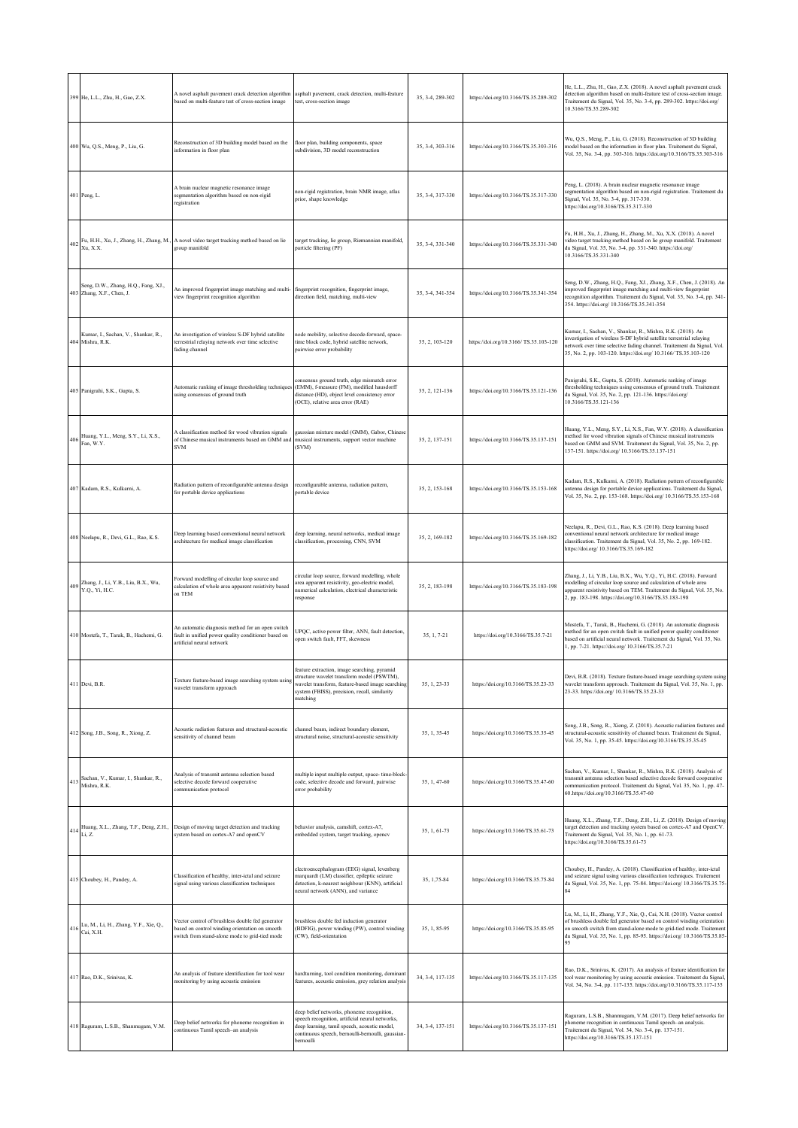|     | 399 He, L.L., Zhu, H., Gao, Z.X.                                                                   | A novel asphalt pavement crack detection algorithm asphalt pavement, crack detection, multi-feature<br>based on multi-feature test of cross-section image | test, cross-section image                                                                                                                                                                                      | 35, 3-4, 289-302 | https://doi.org/10.3166/TS.35.289-302 | He, L.L., Zhu, H., Gao, Z.X. (2018). A novel asphalt pavement crack<br>detection algorithm based on multi-feature test of cross-section image.<br>Traitement du Signal, Vol. 35, No. 3-4, pp. 289-302. https://doi.org/<br>10.3166/TS.35.289-302                                                           |
|-----|----------------------------------------------------------------------------------------------------|-----------------------------------------------------------------------------------------------------------------------------------------------------------|----------------------------------------------------------------------------------------------------------------------------------------------------------------------------------------------------------------|------------------|---------------------------------------|------------------------------------------------------------------------------------------------------------------------------------------------------------------------------------------------------------------------------------------------------------------------------------------------------------|
|     | 400 Wu, Q.S., Meng, P., Liu, G.                                                                    | Reconstruction of 3D building model based on the<br>information in floor plan                                                                             | floor plan, building components, space<br>subdivision, 3D model reconstruction                                                                                                                                 | 35, 3-4, 303-316 | https://doi.org/10.3166/TS.35.303-316 | Wu, Q.S., Meng, P., Liu, G. (2018). Reconstruction of 3D building<br>model based on the information in floor plan. Traitement du Signal,<br>Vol. 35, No. 3-4, pp. 303-316. https://doi.org/10.3166/TS.35.303-316                                                                                           |
|     | 401 Peng, L.                                                                                       | A brain nuclear magnetic resonance image<br>segmentation algorithm based on non-rigid<br>registration                                                     | non-rigid registration, brain NMR image, atlas<br>prior, shape knowledge                                                                                                                                       | 35, 3-4, 317-330 | https://doi.org/10.3166/TS.35.317-330 | Peng, L. (2018). A brain nuclear magnetic resonance image<br>egmentation algorithm based on non-rigid registration. Traitement du<br>Signal, Vol. 35, No. 3-4, pp. 317-330.<br>https://doi.org/10.3166/TS.35.317-330                                                                                       |
| 402 | Xu, X.X.                                                                                           | Fu, H.H., Xu, J., Zhang, H., Zhang, M., A novel video target tracking method based on lie<br>group manifold                                               | target tracking, lie group, Riemannian manifold,<br>particle filtering (PF)                                                                                                                                    | 35, 3-4, 331-340 | https://doi.org/10.3166/TS.35.331-340 | Fu, H.H., Xu, J., Zhang, H., Zhang, M., Xu, X.X. (2018). A novel<br>video target tracking method based on lie group manifold. Traitement<br>du Signal, Vol. 35, No. 3-4, pp. 331-340. https://doi.org/<br>10.3166/TS.35.331-340                                                                            |
|     | Seng, D.W., Zhang, H.Q., Fang, XJ.,<br>403 Zhang, X.F., Chen, J.                                   | An improved fingerprint image matching and multi- fingerprint recognition, fingerprint image,<br>view fingerprint recognition algorithm                   | direction field, matching, multi-view                                                                                                                                                                          | 35, 3-4, 341-354 | https://doi.org/10.3166/TS.35.341-354 | Seng, D.W., Zhang, H.Q., Fang, XJ., Zhang, X.F., Chen, J. (2018). An<br>mproved fingerprint image matching and multi-view fingerprint<br>recognition algorithm. Traitement du Signal, Vol. 35, No. 3-4, pp. 341-<br>354. https://doi.org/ 10.3166/TS.35.341-354                                            |
|     | Kumar, I., Sachan, V., Shankar, R.,<br>404 Mishra, R.K.                                            | An investigation of wireless S-DF hybrid satellite<br>terrestrial relaying network over time selective<br>fading channel                                  | node mobility, selective decode-forward, space-<br>time block code, hybrid satellite network,<br>pairwise error probability                                                                                    | 35, 2, 103-120   | https://doi.org/10.3166/TS.35.103-120 | Kumar, I., Sachan, V., Shankar, R., Mishra, R.K. (2018). An<br>investigation of wireless S-DF hybrid satellite terrestrial relaying<br>network over time selective fading channel. Traitement du Signal, Vol.<br>35, No. 2, pp. 103-120. https://doi.org/ 10.3166/ TS.35.103-120                           |
|     | 405 Panigrahi, S.K., Gupta, S.                                                                     | Automatic ranking of image thresholding techniques (EMM), f-measure (FM), modified hausdorff<br>using consensus of ground truth                           | consensus ground truth, edge mismatch error<br>distance (HD), object level consistency error<br>(OCE), relative area error (RAE)                                                                               | 35, 2, 121-136   | https://doi.org/10.3166/TS.35.121-136 | Panigrahi, S.K., Gupta, S. (2018). Automatic ranking of image<br>thresholding techniques using consensus of ground truth. Traitement<br>du Signal, Vol. 35, No. 2, pp. 121-136. https://doi.org/<br>10.3166/TS.35.121-136                                                                                  |
| 406 | Huang, Y.L., Meng, S.Y., Li, X.S.,<br>Fan, W.Y.                                                    | A classification method for wood vibration signals<br>of Chinese musical instruments based on GMM and<br><b>SVM</b>                                       | gaussian mixture model (GMM), Gabor, Chinese<br>musical instruments, support vector machine<br>(SVM)                                                                                                           | 35, 2, 137-151   | https://doi.org/10.3166/TS.35.137-151 | Huang, Y.L., Meng, S.Y., Li, X.S., Fan, W.Y. (2018). A classification<br>nethod for wood vibration signals of Chinese musical instruments<br>based on GMM and SVM. Traitement du Signal, Vol. 35, No. 2, pp.<br>137-151. https://doi.org/ 10.3166/TS.35.137-151                                            |
|     | 407 Kadam, R.S., Kulkarni, A.                                                                      | Radiation pattern of reconfigurable antenna design<br>for portable device applications                                                                    | reconfigurable antenna, radiation pattern,<br>portable device                                                                                                                                                  | 35.2.153-168     | https://doi.org/10.3166/TS.35.153-168 | Kadam, R.S., Kulkarni, A. (2018). Radiation pattern of reconfigurable<br>antenna design for portable device applications. Traitement du Signal,<br>Vol. 35, No. 2, pp. 153-168. https://doi.org/ 10.3166/TS.35.153-168                                                                                     |
|     | 408 Neelapu, R., Devi, G.L., Rao, K.S.                                                             | Deep learning based conventional neural network<br>architecture for medical image classification                                                          | deep learning, neural networks, medical image<br>classification, processing, CNN, SVM                                                                                                                          | 35, 2, 169-182   | https://doi.org/10.3166/TS.35.169-182 | Neelapu, R., Devi, G.L., Rao, K.S. (2018). Deep learning based<br>conventional neural network architecture for medical image<br>classification. Traitement du Signal, Vol. 35, No. 2, pp. 169-182.<br>https://doi.org/ 10.3166/TS.35.169-182                                                               |
| 409 | Zhang, J., Li, Y.B., Liu, B.X., Wu,<br>Y.Q., Yi, H.C.                                              | Forward modelling of circular loop source and<br>calculation of whole area apparent resistivity based<br>on TEM                                           | circular loop source, forward modelling, whole<br>area apparent resistivity, geo-electric model,<br>numerical calculation, electrical characteristic<br>esponse                                                | 35, 2, 183-198   | https://doi.org/10.3166/TS.35.183-198 | Zhang, J., Li, Y.B., Liu, B.X., Wu, Y.Q., Yi, H.C. (2018). Forward<br>nodelling of circular loop source and calculation of whole area<br>apparent resistivity based on TEM. Traitement du Signal, Vol. 35, No.<br>2, pp. 183-198. https://doi.org/10.3166/TS.35.183-198                                    |
|     | 410 Mostefa, T., Tarak, B., Hachemi, G.                                                            | An automatic diagnosis method for an open switch<br>fault in unified power quality conditioner based on<br>artificial neural network                      | JPQC, active power filter, ANN, fault detection,<br>open switch fault, FFT, skewness                                                                                                                           | 35, 1, 7-21      | https://doi.org/10.3166/TS.35.7-21    | Mostefa, T., Tarak, B., Hachemi, G. (2018). An automatic diagnosis<br>method for an open switch fault in unified power quality conditioner<br>based on artificial neural network. Traitement du Signal, Vol. 35, No.<br>1, pp. 7-21. https://doi.org/ 10.3166/TS.35.7-21                                   |
|     | 411 Devi, B.R.                                                                                     | Texture feature-based image searching system using<br>wavelet transform approach                                                                          | feature extraction, image searching, pyramid<br>structure wavelet transform model (PSWTM),<br>wavelet transform, feature-based image searching<br>system (FBISS), precision, recall, similarity<br>matching    | 35, 1, 23-33     | https://doi.org/10.3166/TS.35.23-33   | Devi, B.R. (2018). Texture feature-based image searching system using<br>wavelet transform approach. Traitement du Signal, Vol. 35, No. 1, pp.<br>23-33. https://doi.org/ 10.3166/TS.35.23-33                                                                                                              |
|     | 412 Song, J.B., Song, R., Xiong, Z.                                                                | Acoustic radiation features and structural-acoustic<br>sensitivity of channel beam                                                                        | channel beam, indirect boundary element,<br>structural noise, structural-acoustic sensitivity                                                                                                                  | 35, 1, 35-45     | https://doi.org/10.3166/TS.35.35-45   | Song, J.B., Song, R., Xiong, Z. (2018). Acoustic radiation features and<br>structural-acoustic sensitivity of channel beam. Traitement du Signal,<br>Vol. 35, No. 1, pp. 35-45. https://doi.org/10.3166/TS.35.35-45                                                                                        |
| 413 | Sachan, V., Kumar, I., Shankar, R.,<br>Mishra, R.K.                                                | Analysis of transmit antenna selection based<br>selective decode forward cooperative<br>communication protocol                                            | nultiple input multiple output, space- time-block-<br>ode, selective decode and forward, pairwise<br>error probability                                                                                         | 35, 1, 47-60     | https://doi.org/10.3166/TS.35.47-60   | Sachan, V., Kumar, I., Shankar, R., Mishra, R.K. (2018). Analysis of<br>ransmit antenna selection based selective decode forward cooperative<br>communication protocol. Traitement du Signal, Vol. 35, No. 1, pp. 47-<br>60.https://doi.org/10.3166/TS.35.47-60                                            |
|     | $414 \begin{tabular}{l} Haang, X.L., Zhang, T.F., Deng, Z.H.,\\ Li, Z. \end{tabular}$              | Design of moving target detection and tracking<br>system based on cortex-A7 and openCV                                                                    | behavior analysis, camshift, cortex-A7,<br>embedded system, target tracking, opencv                                                                                                                            | 35, 1, 61-73     | https://doi.org/10.3166/TS.35.61-73   | Huang, X.L., Zhang, T.F., Deng, Z.H., Li, Z. (2018). Design of moving<br>arget detection and tracking system based on cortex-A7 and OpenCV.<br>Fraitement du Signal, Vol. 35, No. 1, pp. 61-73.<br>https://doi.org/10.3166/TS.35.61-73                                                                     |
|     | 415 Choubey, H., Pandey, A.                                                                        | Classification of healthy, inter-ictal and seizure<br>signal using various classification techniques                                                      | electroencephalogram (EEG) signal, levenberg<br>marquardt (LM) classifier, epileptic seizure<br>detection, k-nearest neighbour (KNN), artificial<br>teural network (ANN), and variance                         | 35, 1, 75-84     | https://doi.org/10.3166/TS.35.75-84   | Choubey, H., Pandey, A. (2018). Classification of healthy, inter-ictal<br>and seizure signal using various classification techniques. Traitement<br>du Signal, Vol. 35, No. 1, pp. 75-84. https://doi.org/ 10.3166/TS.35.75-                                                                               |
|     | $416\begin{array}{l} \mbox{Lu, M., Li, H., Zhang, Y.F., Xie, Q.,} \\ \mbox{Cai, X.H.} \end{array}$ | Vector control of brushless double fed generator<br>based on control winding orientation on smooth<br>switch from stand-alone mode to grid-tied mode      | brushless double fed induction generator<br>(BDFIG), power winding (PW), control winding<br>(CW), field-orientation                                                                                            | 35, 1, 85-95     | https://doi.org/10.3166/TS.35.85-95   | Lu, M., Li, H., Zhang, Y.F., Xie, Q., Cai, X.H. (2018). Vector control<br>of brushless double fed generator based on control winding orientation<br>on smooth switch from stand-alone mode to grid-tied mode. Traitement<br>du Signal, Vol. 35, No. 1, pp. 85-95. https://doi.org/ 10.3166/TS.35.85-<br>95 |
|     | 417 Rao, D.K., Srinivas, K.                                                                        | An analysis of feature identification for tool wear<br>monitoring by using acoustic emission                                                              | hardturning, tool condition monitoring, dominant<br>features, acoustic emission, grey relation analysis                                                                                                        | 34, 3-4, 117-135 | https://doi.org/10.3166/TS.35.117-135 | Rao, D.K., Srinivas, K. (2017). An analysis of feature identification for<br>tool wear monitoring by using acoustic emission. Traitement du Signal,<br>Vol. 34, No. 3-4, pp. 117-135. https://doi.org/10.3166/TS.35.117-135                                                                                |
|     | 418 Raguram, L.S.B., Shanmugam, V.M.                                                               | Deep belief networks for phoneme recognition in<br>continuous Tamil speech-an analysis                                                                    | deep belief networks, phoneme recognition,<br>peech recognition, artificial neural networks,<br>deep learning, tamil speech, acoustic model,<br>continuous speech, bernoulli-bernoulli, gaussian-<br>bernoulli | 34, 3-4, 137-151 | https://doi.org/10.3166/TS.35.137-151 | Raguram, L.S.B., Shanmugam, V.M. (2017). Deep belief networks for<br>phoneme recognition in continuous Tamil speech-an analysis.<br>Traitement du Signal, Vol. 34, No. 3-4, pp. 137-151.<br>https://doi.org/10.3166/TS.35.137-151                                                                          |